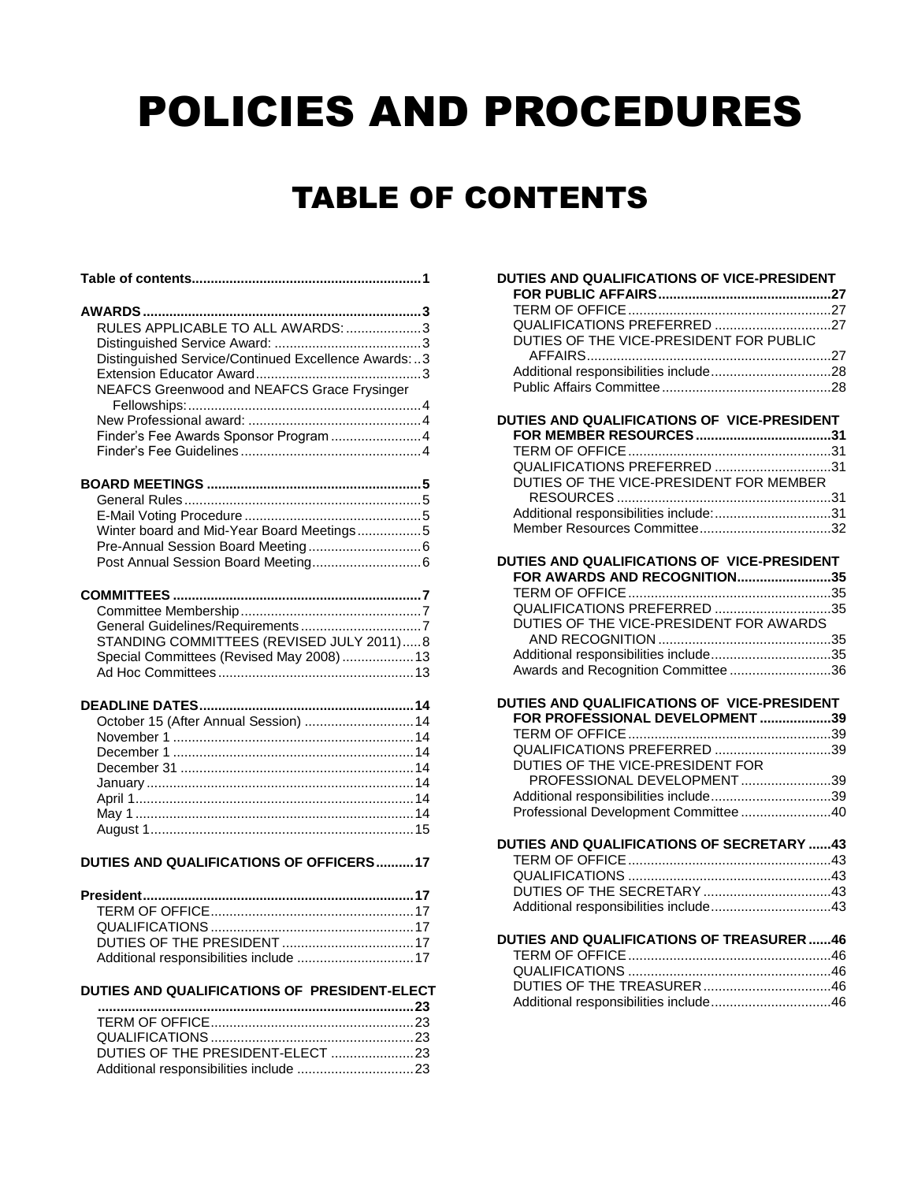# POLICIES AND PROCEDURES

# TABLE OF CONTENTS

<span id="page-0-0"></span>

| RULES APPLICABLE TO ALL AWARDS: 3<br>Distinguished Service/Continued Excellence Awards:3 |
|------------------------------------------------------------------------------------------|
| NEAFCS Greenwood and NEAFCS Grace Frysinger<br>Finder's Fee Awards Sponsor Program 4     |
| Winter board and Mid-Year Board Meetings5                                                |
| STANDING COMMITTEES (REVISED JULY 2011)8<br>Special Committees (Revised May 2008)  13    |
| October 15 (After Annual Session)  14                                                    |
| <b>DUTIES AND QUALIFICATIONS OF OFFICERS17</b>                                           |
| Additional responsibilities include  17                                                  |
| DUTIES AND QUALIFICATIONS OF PRESIDENT-ELECT                                             |
| DUTIES OF THE PRESIDENT-ELECT 23                                                         |

| DUTIES OF THE VICE-PRESIDENT FOR PUBLIC                                     |  |
|-----------------------------------------------------------------------------|--|
|                                                                             |  |
|                                                                             |  |
|                                                                             |  |
| DUTIES AND QUALIFICATIONS OF VICE-PRESIDENT                                 |  |
|                                                                             |  |
|                                                                             |  |
| QUALIFICATIONS PREFERRED 31                                                 |  |
| DUTIES OF THE VICE-PRESIDENT FOR MEMBER                                     |  |
|                                                                             |  |
| Additional responsibilities include:31                                      |  |
|                                                                             |  |
|                                                                             |  |
| DUTIES AND QUALIFICATIONS OF VICE-PRESIDENT<br>FOR AWARDS AND RECOGNITION35 |  |
|                                                                             |  |
| QUALIFICATIONS PREFERRED 35                                                 |  |
| DUTIES OF THE VICE-PRESIDENT FOR AWARDS                                     |  |
|                                                                             |  |
|                                                                             |  |
| Additional responsibilities include35                                       |  |
| Awards and Recognition Committee36                                          |  |
| DUTIES AND QUALIFICATIONS OF VICE-PRESIDENT                                 |  |
| FOR PROFESSIONAL DEVELOPMENT 39                                             |  |
|                                                                             |  |
|                                                                             |  |
| QUALIFICATIONS PREFERRED 39                                                 |  |
| DUTIES OF THE VICE-PRESIDENT FOR                                            |  |
| PROFESSIONAL DEVELOPMENT39                                                  |  |
| Additional responsibilities include39                                       |  |
| Professional Development Committee 40                                       |  |
|                                                                             |  |
| DUTIES AND QUALIFICATIONS OF SECRETARY 43                                   |  |
|                                                                             |  |
|                                                                             |  |
|                                                                             |  |
|                                                                             |  |
| DUTIES AND QUALIFICATIONS OF TREASURER 46                                   |  |
|                                                                             |  |
|                                                                             |  |
|                                                                             |  |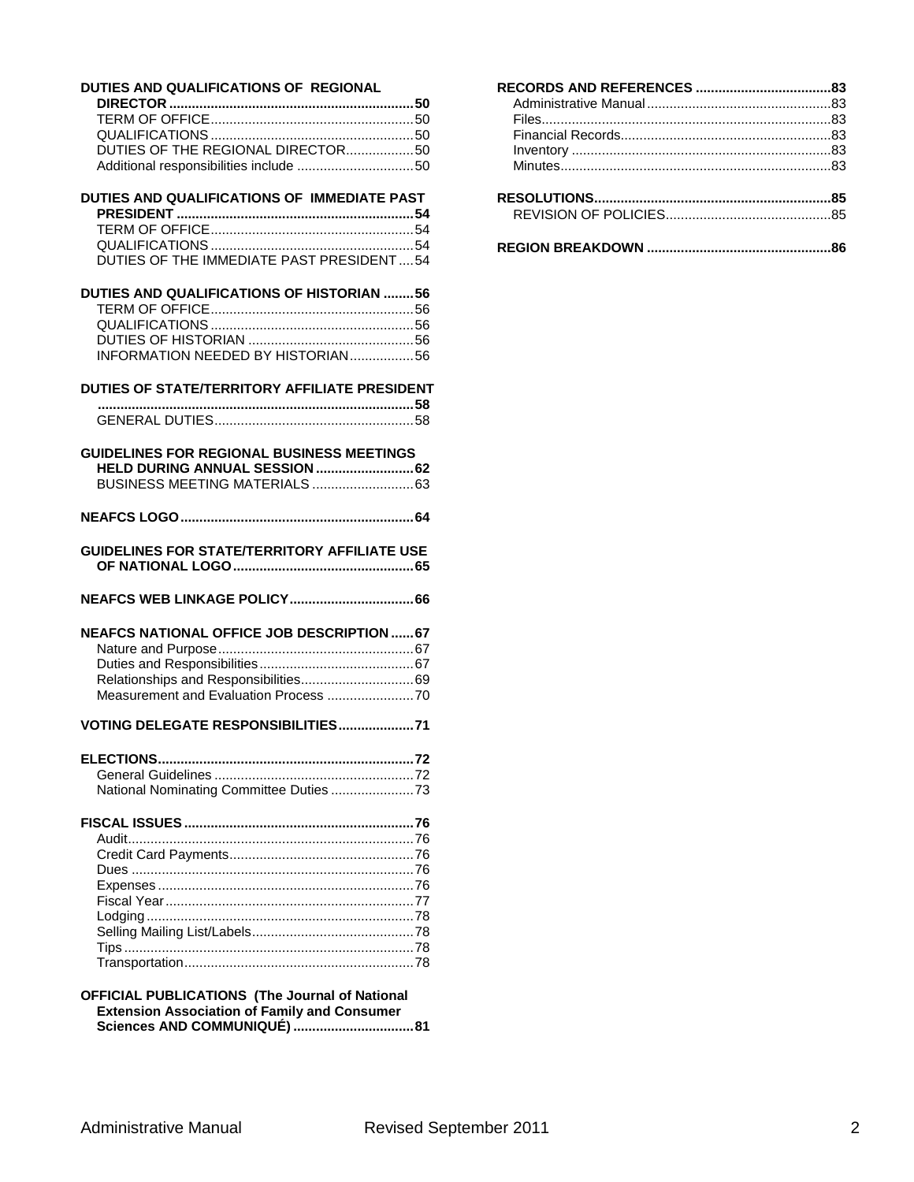#### **[DUTIES AND QUALIFICATIONS OF REGIONAL](#page-49-0)**

| DUTIES OF THE REGIONAL DIRECTOR50 |  |
|-----------------------------------|--|
|                                   |  |

#### **[DUTIES AND QUALIFICATIONS OF IMMEDIATE PAST](#page-53-0)  PRESIDENT [...............................................................54](#page-53-0)** [TERM OF OFFICE......................................................54](#page-53-1) [QUALIFICATIONS......................................................54](#page-53-2) [DUTIES OF THE IMMEDIATE PAST PRESIDENT....54](#page-53-3)

| DUTIES AND QUALIFICATIONS OF HISTORIAN 56 |  |
|-------------------------------------------|--|
|                                           |  |
|                                           |  |
|                                           |  |
| INFORMATION NEEDED BY HISTORIAN56         |  |

| DUTIES OF STATE/TERRITORY AFFILIATE PRESIDENT |  |
|-----------------------------------------------|--|
|                                               |  |
|                                               |  |

| <b>GUIDELINES FOR REGIONAL BUSINESS MEETINGS</b> |  |
|--------------------------------------------------|--|
|                                                  |  |
|                                                  |  |

**[NEAFCS LOGO..............................................................64](#page-63-0)**

- **[GUIDELINES FOR STATE/TERRITORY AFFILIATE USE](#page-64-0)  [OF NATIONAL LOGO................................................65](#page-64-0)**
- **[NEAFCS WEB LINKAGE POLICY.................................66](#page-65-0)**

| <b>NEAFCS NATIONAL OFFICE JOB DESCRIPTION  67</b> |  |
|---------------------------------------------------|--|
|                                                   |  |
|                                                   |  |
|                                                   |  |
|                                                   |  |
|                                                   |  |

#### **[VOTING DELEGATE RESPONSIBILITIES....................71](#page-70-0)**

#### **[OFFICIAL PUBLICATIONS \(The Journal of National](#page-80-0)  [Extension Association of Family and Consumer](#page-80-0)  [Sciences AND COMMUNIQUÉ\)](#page-80-0) ................................81**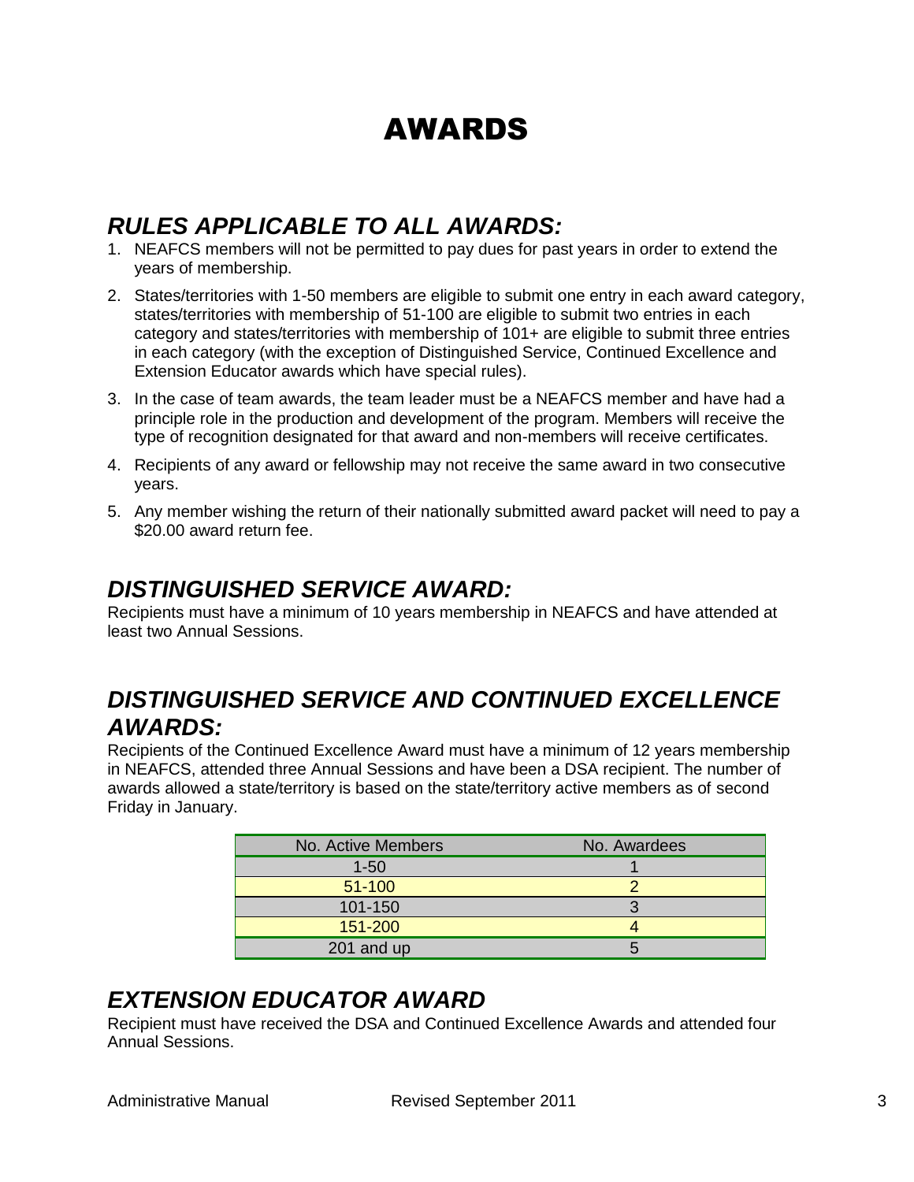# AWARDS

## <span id="page-2-1"></span><span id="page-2-0"></span>*RULES APPLICABLE TO ALL AWARDS:*

- 1. NEAFCS members will not be permitted to pay dues for past years in order to extend the years of membership.
- 2. States/territories with 1-50 members are eligible to submit one entry in each award category, states/territories with membership of 51-100 are eligible to submit two entries in each category and states/territories with membership of 101+ are eligible to submit three entries in each category (with the exception of Distinguished Service, Continued Excellence and Extension Educator awards which have special rules).
- 3. In the case of team awards, the team leader must be a NEAFCS member and have had a principle role in the production and development of the program. Members will receive the type of recognition designated for that award and non-members will receive certificates.
- 4. Recipients of any award or fellowship may not receive the same award in two consecutive years.
- 5. Any member wishing the return of their nationally submitted award packet will need to pay a \$20.00 award return fee.

## <span id="page-2-2"></span>*DISTINGUISHED SERVICE AWARD:*

Recipients must have a minimum of 10 years membership in NEAFCS and have attended at least two Annual Sessions.

## <span id="page-2-3"></span>*DISTINGUISHED SERVICE AND CONTINUED EXCELLENCE AWARDS:*

Recipients of the Continued Excellence Award must have a minimum of 12 years membership in NEAFCS, attended three Annual Sessions and have been a DSA recipient. The number of awards allowed a state/territory is based on the state/territory active members as of second Friday in January.

| No. Active Members | No. Awardees |
|--------------------|--------------|
| $1 - 50$           |              |
| $51 - 100$         |              |
| 101-150            |              |
| 151-200            |              |
| 201 and up         |              |

## <span id="page-2-4"></span>*EXTENSION EDUCATOR AWARD*

Recipient must have received the DSA and Continued Excellence Awards and attended four Annual Sessions.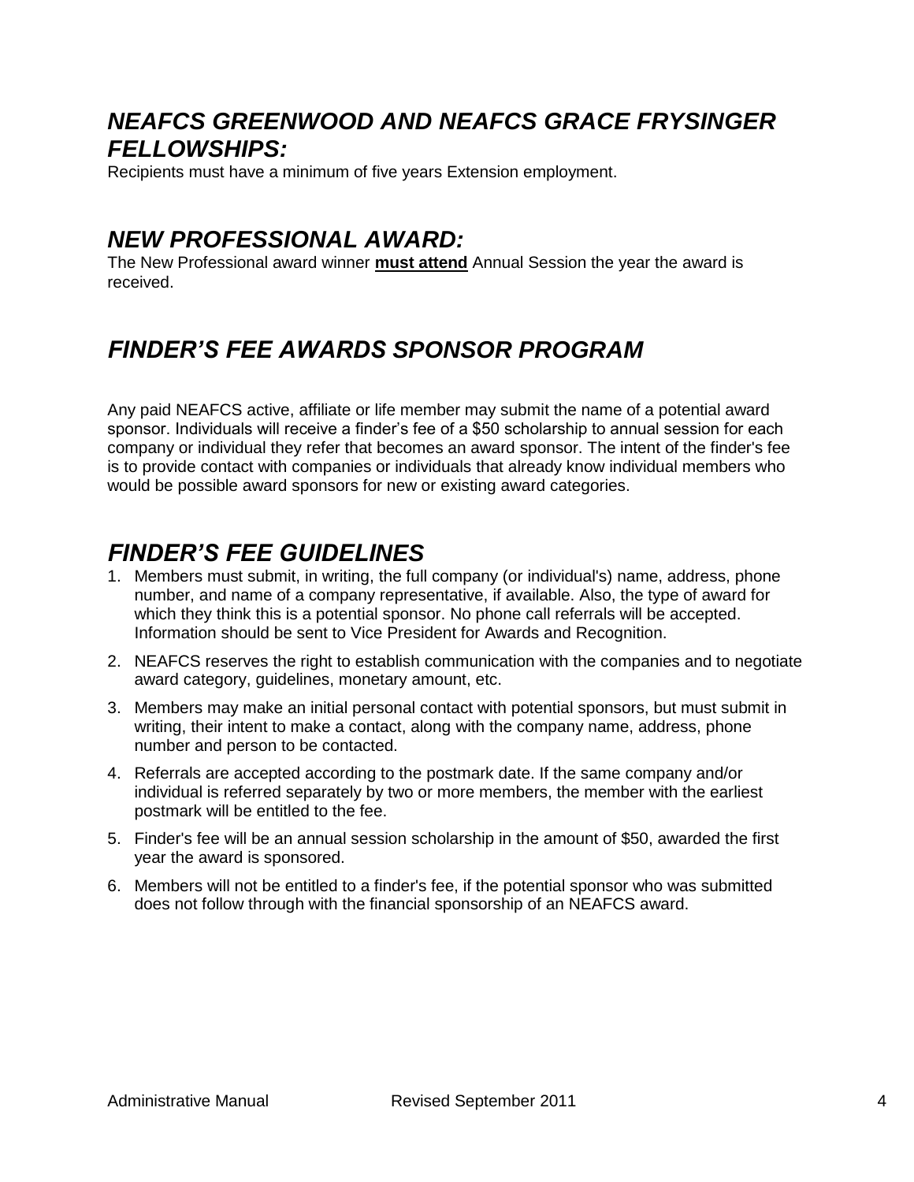## <span id="page-3-0"></span>*NEAFCS GREENWOOD AND NEAFCS GRACE FRYSINGER FELLOWSHIPS:*

Recipients must have a minimum of five years Extension employment.

## <span id="page-3-1"></span>*NEW PROFESSIONAL AWARD:*

The New Professional award winner **must attend** Annual Session the year the award is received.

## <span id="page-3-2"></span>*FINDER'S FEE AWARDS SPONSOR PROGRAM*

Any paid NEAFCS active, affiliate or life member may submit the name of a potential award sponsor. Individuals will receive a finder's fee of a \$50 scholarship to annual session for each company or individual they refer that becomes an award sponsor. The intent of the finder's fee is to provide contact with companies or individuals that already know individual members who would be possible award sponsors for new or existing award categories.

## <span id="page-3-3"></span>*FINDER'S FEE GUIDELINES*

- 1. Members must submit, in writing, the full company (or individual's) name, address, phone number, and name of a company representative, if available. Also, the type of award for which they think this is a potential sponsor. No phone call referrals will be accepted. Information should be sent to Vice President for Awards and Recognition.
- 2. NEAFCS reserves the right to establish communication with the companies and to negotiate award category, guidelines, monetary amount, etc.
- 3. Members may make an initial personal contact with potential sponsors, but must submit in writing, their intent to make a contact, along with the company name, address, phone number and person to be contacted.
- 4. Referrals are accepted according to the postmark date. If the same company and/or individual is referred separately by two or more members, the member with the earliest postmark will be entitled to the fee.
- 5. Finder's fee will be an annual session scholarship in the amount of \$50, awarded the first year the award is sponsored.
- 6. Members will not be entitled to a finder's fee, if the potential sponsor who was submitted does not follow through with the financial sponsorship of an NEAFCS award.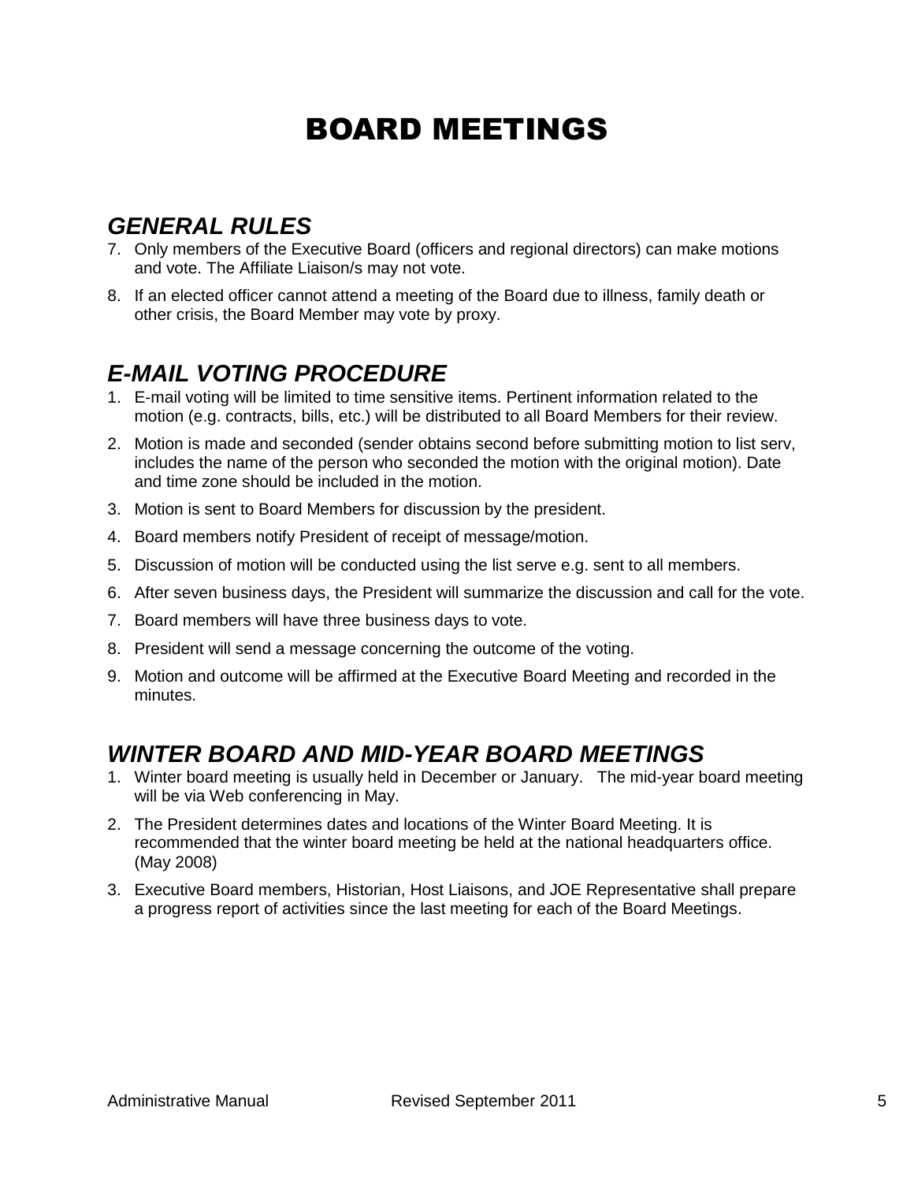# BOARD MEETINGS

## <span id="page-4-1"></span><span id="page-4-0"></span>*GENERAL RULES*

- 7. Only members of the Executive Board (officers and regional directors) can make motions and vote. The Affiliate Liaison/s may not vote.
- 8. If an elected officer cannot attend a meeting of the Board due to illness, family death or other crisis, the Board Member may vote by proxy.

## <span id="page-4-2"></span>*E-MAIL VOTING PROCEDURE*

- 1. E-mail voting will be limited to time sensitive items. Pertinent information related to the motion (e.g. contracts, bills, etc.) will be distributed to all Board Members for their review.
- 2. Motion is made and seconded (sender obtains second before submitting motion to list serv, includes the name of the person who seconded the motion with the original motion). Date and time zone should be included in the motion.
- 3. Motion is sent to Board Members for discussion by the president.
- 4. Board members notify President of receipt of message/motion.
- 5. Discussion of motion will be conducted using the list serve e.g. sent to all members.
- 6. After seven business days, the President will summarize the discussion and call for the vote.
- 7. Board members will have three business days to vote.
- 8. President will send a message concerning the outcome of the voting.
- 9. Motion and outcome will be affirmed at the Executive Board Meeting and recorded in the minutes.

## <span id="page-4-3"></span>*WINTER BOARD AND MID-YEAR BOARD MEETINGS*

- 1. Winter board meeting is usually held in December or January. The mid-year board meeting will be via Web conferencing in May.
- 2. The President determines dates and locations of the Winter Board Meeting. It is recommended that the winter board meeting be held at the national headquarters office. (May 2008)
- 3. Executive Board members, Historian, Host Liaisons, and JOE Representative shall prepare a progress report of activities since the last meeting for each of the Board Meetings.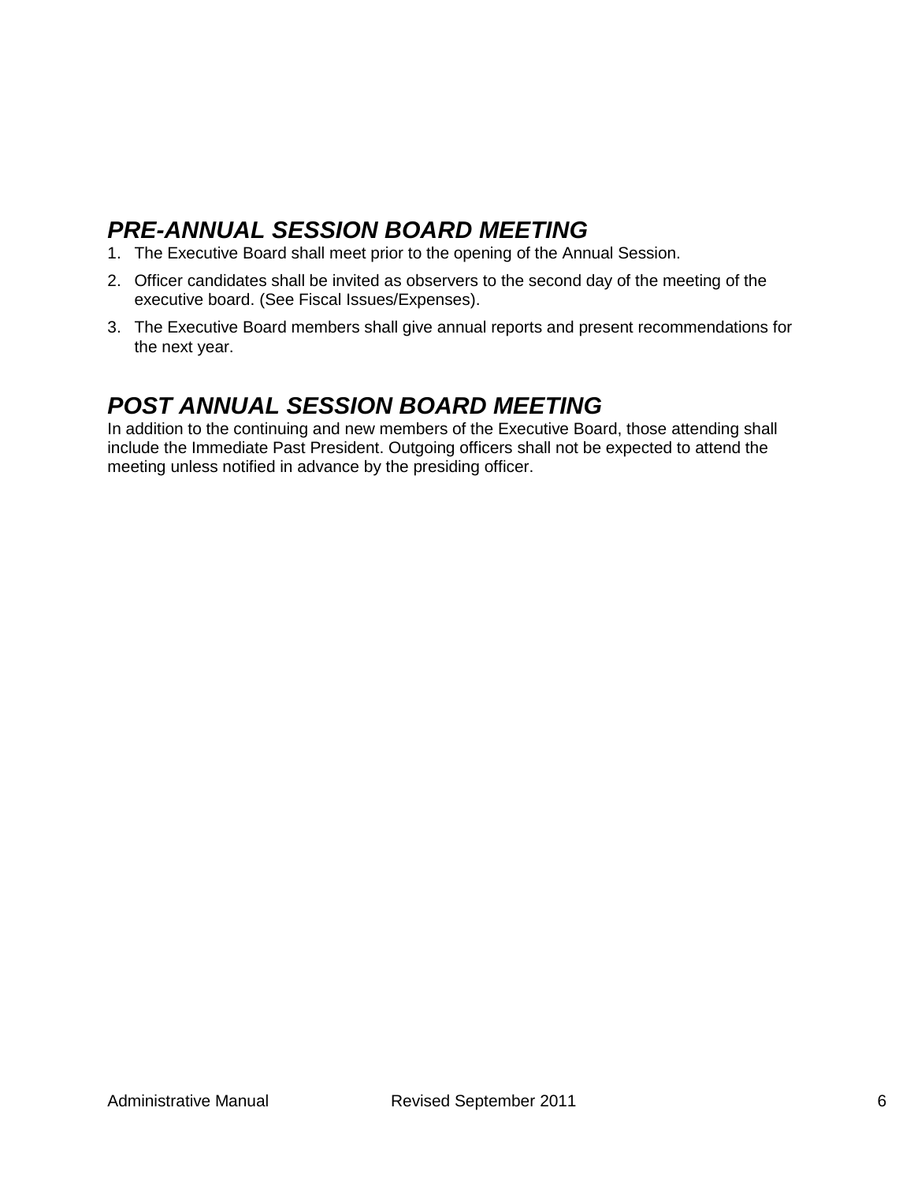# <span id="page-5-0"></span>*PRE-ANNUAL SESSION BOARD MEETING*

- 1. The Executive Board shall meet prior to the opening of the Annual Session.
- 2. Officer candidates shall be invited as observers to the second day of the meeting of the executive board. (See Fiscal Issues/Expenses).
- 3. The Executive Board members shall give annual reports and present recommendations for the next year.

## <span id="page-5-1"></span>*POST ANNUAL SESSION BOARD MEETING*

In addition to the continuing and new members of the Executive Board, those attending shall include the Immediate Past President. Outgoing officers shall not be expected to attend the meeting unless notified in advance by the presiding officer.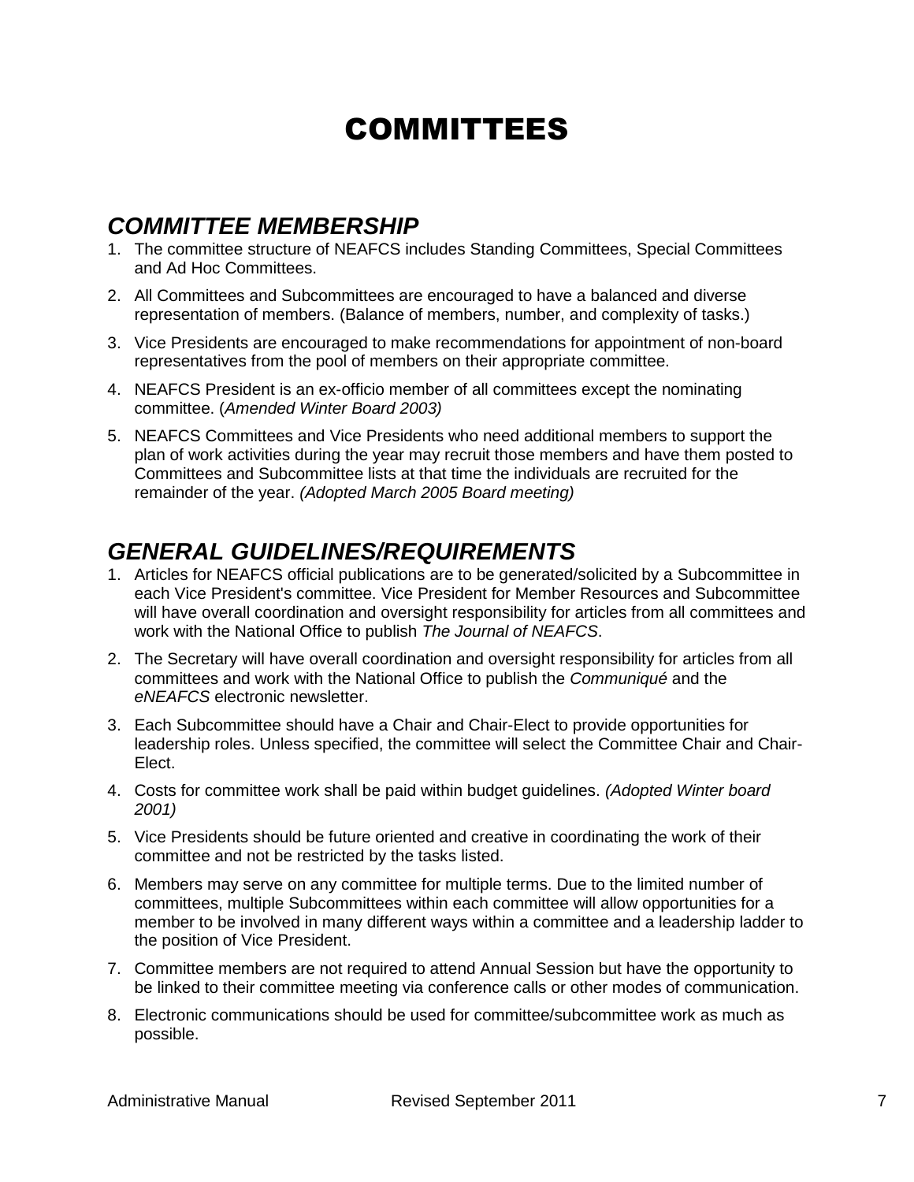# COMMITTEES

## <span id="page-6-1"></span><span id="page-6-0"></span>*COMMITTEE MEMBERSHIP*

- 1. The committee structure of NEAFCS includes Standing Committees, Special Committees and Ad Hoc Committees.
- 2. All Committees and Subcommittees are encouraged to have a balanced and diverse representation of members. (Balance of members, number, and complexity of tasks.)
- 3. Vice Presidents are encouraged to make recommendations for appointment of non-board representatives from the pool of members on their appropriate committee.
- 4. NEAFCS President is an ex-officio member of all committees except the nominating committee. (*Amended Winter Board 2003)*
- 5. NEAFCS Committees and Vice Presidents who need additional members to support the plan of work activities during the year may recruit those members and have them posted to Committees and Subcommittee lists at that time the individuals are recruited for the remainder of the year. *(Adopted March 2005 Board meeting)*

## <span id="page-6-2"></span>*GENERAL GUIDELINES/REQUIREMENTS*

- 1. Articles for NEAFCS official publications are to be generated/solicited by a Subcommittee in each Vice President's committee. Vice President for Member Resources and Subcommittee will have overall coordination and oversight responsibility for articles from all committees and work with the National Office to publish *The Journal of NEAFCS*.
- 2. The Secretary will have overall coordination and oversight responsibility for articles from all committees and work with the National Office to publish the *Communiqué* and the *eNEAFCS* electronic newsletter.
- 3. Each Subcommittee should have a Chair and Chair-Elect to provide opportunities for leadership roles. Unless specified, the committee will select the Committee Chair and Chair-Elect.
- 4. Costs for committee work shall be paid within budget guidelines. *(Adopted Winter board 2001)*
- 5. Vice Presidents should be future oriented and creative in coordinating the work of their committee and not be restricted by the tasks listed.
- 6. Members may serve on any committee for multiple terms. Due to the limited number of committees, multiple Subcommittees within each committee will allow opportunities for a member to be involved in many different ways within a committee and a leadership ladder to the position of Vice President.
- 7. Committee members are not required to attend Annual Session but have the opportunity to be linked to their committee meeting via conference calls or other modes of communication.
- 8. Electronic communications should be used for committee/subcommittee work as much as possible.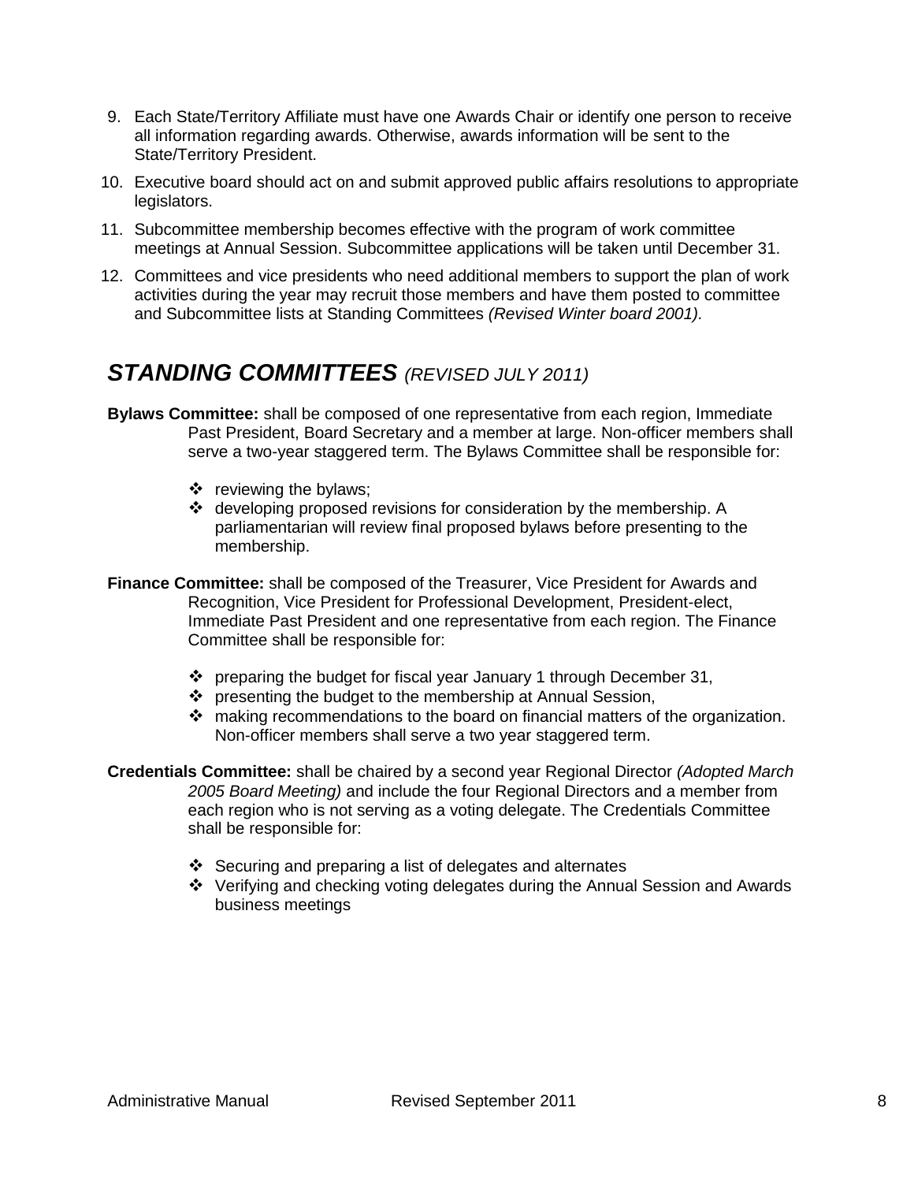- 9. Each State/Territory Affiliate must have one Awards Chair or identify one person to receive all information regarding awards. Otherwise, awards information will be sent to the State/Territory President.
- 10. Executive board should act on and submit approved public affairs resolutions to appropriate legislators.
- 11. Subcommittee membership becomes effective with the program of work committee meetings at Annual Session. Subcommittee applications will be taken until December 31.
- 12. Committees and vice presidents who need additional members to support the plan of work activities during the year may recruit those members and have them posted to committee and Subcommittee lists at Standing Committees *(Revised Winter board 2001).*

## <span id="page-7-0"></span>*STANDING COMMITTEES (REVISED JULY 2011)*

- **Bylaws Committee:** shall be composed of one representative from each region, Immediate Past President, Board Secretary and a member at large. Non-officer members shall serve a two-year staggered term. The Bylaws Committee shall be responsible for:
	- $\div$  reviewing the bylaws;
	- $\cdot$  developing proposed revisions for consideration by the membership. A parliamentarian will review final proposed bylaws before presenting to the membership.
- **Finance Committee:** shall be composed of the Treasurer, Vice President for Awards and Recognition, Vice President for Professional Development, President-elect, Immediate Past President and one representative from each region. The Finance Committee shall be responsible for:
	- $\cdot \cdot$  preparing the budget for fiscal year January 1 through December 31,
	- ❖ presenting the budget to the membership at Annual Session,
	- $\clubsuit$  making recommendations to the board on financial matters of the organization. Non-officer members shall serve a two year staggered term.
- **Credentials Committee:** shall be chaired by a second year Regional Director *(Adopted March 2005 Board Meeting)* and include the four Regional Directors and a member from each region who is not serving as a voting delegate. The Credentials Committee shall be responsible for:
	- $\div$  Securing and preparing a list of delegates and alternates
	- Verifying and checking voting delegates during the Annual Session and Awards business meetings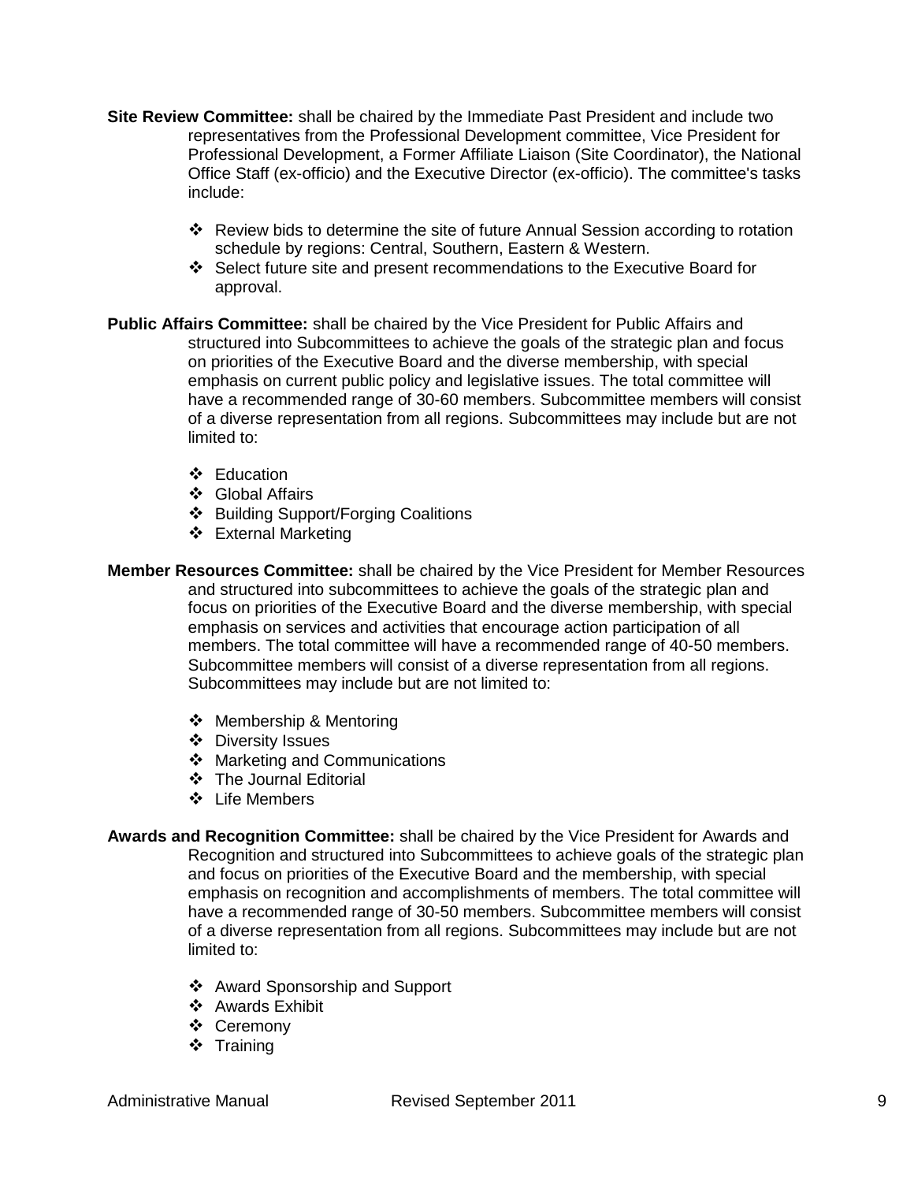- **Site Review Committee:** shall be chaired by the Immediate Past President and include two representatives from the Professional Development committee, Vice President for Professional Development, a Former Affiliate Liaison (Site Coordinator), the National Office Staff (ex-officio) and the Executive Director (ex-officio). The committee's tasks include:
	- \* Review bids to determine the site of future Annual Session according to rotation schedule by regions: Central, Southern, Eastern & Western.
	- Select future site and present recommendations to the Executive Board for approval.
- **Public Affairs Committee:** shall be chaired by the Vice President for Public Affairs and structured into Subcommittees to achieve the goals of the strategic plan and focus on priorities of the Executive Board and the diverse membership, with special emphasis on current public policy and legislative issues. The total committee will have a recommended range of 30-60 members. Subcommittee members will consist of a diverse representation from all regions. Subcommittees may include but are not limited to:
	- ❖ Education
	- Global Affairs
	- ❖ Building Support/Forging Coalitions
	- External Marketing
- **Member Resources Committee:** shall be chaired by the Vice President for Member Resources and structured into subcommittees to achieve the goals of the strategic plan and focus on priorities of the Executive Board and the diverse membership, with special emphasis on services and activities that encourage action participation of all members. The total committee will have a recommended range of 40-50 members. Subcommittee members will consist of a diverse representation from all regions. Subcommittees may include but are not limited to:
	- ❖ Membership & Mentoring
	- ❖ Diversity Issues
	- ❖ Marketing and Communications
	- ❖ The Journal Editorial
	- ❖ Life Members
- **Awards and Recognition Committee:** shall be chaired by the Vice President for Awards and Recognition and structured into Subcommittees to achieve goals of the strategic plan and focus on priorities of the Executive Board and the membership, with special emphasis on recognition and accomplishments of members. The total committee will have a recommended range of 30-50 members. Subcommittee members will consist of a diverse representation from all regions. Subcommittees may include but are not limited to:
	- Award Sponsorship and Support
	- ❖ Awards Exhibit
	- Ceremony
	- ❖ Training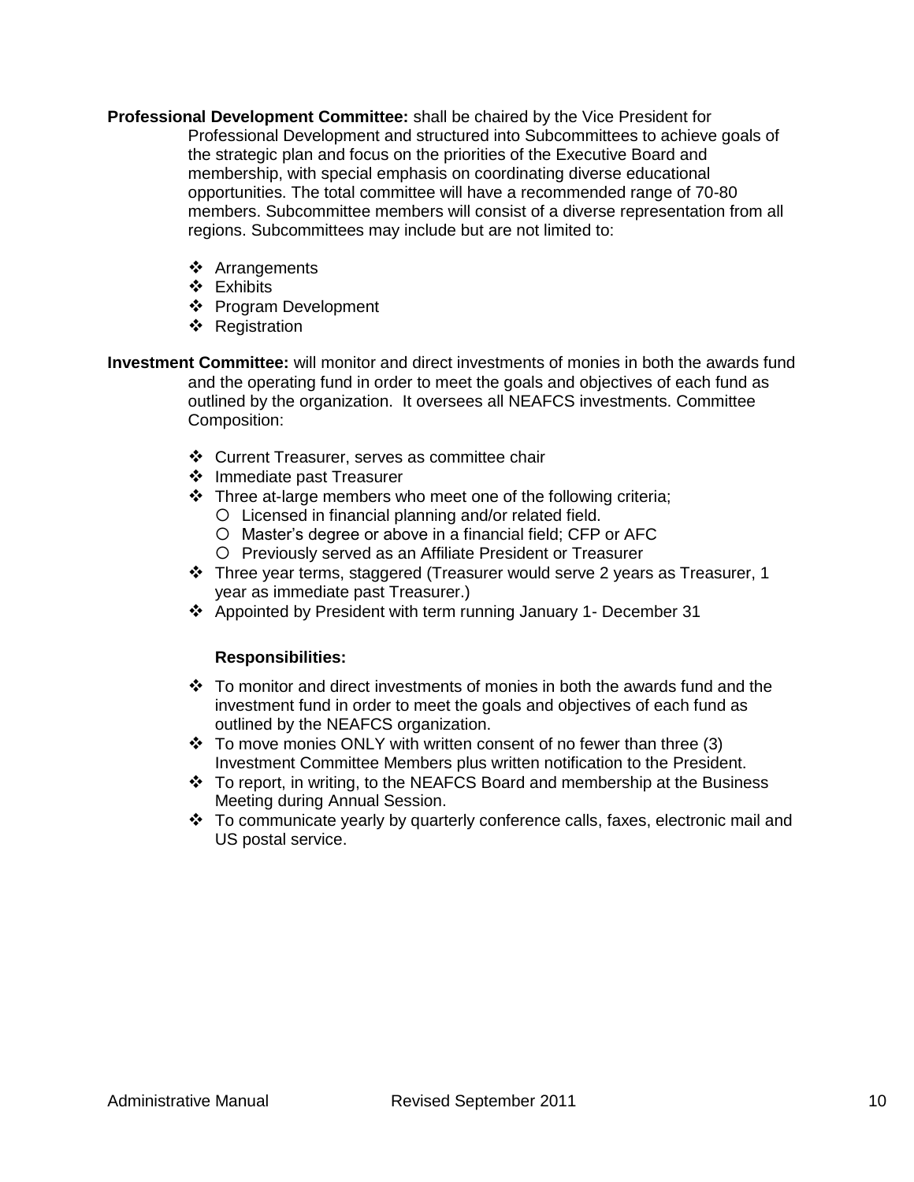- **Professional Development Committee:** shall be chaired by the Vice President for Professional Development and structured into Subcommittees to achieve goals of the strategic plan and focus on the priorities of the Executive Board and membership, with special emphasis on coordinating diverse educational opportunities. The total committee will have a recommended range of 70-80 members. Subcommittee members will consist of a diverse representation from all regions. Subcommittees may include but are not limited to:
	- Arrangements
	- Exhibits
	- Program Development
	- ❖ Registration
- **Investment Committee:** will monitor and direct investments of monies in both the awards fund and the operating fund in order to meet the goals and objectives of each fund as outlined by the organization. It oversees all NEAFCS investments. Committee Composition:
	- Current Treasurer, serves as committee chair
	- ❖ Immediate past Treasurer
	- \* Three at-large members who meet one of the following criteria;
		- Licensed in financial planning and/or related field.
		- Master's degree or above in a financial field; CFP or AFC
		- Previously served as an Affiliate President or Treasurer
	- Three year terms, staggered (Treasurer would serve 2 years as Treasurer, 1 year as immediate past Treasurer.)
	- Appointed by President with term running January 1- December 31

#### **Responsibilities:**

- $\div$  To monitor and direct investments of monies in both the awards fund and the investment fund in order to meet the goals and objectives of each fund as outlined by the NEAFCS organization.
- $\div$  To move monies ONLY with written consent of no fewer than three (3) Investment Committee Members plus written notification to the President.
- $\cdot \cdot$  To report, in writing, to the NEAFCS Board and membership at the Business Meeting during Annual Session.
- \* To communicate yearly by quarterly conference calls, faxes, electronic mail and US postal service.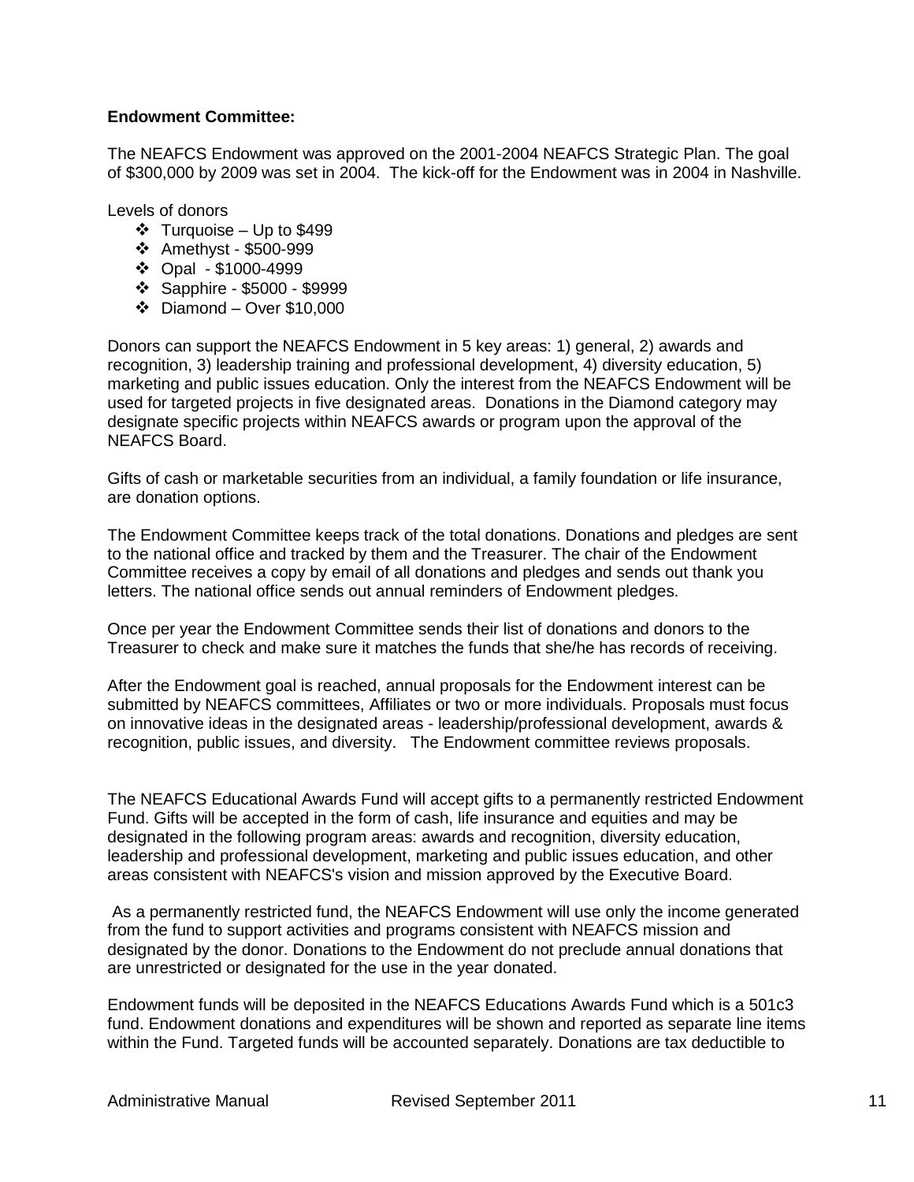#### **Endowment Committee:**

The NEAFCS Endowment was approved on the 2001-2004 NEAFCS Strategic Plan. The goal of \$300,000 by 2009 was set in 2004. The kick-off for the Endowment was in 2004 in Nashville.

Levels of donors

- $\div$  Turquoise Up to \$499
- Amethyst \$500-999
- Opal \$1000-4999
- Sapphire \$5000 \$9999
- $\div$  Diamond Over \$10,000

Donors can support the NEAFCS Endowment in 5 key areas: 1) general, 2) awards and recognition, 3) leadership training and professional development, 4) diversity education, 5) marketing and public issues education. Only the interest from the NEAFCS Endowment will be used for targeted projects in five designated areas. Donations in the Diamond category may designate specific projects within NEAFCS awards or program upon the approval of the NEAFCS Board.

Gifts of cash or marketable securities from an individual, a family foundation or life insurance, are donation options.

The Endowment Committee keeps track of the total donations. Donations and pledges are sent to the national office and tracked by them and the Treasurer. The chair of the Endowment Committee receives a copy by email of all donations and pledges and sends out thank you letters. The national office sends out annual reminders of Endowment pledges.

Once per year the Endowment Committee sends their list of donations and donors to the Treasurer to check and make sure it matches the funds that she/he has records of receiving.

After the Endowment goal is reached, annual proposals for the Endowment interest can be submitted by NEAFCS committees, Affiliates or two or more individuals. Proposals must focus on innovative ideas in the designated areas - leadership/professional development, awards & recognition, public issues, and diversity. The Endowment committee reviews proposals.

The NEAFCS Educational Awards Fund will accept gifts to a permanently restricted Endowment Fund. Gifts will be accepted in the form of cash, life insurance and equities and may be designated in the following program areas: awards and recognition, diversity education, leadership and professional development, marketing and public issues education, and other areas consistent with NEAFCS's vision and mission approved by the Executive Board.

As a permanently restricted fund, the NEAFCS Endowment will use only the income generated from the fund to support activities and programs consistent with NEAFCS mission and designated by the donor. Donations to the Endowment do not preclude annual donations that are unrestricted or designated for the use in the year donated.

Endowment funds will be deposited in the NEAFCS Educations Awards Fund which is a 501c3 fund. Endowment donations and expenditures will be shown and reported as separate line items within the Fund. Targeted funds will be accounted separately. Donations are tax deductible to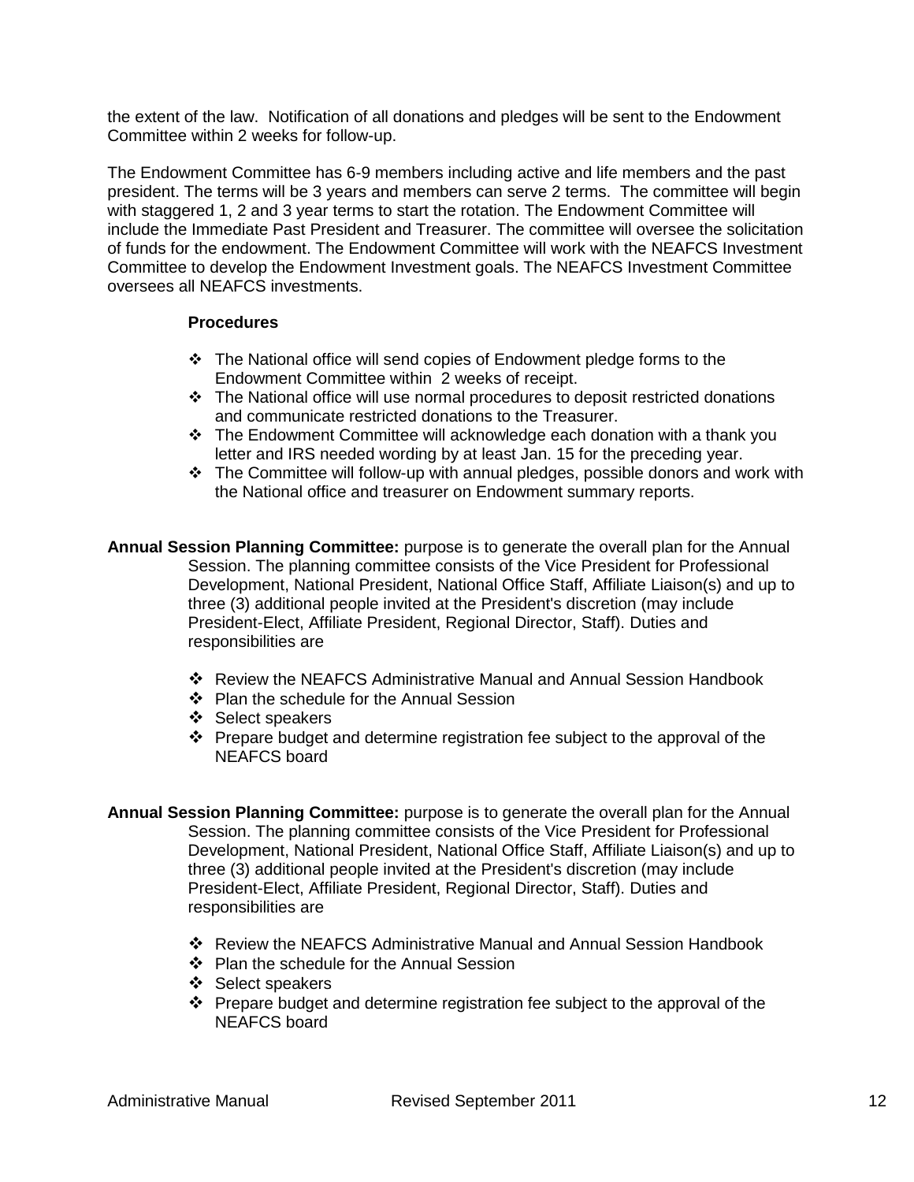the extent of the law. Notification of all donations and pledges will be sent to the Endowment Committee within 2 weeks for follow-up.

The Endowment Committee has 6-9 members including active and life members and the past president. The terms will be 3 years and members can serve 2 terms. The committee will begin with staggered 1, 2 and 3 year terms to start the rotation. The Endowment Committee will include the Immediate Past President and Treasurer. The committee will oversee the solicitation of funds for the endowment. The Endowment Committee will work with the NEAFCS Investment Committee to develop the Endowment Investment goals. The NEAFCS Investment Committee oversees all NEAFCS investments.

#### **Procedures**

- The National office will send copies of Endowment pledge forms to the Endowment Committee within 2 weeks of receipt.
- The National office will use normal procedures to deposit restricted donations and communicate restricted donations to the Treasurer.
- \* The Endowment Committee will acknowledge each donation with a thank you letter and IRS needed wording by at least Jan. 15 for the preceding year.
- \* The Committee will follow-up with annual pledges, possible donors and work with the National office and treasurer on Endowment summary reports.
- **Annual Session Planning Committee:** purpose is to generate the overall plan for the Annual Session. The planning committee consists of the Vice President for Professional Development, National President, National Office Staff, Affiliate Liaison(s) and up to three (3) additional people invited at the President's discretion (may include President-Elect, Affiliate President, Regional Director, Staff). Duties and responsibilities are
	- Review the NEAFCS Administrative Manual and Annual Session Handbook
	- Plan the schedule for the Annual Session
	- ❖ Select speakers
	- $\cdot \cdot$  Prepare budget and determine registration fee subject to the approval of the NEAFCS board
- **Annual Session Planning Committee:** purpose is to generate the overall plan for the Annual Session. The planning committee consists of the Vice President for Professional Development, National President, National Office Staff, Affiliate Liaison(s) and up to three (3) additional people invited at the President's discretion (may include President-Elect, Affiliate President, Regional Director, Staff). Duties and responsibilities are
	- Review the NEAFCS Administrative Manual and Annual Session Handbook
	- ❖ Plan the schedule for the Annual Session
	- ❖ Select speakers
	- Prepare budget and determine registration fee subject to the approval of the NEAFCS board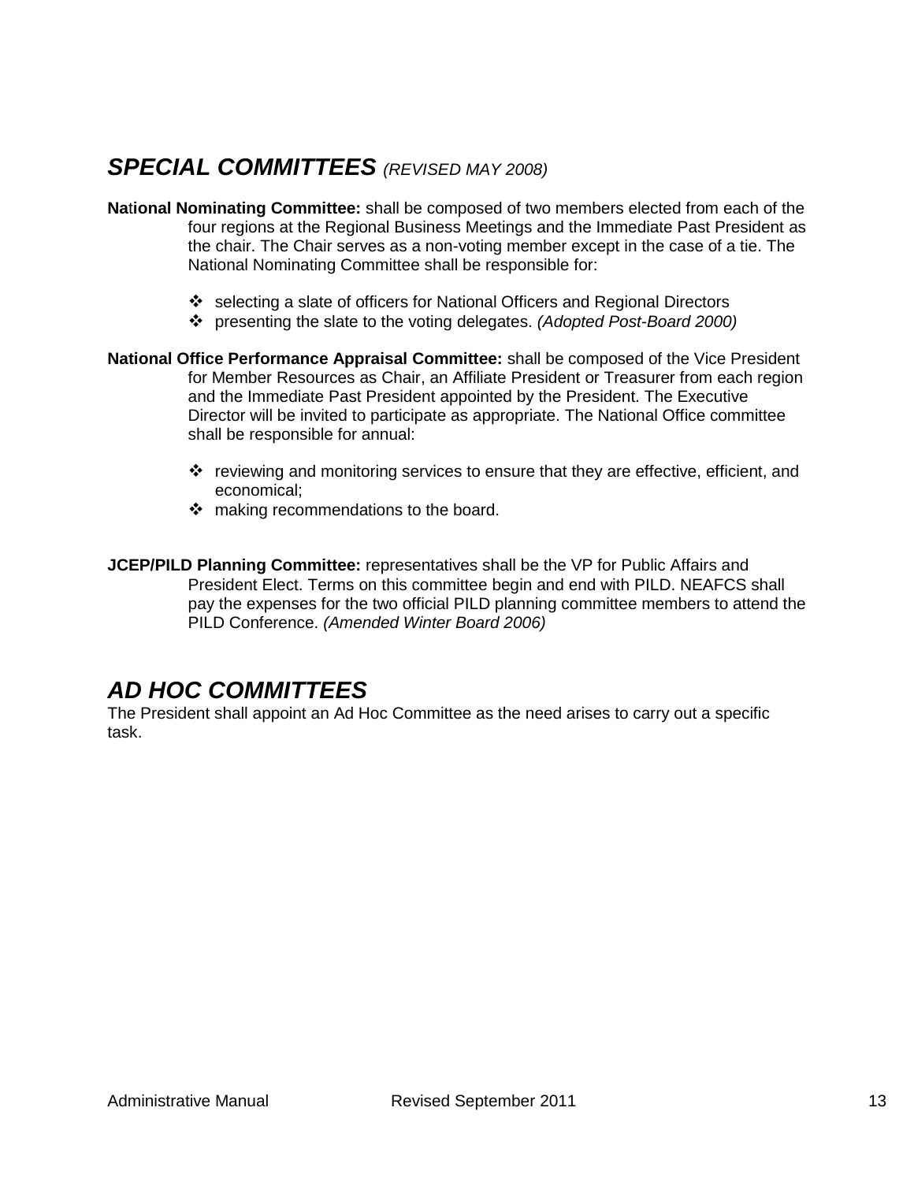## <span id="page-12-0"></span>*SPECIAL COMMITTEES (REVISED MAY 2008)*

- **Na**t**ional Nominating Committee:** shall be composed of two members elected from each of the four regions at the Regional Business Meetings and the Immediate Past President as the chair. The Chair serves as a non-voting member except in the case of a tie. The National Nominating Committee shall be responsible for:
	- $\div$  selecting a slate of officers for National Officers and Regional Directors
	- presenting the slate to the voting delegates. *(Adopted Post-Board 2000)*
- **National Office Performance Appraisal Committee:** shall be composed of the Vice President for Member Resources as Chair, an Affiliate President or Treasurer from each region and the Immediate Past President appointed by the President. The Executive Director will be invited to participate as appropriate. The National Office committee shall be responsible for annual:
	- v reviewing and monitoring services to ensure that they are effective, efficient, and economical;
	- making recommendations to the board.

**JCEP/PILD Planning Committee:** representatives shall be the VP for Public Affairs and President Elect. Terms on this committee begin and end with PILD. NEAFCS shall pay the expenses for the two official PILD planning committee members to attend the PILD Conference. *(Amended Winter Board 2006)*

## <span id="page-12-1"></span>*AD HOC COMMITTEES*

The President shall appoint an Ad Hoc Committee as the need arises to carry out a specific task.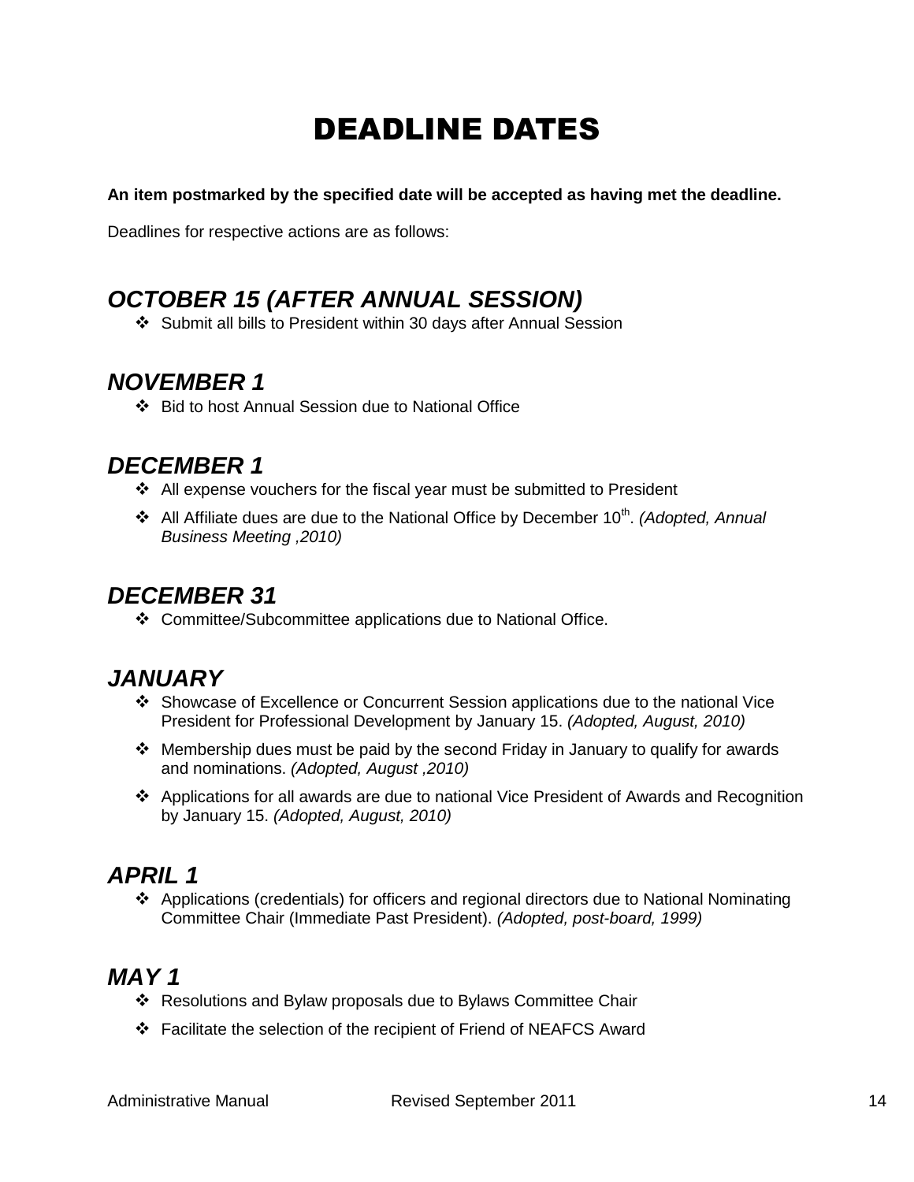# DEADLINE DATES

<span id="page-13-0"></span>**An item postmarked by the specified date will be accepted as having met the deadline.**

Deadlines for respective actions are as follows:

## <span id="page-13-1"></span>*OCTOBER 15 (AFTER ANNUAL SESSION)*

Submit all bills to President within 30 days after Annual Session

## <span id="page-13-2"></span>*NOVEMBER 1*

Bid to host Annual Session due to National Office

## <span id="page-13-3"></span>*DECEMBER 1*

- $\div$  All expense vouchers for the fiscal year must be submitted to President
- **❖** All Affiliate dues are due to the National Office by December 10<sup>th</sup>. (Adopted, Annual *Business Meeting ,2010)*

## <span id="page-13-4"></span>*DECEMBER 31*

Committee/Subcommittee applications due to National Office.

## <span id="page-13-5"></span>*JANUARY*

- Showcase of Excellence or Concurrent Session applications due to the national Vice President for Professional Development by January 15. *(Adopted, August, 2010)*
- Membership dues must be paid by the second Friday in January to qualify for awards and nominations. *(Adopted, August ,2010)*
- Applications for all awards are due to national Vice President of Awards and Recognition by January 15. *(Adopted, August, 2010)*

## <span id="page-13-6"></span>*APRIL 1*

 Applications (credentials) for officers and regional directors due to National Nominating Committee Chair (Immediate Past President). *(Adopted, post-board, 1999)*

# <span id="page-13-7"></span>*MAY 1*

- ❖ Resolutions and Bylaw proposals due to Bylaws Committee Chair
- Facilitate the selection of the recipient of Friend of NEAFCS Award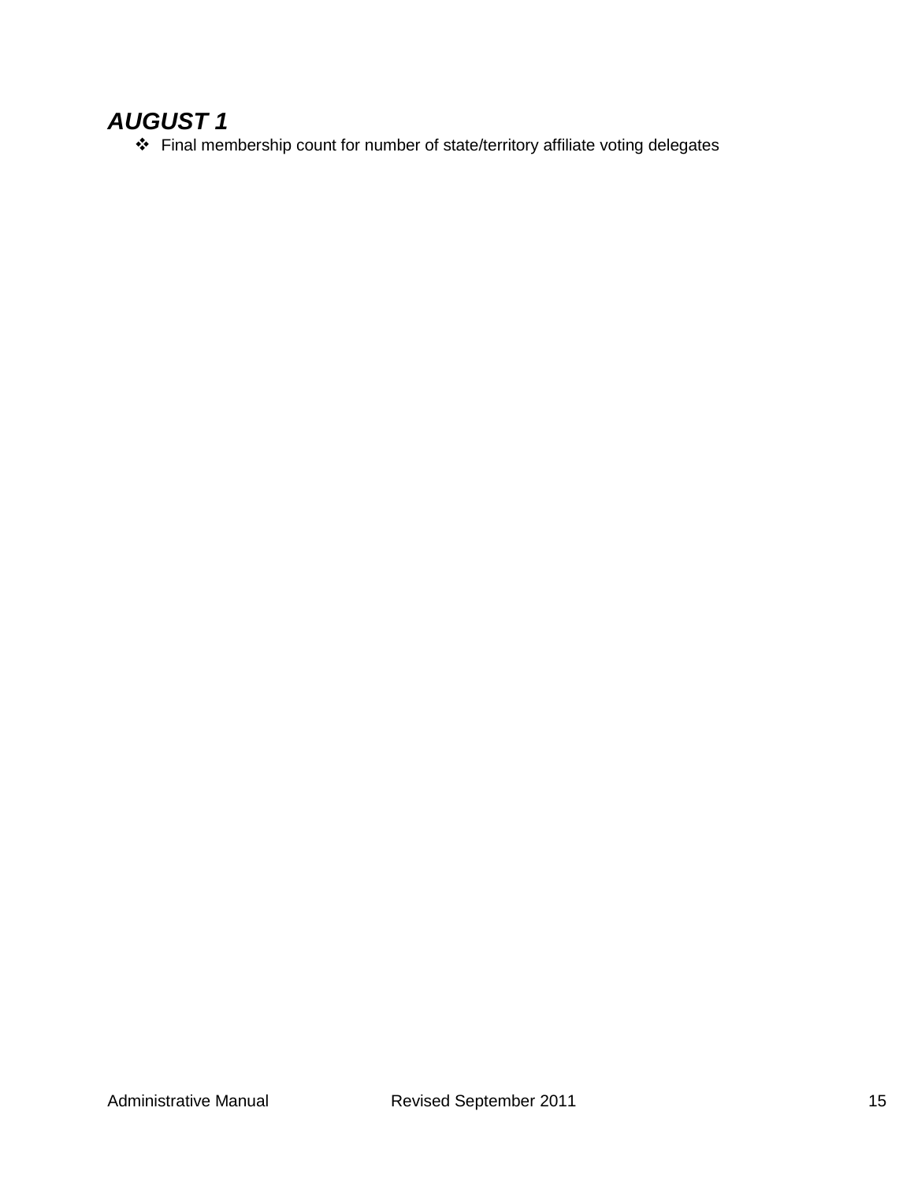# <span id="page-14-0"></span>*AUGUST 1*

Final membership count for number of state/territory affiliate voting delegates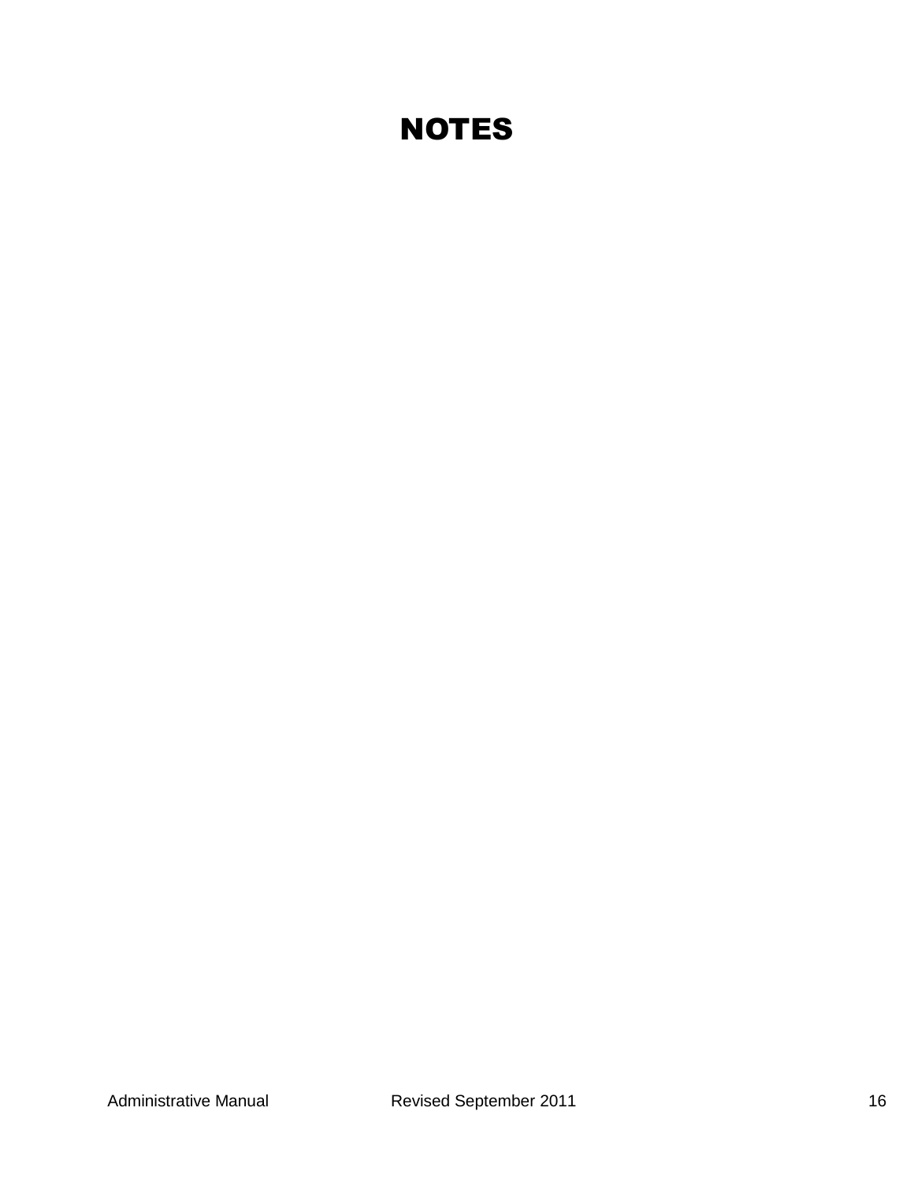# **NOTES**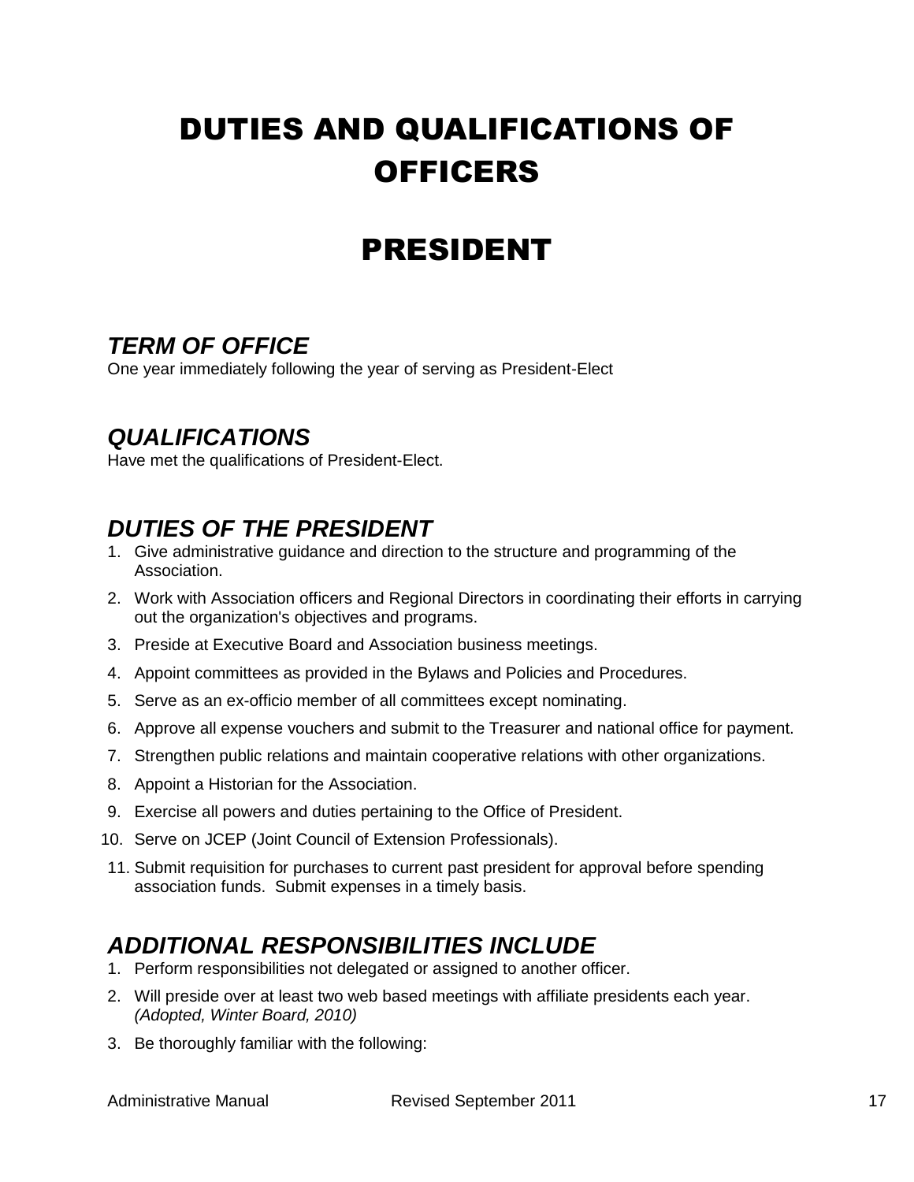# <span id="page-16-0"></span>DUTIES AND QUALIFICATIONS OF **OFFICERS**

# PRESIDENT

## <span id="page-16-2"></span><span id="page-16-1"></span>*TERM OF OFFICE*

One year immediately following the year of serving as President-Elect

## <span id="page-16-3"></span>*QUALIFICATIONS*

Have met the qualifications of President-Elect.

# <span id="page-16-4"></span>*DUTIES OF THE PRESIDENT*

- 1. Give administrative guidance and direction to the structure and programming of the Association.
- 2. Work with Association officers and Regional Directors in coordinating their efforts in carrying out the organization's objectives and programs.
- 3. Preside at Executive Board and Association business meetings.
- 4. Appoint committees as provided in the Bylaws and Policies and Procedures.
- 5. Serve as an ex-officio member of all committees except nominating.
- 6. Approve all expense vouchers and submit to the Treasurer and national office for payment.
- 7. Strengthen public relations and maintain cooperative relations with other organizations.
- 8. Appoint a Historian for the Association.
- 9. Exercise all powers and duties pertaining to the Office of President.
- 10. Serve on JCEP (Joint Council of Extension Professionals).
- 11. Submit requisition for purchases to current past president for approval before spending association funds. Submit expenses in a timely basis.

# <span id="page-16-5"></span>*ADDITIONAL RESPONSIBILITIES INCLUDE*

- 1. Perform responsibilities not delegated or assigned to another officer.
- 2. Will preside over at least two web based meetings with affiliate presidents each year. *(Adopted, Winter Board, 2010)*
- 3. Be thoroughly familiar with the following: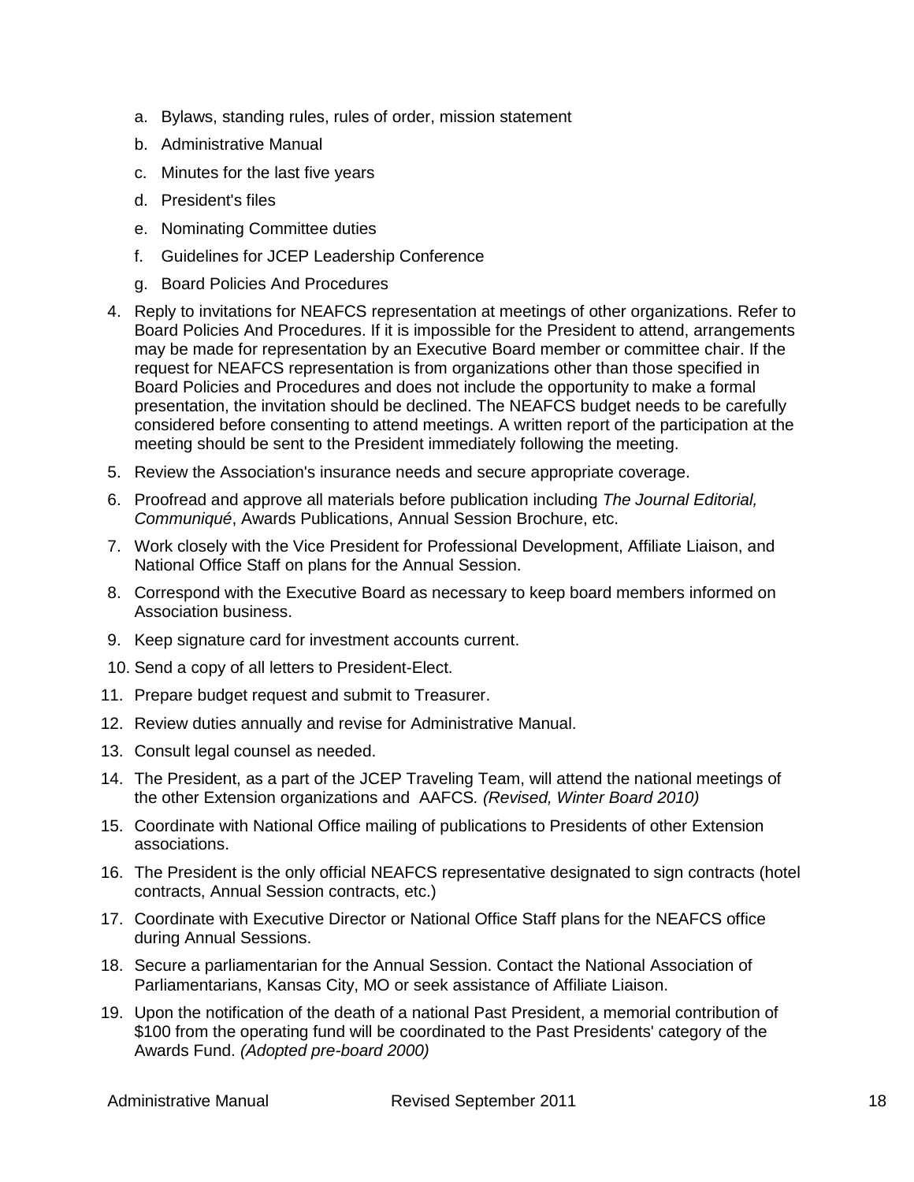- a. Bylaws, standing rules, rules of order, mission statement
- b. Administrative Manual
- c. Minutes for the last five years
- d. President's files
- e. Nominating Committee duties
- f. Guidelines for JCEP Leadership Conference
- g. Board Policies And Procedures
- 4. Reply to invitations for NEAFCS representation at meetings of other organizations. Refer to Board Policies And Procedures. If it is impossible for the President to attend, arrangements may be made for representation by an Executive Board member or committee chair. If the request for NEAFCS representation is from organizations other than those specified in Board Policies and Procedures and does not include the opportunity to make a formal presentation, the invitation should be declined. The NEAFCS budget needs to be carefully considered before consenting to attend meetings. A written report of the participation at the meeting should be sent to the President immediately following the meeting.
- 5. Review the Association's insurance needs and secure appropriate coverage.
- 6. Proofread and approve all materials before publication including *The Journal Editorial, Communiqué*, Awards Publications, Annual Session Brochure, etc.
- 7. Work closely with the Vice President for Professional Development, Affiliate Liaison, and National Office Staff on plans for the Annual Session.
- 8. Correspond with the Executive Board as necessary to keep board members informed on Association business.
- 9. Keep signature card for investment accounts current.
- 10. Send a copy of all letters to President-Elect.
- 11. Prepare budget request and submit to Treasurer.
- 12. Review duties annually and revise for Administrative Manual.
- 13. Consult legal counsel as needed.
- 14. The President, as a part of the JCEP Traveling Team, will attend the national meetings of the other Extension organizations and AAFCS*. (Revised, Winter Board 2010)*
- 15. Coordinate with National Office mailing of publications to Presidents of other Extension associations.
- 16. The President is the only official NEAFCS representative designated to sign contracts (hotel contracts, Annual Session contracts, etc.)
- 17. Coordinate with Executive Director or National Office Staff plans for the NEAFCS office during Annual Sessions.
- 18. Secure a parliamentarian for the Annual Session. Contact the National Association of Parliamentarians, Kansas City, MO or seek assistance of Affiliate Liaison.
- 19. Upon the notification of the death of a national Past President, a memorial contribution of \$100 from the operating fund will be coordinated to the Past Presidents' category of the Awards Fund. *(Adopted pre-board 2000)*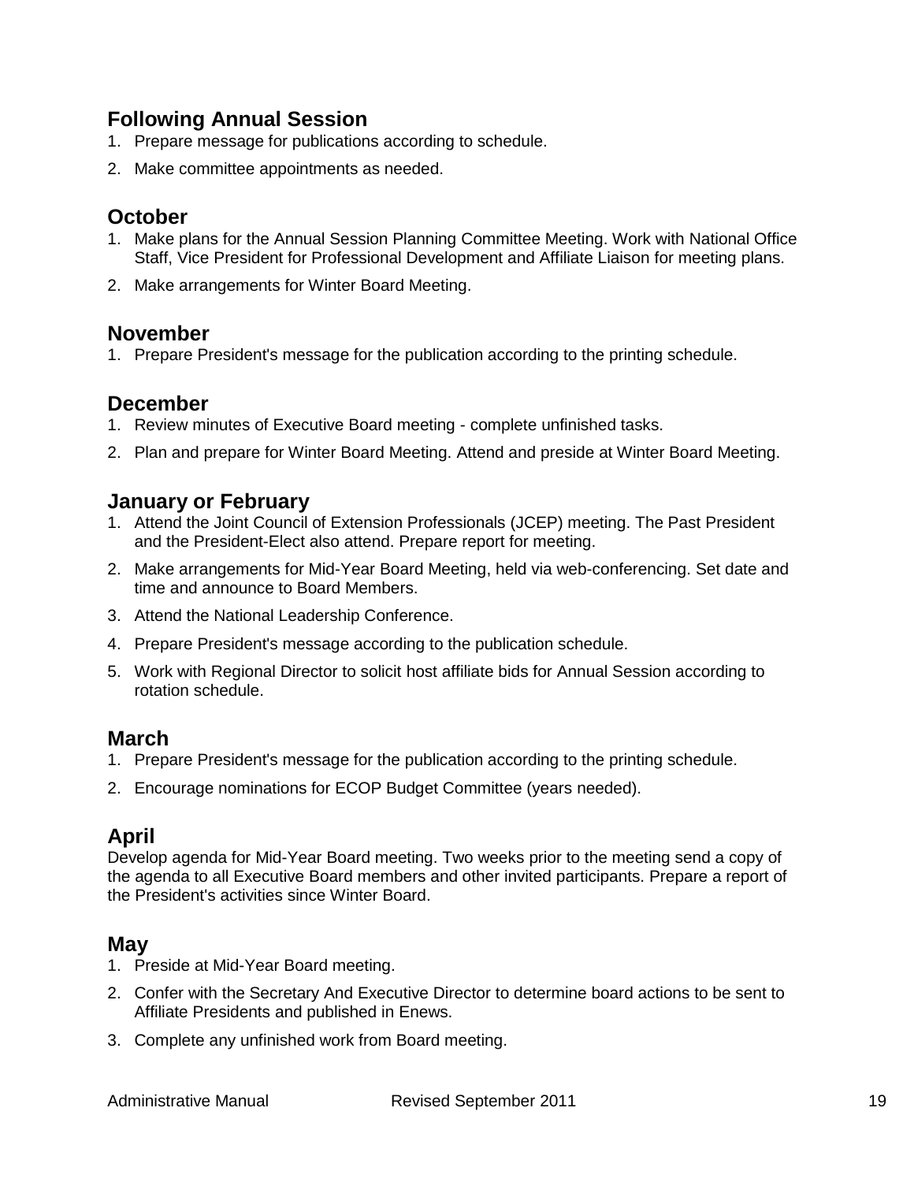### **Following Annual Session**

- 1. Prepare message for publications according to schedule.
- 2. Make committee appointments as needed.

### **October**

- 1. Make plans for the Annual Session Planning Committee Meeting. Work with National Office Staff, Vice President for Professional Development and Affiliate Liaison for meeting plans.
- 2. Make arrangements for Winter Board Meeting.

### **November**

1. Prepare President's message for the publication according to the printing schedule.

### **December**

- 1. Review minutes of Executive Board meeting complete unfinished tasks.
- 2. Plan and prepare for Winter Board Meeting. Attend and preside at Winter Board Meeting.

### **January or February**

- 1. Attend the Joint Council of Extension Professionals (JCEP) meeting. The Past President and the President-Elect also attend. Prepare report for meeting.
- 2. Make arrangements for Mid-Year Board Meeting, held via web-conferencing. Set date and time and announce to Board Members.
- 3. Attend the National Leadership Conference.
- 4. Prepare President's message according to the publication schedule.
- 5. Work with Regional Director to solicit host affiliate bids for Annual Session according to rotation schedule.

### **March**

- 1. Prepare President's message for the publication according to the printing schedule.
- 2. Encourage nominations for ECOP Budget Committee (years needed).

### **April**

Develop agenda for Mid-Year Board meeting. Two weeks prior to the meeting send a copy of the agenda to all Executive Board members and other invited participants. Prepare a report of the President's activities since Winter Board.

### **May**

- 1. Preside at Mid-Year Board meeting.
- 2. Confer with the Secretary And Executive Director to determine board actions to be sent to Affiliate Presidents and published in Enews.
- 3. Complete any unfinished work from Board meeting.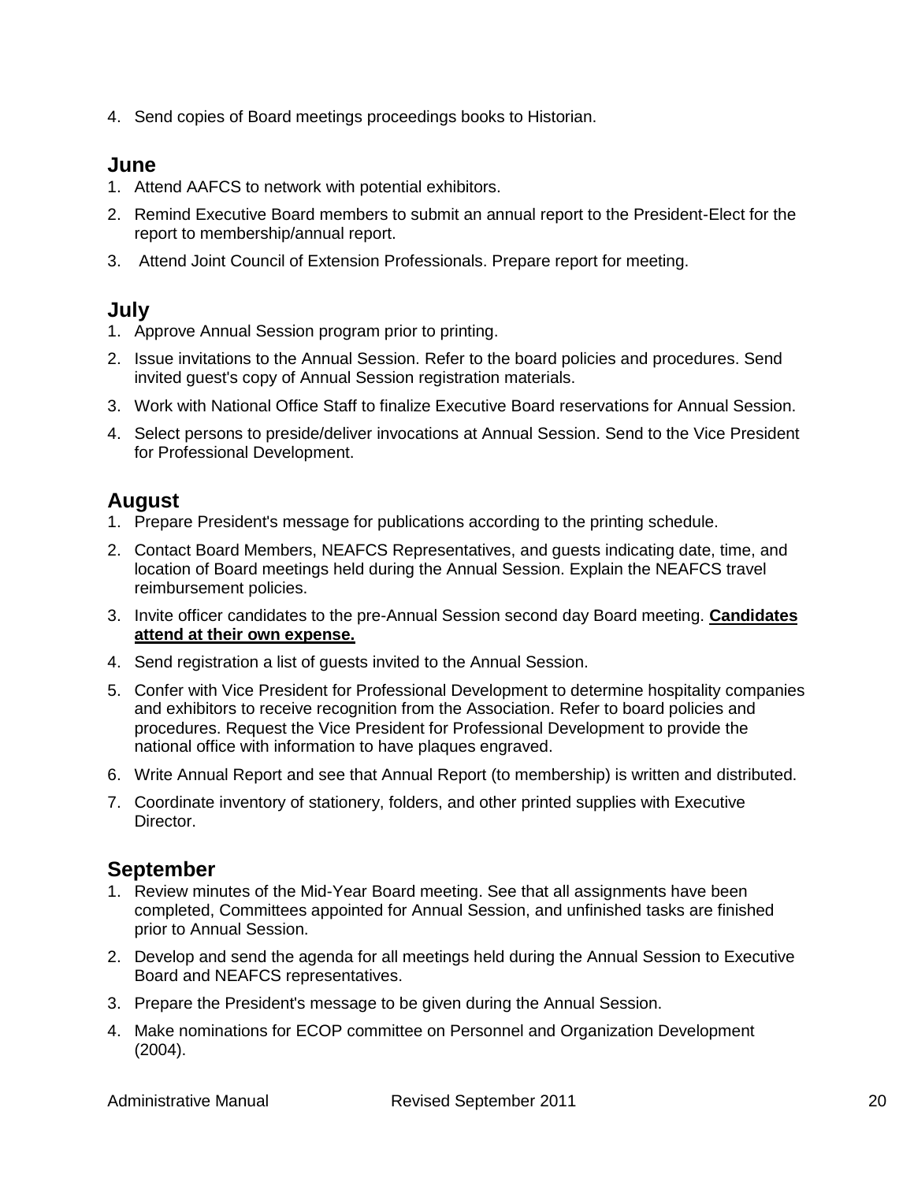4. Send copies of Board meetings proceedings books to Historian.

### **June**

- 1. Attend AAFCS to network with potential exhibitors.
- 2. Remind Executive Board members to submit an annual report to the President-Elect for the report to membership/annual report.
- 3. Attend Joint Council of Extension Professionals. Prepare report for meeting.

### **July**

- 1. Approve Annual Session program prior to printing.
- 2. Issue invitations to the Annual Session. Refer to the board policies and procedures. Send invited guest's copy of Annual Session registration materials.
- 3. Work with National Office Staff to finalize Executive Board reservations for Annual Session.
- 4. Select persons to preside/deliver invocations at Annual Session. Send to the Vice President for Professional Development.

### **August**

- 1. Prepare President's message for publications according to the printing schedule.
- 2. Contact Board Members, NEAFCS Representatives, and guests indicating date, time, and location of Board meetings held during the Annual Session. Explain the NEAFCS travel reimbursement policies.
- 3. Invite officer candidates to the pre-Annual Session second day Board meeting. **Candidates attend at their own expense.**
- 4. Send registration a list of guests invited to the Annual Session.
- 5. Confer with Vice President for Professional Development to determine hospitality companies and exhibitors to receive recognition from the Association. Refer to board policies and procedures. Request the Vice President for Professional Development to provide the national office with information to have plaques engraved.
- 6. Write Annual Report and see that Annual Report (to membership) is written and distributed.
- 7. Coordinate inventory of stationery, folders, and other printed supplies with Executive Director.

### **September**

- 1. Review minutes of the Mid-Year Board meeting. See that all assignments have been completed, Committees appointed for Annual Session, and unfinished tasks are finished prior to Annual Session.
- 2. Develop and send the agenda for all meetings held during the Annual Session to Executive Board and NEAFCS representatives.
- 3. Prepare the President's message to be given during the Annual Session.
- 4. Make nominations for ECOP committee on Personnel and Organization Development (2004).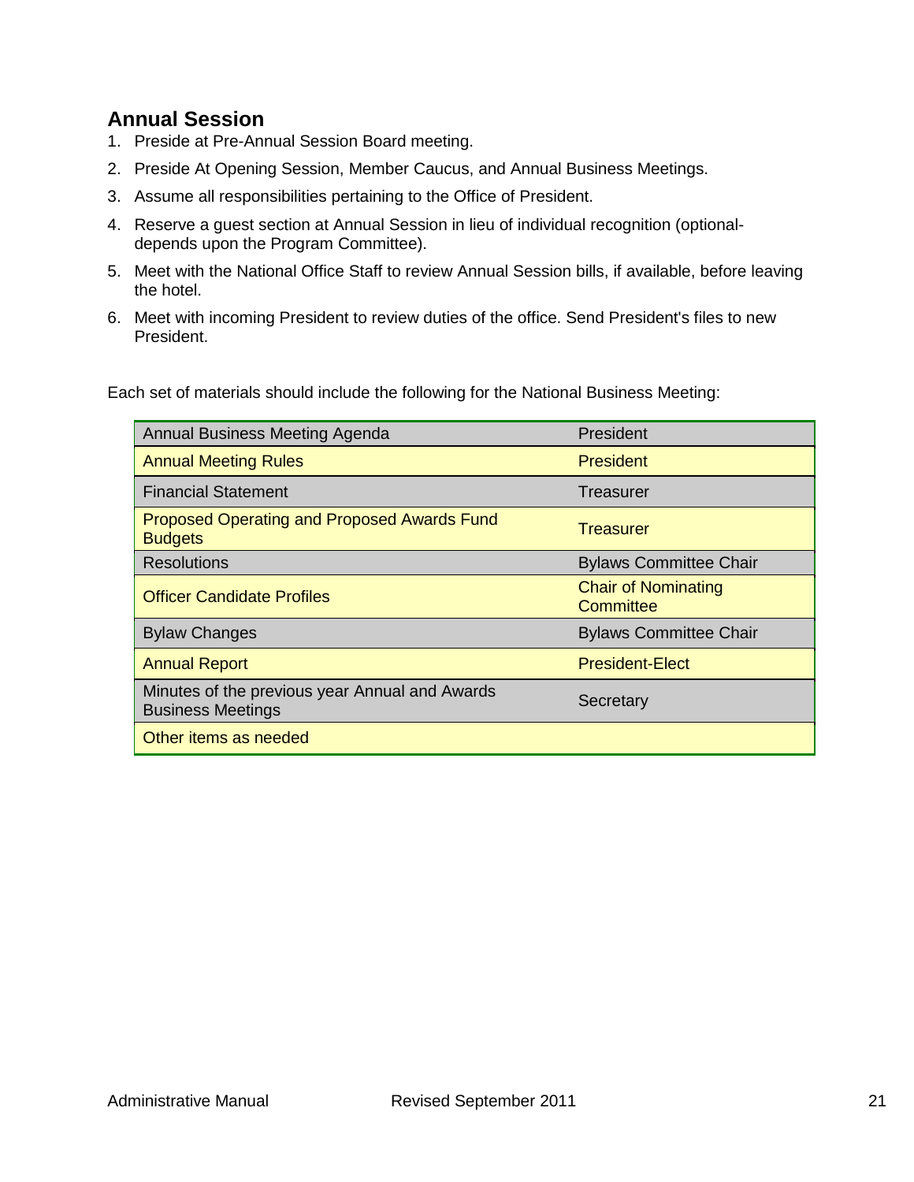### **Annual Session**

- 1. Preside at Pre-Annual Session Board meeting.
- 2. Preside At Opening Session, Member Caucus, and Annual Business Meetings.
- 3. Assume all responsibilities pertaining to the Office of President.
- 4. Reserve a guest section at Annual Session in lieu of individual recognition (optionaldepends upon the Program Committee).
- 5. Meet with the National Office Staff to review Annual Session bills, if available, before leaving the hotel.
- 6. Meet with incoming President to review duties of the office. Send President's files to new President.

Each set of materials should include the following for the National Business Meeting:

| Annual Business Meeting Agenda                                             | President                               |
|----------------------------------------------------------------------------|-----------------------------------------|
| <b>Annual Meeting Rules</b>                                                | <b>President</b>                        |
| <b>Financial Statement</b>                                                 | Treasurer                               |
| <b>Proposed Operating and Proposed Awards Fund</b><br><b>Budgets</b>       | Treasurer                               |
| <b>Resolutions</b>                                                         | <b>Bylaws Committee Chair</b>           |
| <b>Officer Candidate Profiles</b>                                          | <b>Chair of Nominating</b><br>Committee |
| <b>Bylaw Changes</b>                                                       | <b>Bylaws Committee Chair</b>           |
| <b>Annual Report</b>                                                       | <b>President-Elect</b>                  |
| Minutes of the previous year Annual and Awards<br><b>Business Meetings</b> | Secretary                               |
| Other items as needed                                                      |                                         |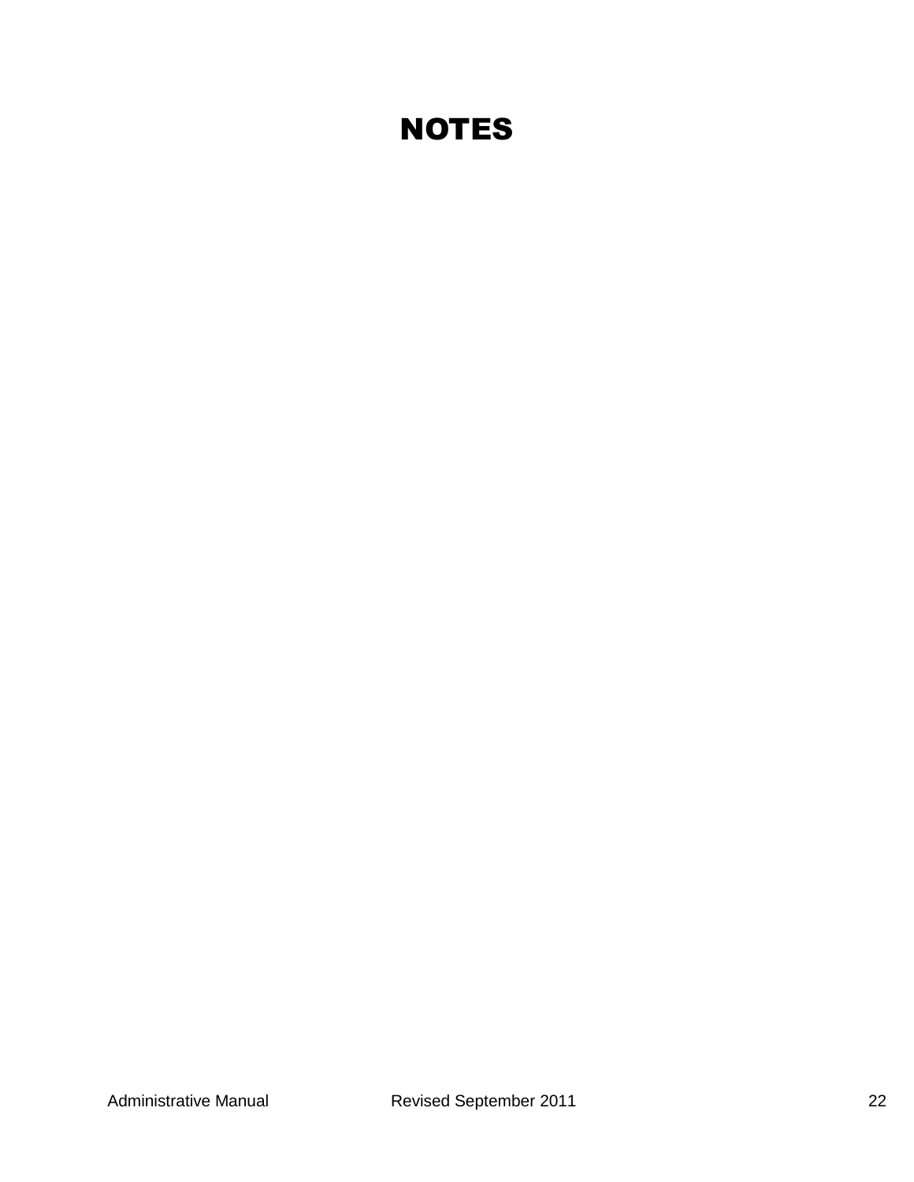# **NOTES**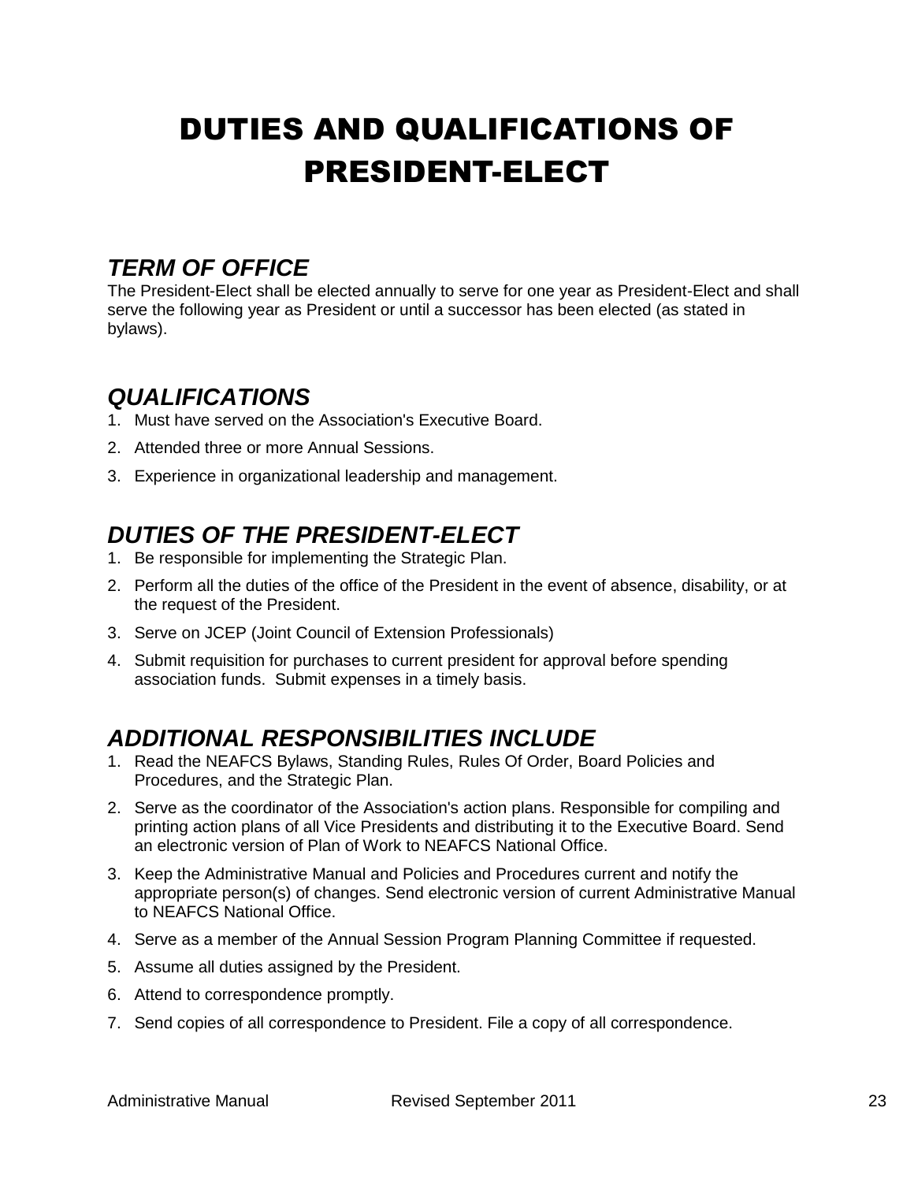# <span id="page-22-0"></span>DUTIES AND QUALIFICATIONS OF PRESIDENT-ELECT

## <span id="page-22-1"></span>*TERM OF OFFICE*

The President-Elect shall be elected annually to serve for one year as President-Elect and shall serve the following year as President or until a successor has been elected (as stated in bylaws).

## <span id="page-22-2"></span>*QUALIFICATIONS*

- 1. Must have served on the Association's Executive Board.
- 2. Attended three or more Annual Sessions.
- 3. Experience in organizational leadership and management.

## <span id="page-22-3"></span>*DUTIES OF THE PRESIDENT-ELECT*

- 1. Be responsible for implementing the Strategic Plan.
- 2. Perform all the duties of the office of the President in the event of absence, disability, or at the request of the President.
- 3. Serve on JCEP (Joint Council of Extension Professionals)
- 4. Submit requisition for purchases to current president for approval before spending association funds. Submit expenses in a timely basis.

## <span id="page-22-4"></span>*ADDITIONAL RESPONSIBILITIES INCLUDE*

- 1. Read the NEAFCS Bylaws, Standing Rules, Rules Of Order, Board Policies and Procedures, and the Strategic Plan.
- 2. Serve as the coordinator of the Association's action plans. Responsible for compiling and printing action plans of all Vice Presidents and distributing it to the Executive Board. Send an electronic version of Plan of Work to NEAFCS National Office.
- 3. Keep the Administrative Manual and Policies and Procedures current and notify the appropriate person(s) of changes. Send electronic version of current Administrative Manual to NEAFCS National Office.
- 4. Serve as a member of the Annual Session Program Planning Committee if requested.
- 5. Assume all duties assigned by the President.
- 6. Attend to correspondence promptly.
- 7. Send copies of all correspondence to President. File a copy of all correspondence.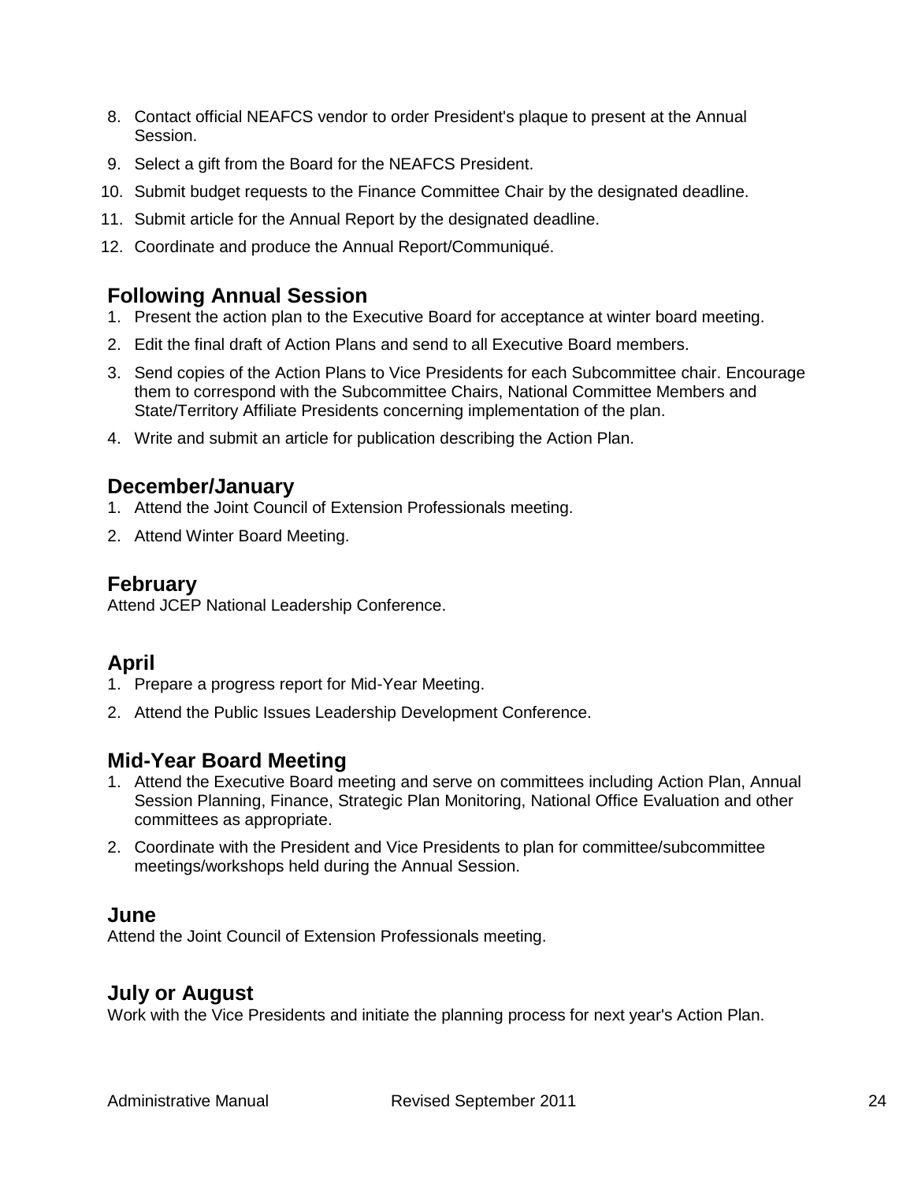- 8. Contact official NEAFCS vendor to order President's plaque to present at the Annual Session.
- 9. Select a gift from the Board for the NEAFCS President.
- 10. Submit budget requests to the Finance Committee Chair by the designated deadline.
- 11. Submit article for the Annual Report by the designated deadline.
- 12. Coordinate and produce the Annual Report/Communiqué.

### **Following Annual Session**

- 1. Present the action plan to the Executive Board for acceptance at winter board meeting.
- 2. Edit the final draft of Action Plans and send to all Executive Board members.
- 3. Send copies of the Action Plans to Vice Presidents for each Subcommittee chair. Encourage them to correspond with the Subcommittee Chairs, National Committee Members and State/Territory Affiliate Presidents concerning implementation of the plan.
- 4. Write and submit an article for publication describing the Action Plan.

### **December/January**

- 1. Attend the Joint Council of Extension Professionals meeting.
- 2. Attend Winter Board Meeting.

### **February**

Attend JCEP National Leadership Conference.

## **April**

- 1. Prepare a progress report for Mid-Year Meeting.
- 2. Attend the Public Issues Leadership Development Conference.

### **Mid-Year Board Meeting**

- 1. Attend the Executive Board meeting and serve on committees including Action Plan, Annual Session Planning, Finance, Strategic Plan Monitoring, National Office Evaluation and other committees as appropriate.
- 2. Coordinate with the President and Vice Presidents to plan for committee/subcommittee meetings/workshops held during the Annual Session.

### **June**

Attend the Joint Council of Extension Professionals meeting.

### **July or August**

Work with the Vice Presidents and initiate the planning process for next year's Action Plan.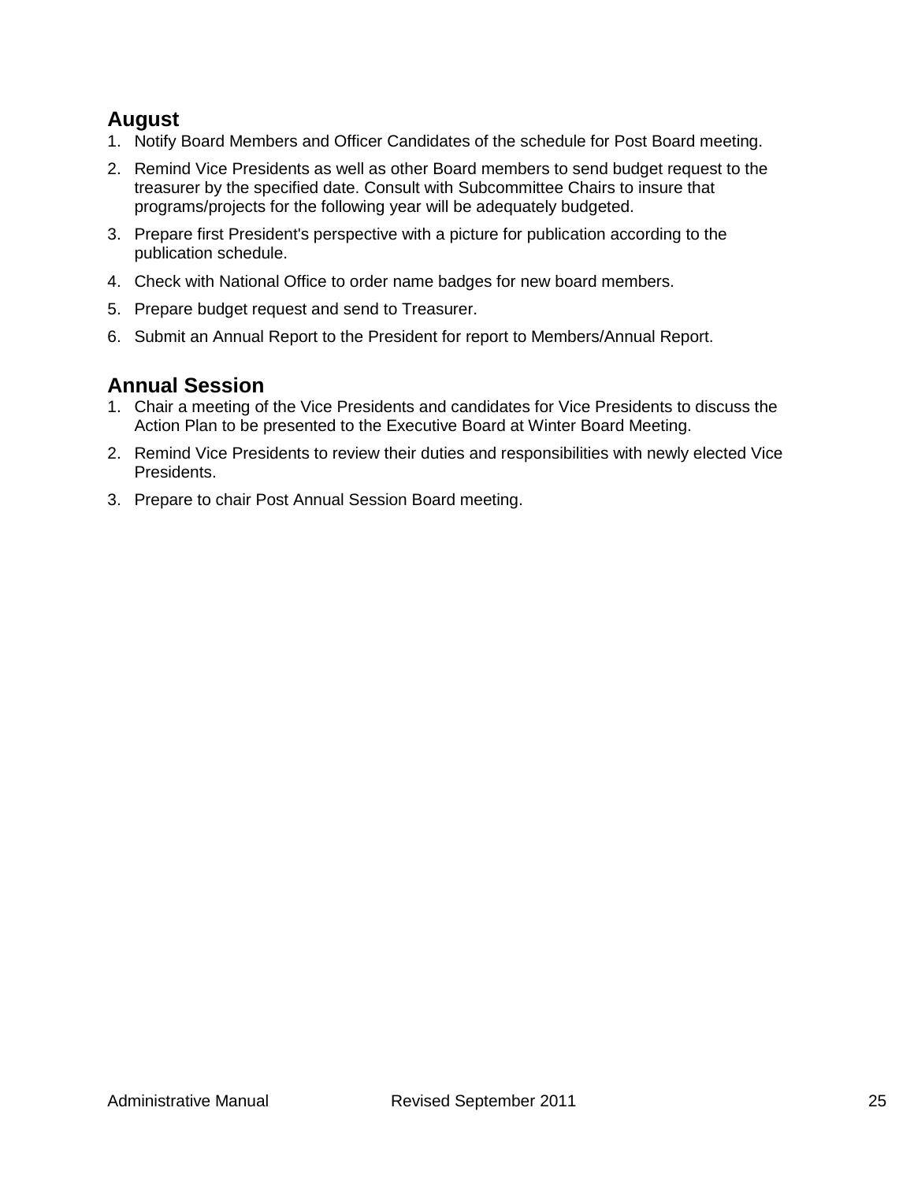### **August**

- 1. Notify Board Members and Officer Candidates of the schedule for Post Board meeting.
- 2. Remind Vice Presidents as well as other Board members to send budget request to the treasurer by the specified date. Consult with Subcommittee Chairs to insure that programs/projects for the following year will be adequately budgeted.
- 3. Prepare first President's perspective with a picture for publication according to the publication schedule.
- 4. Check with National Office to order name badges for new board members.
- 5. Prepare budget request and send to Treasurer.
- 6. Submit an Annual Report to the President for report to Members/Annual Report.

### **Annual Session**

- 1. Chair a meeting of the Vice Presidents and candidates for Vice Presidents to discuss the Action Plan to be presented to the Executive Board at Winter Board Meeting.
- 2. Remind Vice Presidents to review their duties and responsibilities with newly elected Vice Presidents.
- 3. Prepare to chair Post Annual Session Board meeting.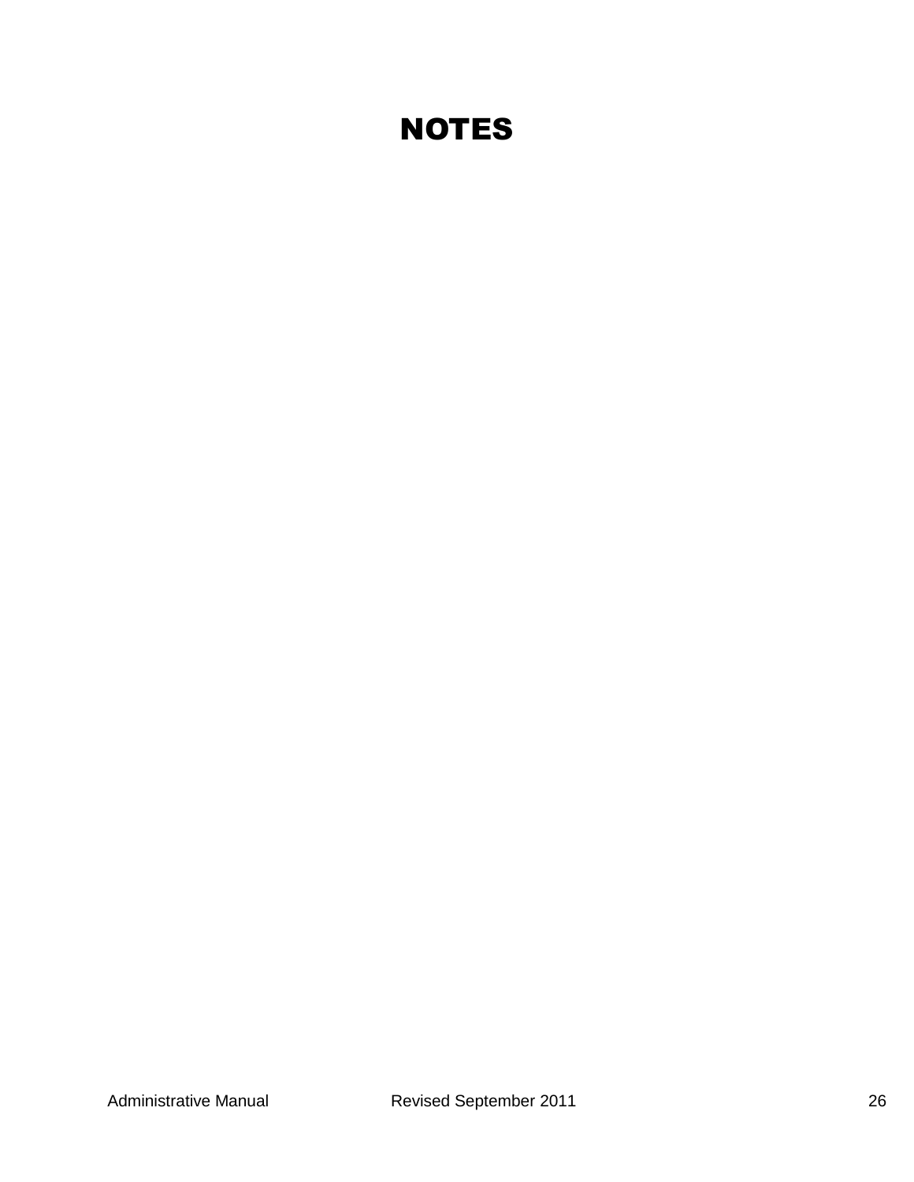# **NOTES**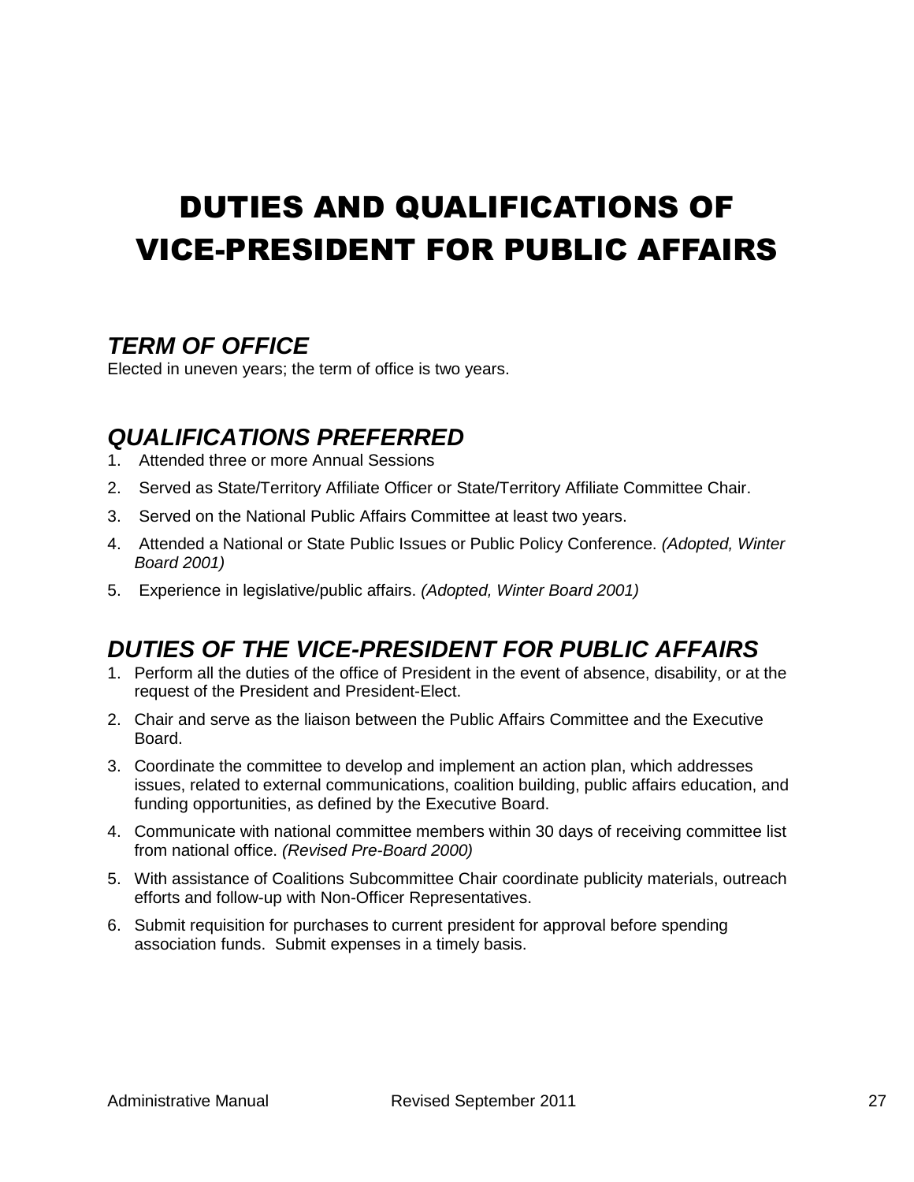# <span id="page-26-0"></span>DUTIES AND QUALIFICATIONS OF VICE-PRESIDENT FOR PUBLIC AFFAIRS

## <span id="page-26-1"></span>*TERM OF OFFICE*

Elected in uneven years; the term of office is two years.

## <span id="page-26-2"></span>*QUALIFICATIONS PREFERRED*

- 1. Attended three or more Annual Sessions
- 2. Served as State/Territory Affiliate Officer or State/Territory Affiliate Committee Chair.
- 3. Served on the National Public Affairs Committee at least two years.
- 4. Attended a National or State Public Issues or Public Policy Conference. *(Adopted, Winter Board 2001)*
- <span id="page-26-3"></span>5. Experience in legislative/public affairs. *(Adopted, Winter Board 2001)*

# *DUTIES OF THE VICE-PRESIDENT FOR PUBLIC AFFAIRS*

- 1. Perform all the duties of the office of President in the event of absence, disability, or at the request of the President and President-Elect.
- 2. Chair and serve as the liaison between the Public Affairs Committee and the Executive Board.
- 3. Coordinate the committee to develop and implement an action plan, which addresses issues, related to external communications, coalition building, public affairs education, and funding opportunities, as defined by the Executive Board.
- 4. Communicate with national committee members within 30 days of receiving committee list from national office. *(Revised Pre-Board 2000)*
- 5. With assistance of Coalitions Subcommittee Chair coordinate publicity materials, outreach efforts and follow-up with Non-Officer Representatives.
- 6. Submit requisition for purchases to current president for approval before spending association funds. Submit expenses in a timely basis.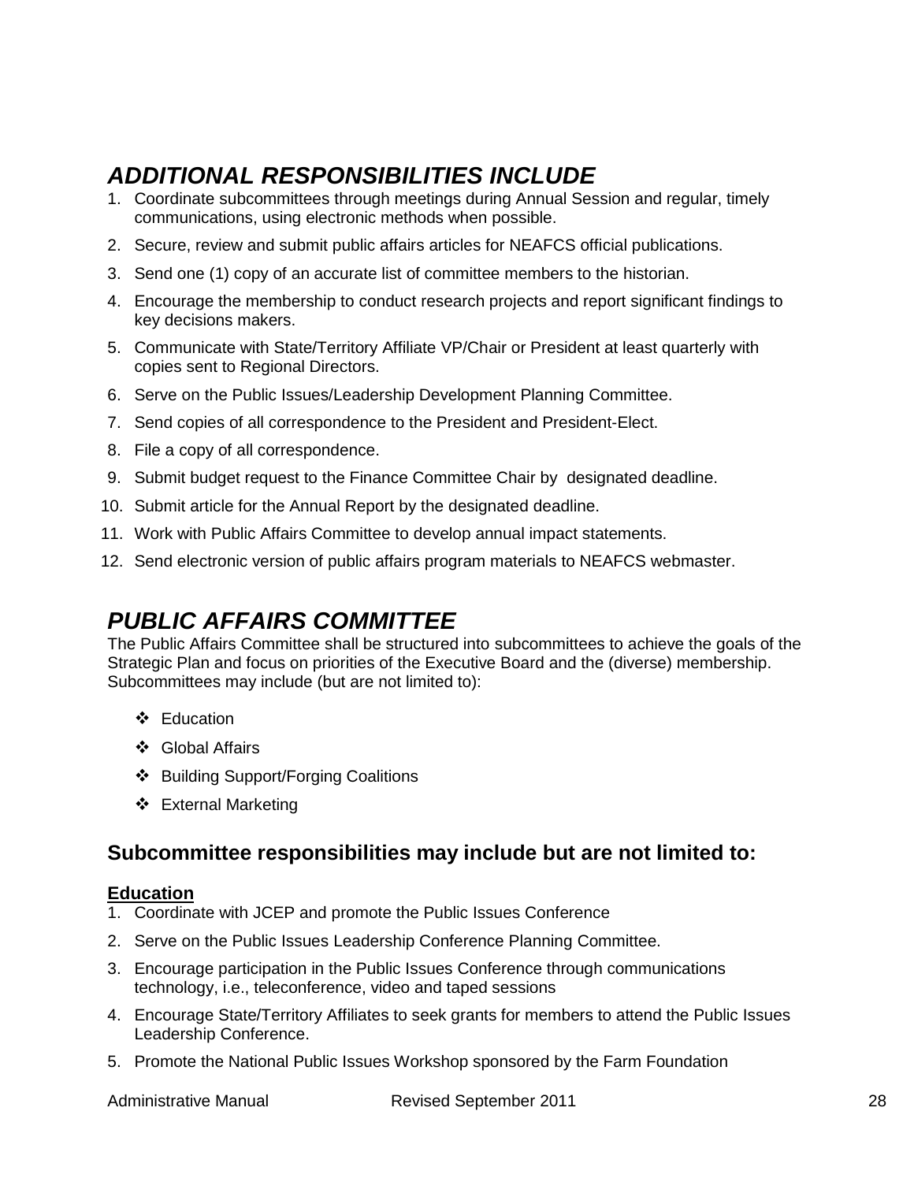# <span id="page-27-0"></span>*ADDITIONAL RESPONSIBILITIES INCLUDE*

- 1. Coordinate subcommittees through meetings during Annual Session and regular, timely communications, using electronic methods when possible.
- 2. Secure, review and submit public affairs articles for NEAFCS official publications.
- 3. Send one (1) copy of an accurate list of committee members to the historian.
- 4. Encourage the membership to conduct research projects and report significant findings to key decisions makers.
- 5. Communicate with State/Territory Affiliate VP/Chair or President at least quarterly with copies sent to Regional Directors.
- 6. Serve on the Public Issues/Leadership Development Planning Committee.
- 7. Send copies of all correspondence to the President and President-Elect.
- 8. File a copy of all correspondence.
- 9. Submit budget request to the Finance Committee Chair by designated deadline.
- 10. Submit article for the Annual Report by the designated deadline.
- 11. Work with Public Affairs Committee to develop annual impact statements.
- <span id="page-27-1"></span>12. Send electronic version of public affairs program materials to NEAFCS webmaster.

## *PUBLIC AFFAIRS COMMITTEE*

The Public Affairs Committee shall be structured into subcommittees to achieve the goals of the Strategic Plan and focus on priorities of the Executive Board and the (diverse) membership. Subcommittees may include (but are not limited to):

- ❖ Education
- Global Affairs
- ❖ Building Support/Forging Coalitions
- ❖ External Marketing

### **Subcommittee responsibilities may include but are not limited to:**

#### **Education**

- 1. Coordinate with JCEP and promote the Public Issues Conference
- 2. Serve on the Public Issues Leadership Conference Planning Committee.
- 3. Encourage participation in the Public Issues Conference through communications technology, i.e., teleconference, video and taped sessions
- 4. Encourage State/Territory Affiliates to seek grants for members to attend the Public Issues Leadership Conference.
- 5. Promote the National Public Issues Workshop sponsored by the Farm Foundation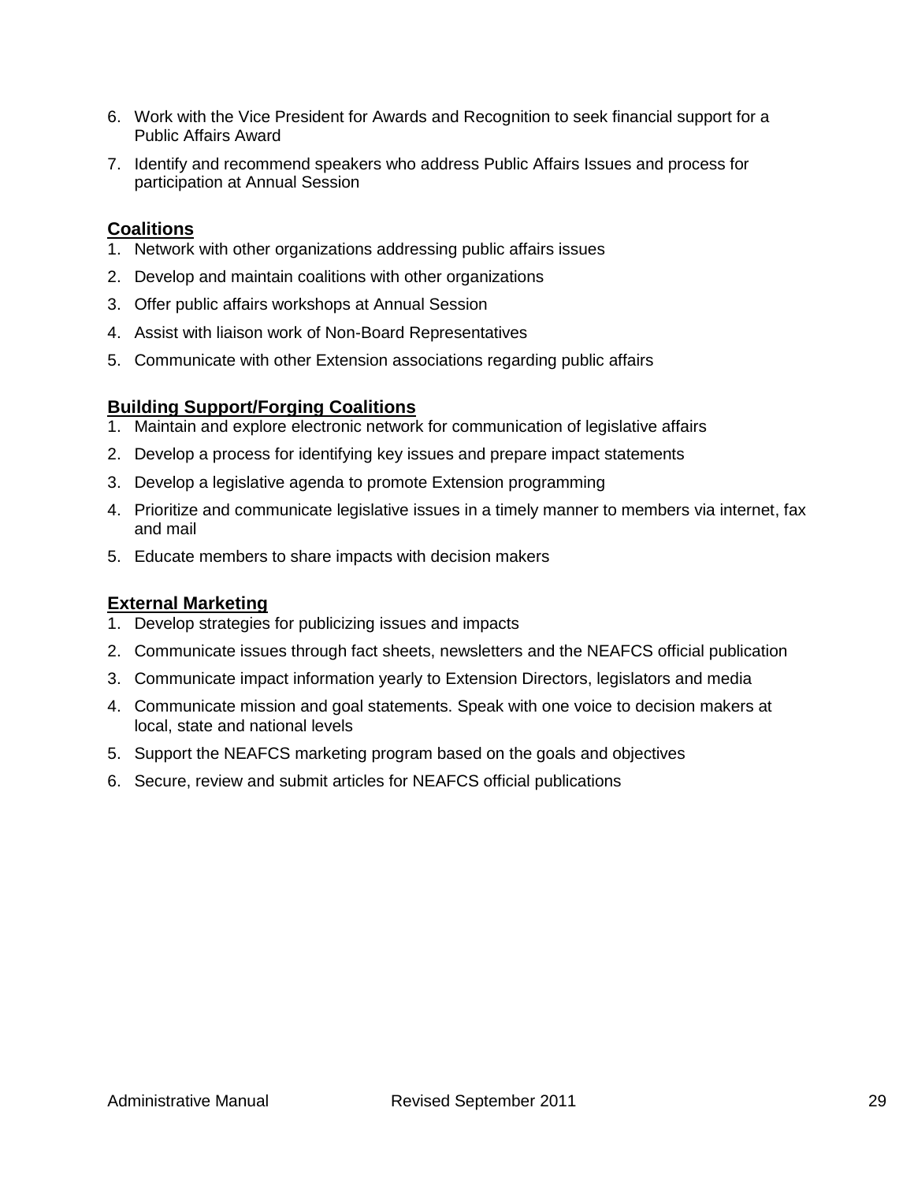- 6. Work with the Vice President for Awards and Recognition to seek financial support for a Public Affairs Award
- 7. Identify and recommend speakers who address Public Affairs Issues and process for participation at Annual Session

#### **Coalitions**

- 1. Network with other organizations addressing public affairs issues
- 2. Develop and maintain coalitions with other organizations
- 3. Offer public affairs workshops at Annual Session
- 4. Assist with liaison work of Non-Board Representatives
- 5. Communicate with other Extension associations regarding public affairs

#### **Building Support/Forging Coalitions**

- 1. Maintain and explore electronic network for communication of legislative affairs
- 2. Develop a process for identifying key issues and prepare impact statements
- 3. Develop a legislative agenda to promote Extension programming
- 4. Prioritize and communicate legislative issues in a timely manner to members via internet, fax and mail
- 5. Educate members to share impacts with decision makers

#### **External Marketing**

- 1. Develop strategies for publicizing issues and impacts
- 2. Communicate issues through fact sheets, newsletters and the NEAFCS official publication
- 3. Communicate impact information yearly to Extension Directors, legislators and media
- 4. Communicate mission and goal statements. Speak with one voice to decision makers at local, state and national levels
- 5. Support the NEAFCS marketing program based on the goals and objectives
- 6. Secure, review and submit articles for NEAFCS official publications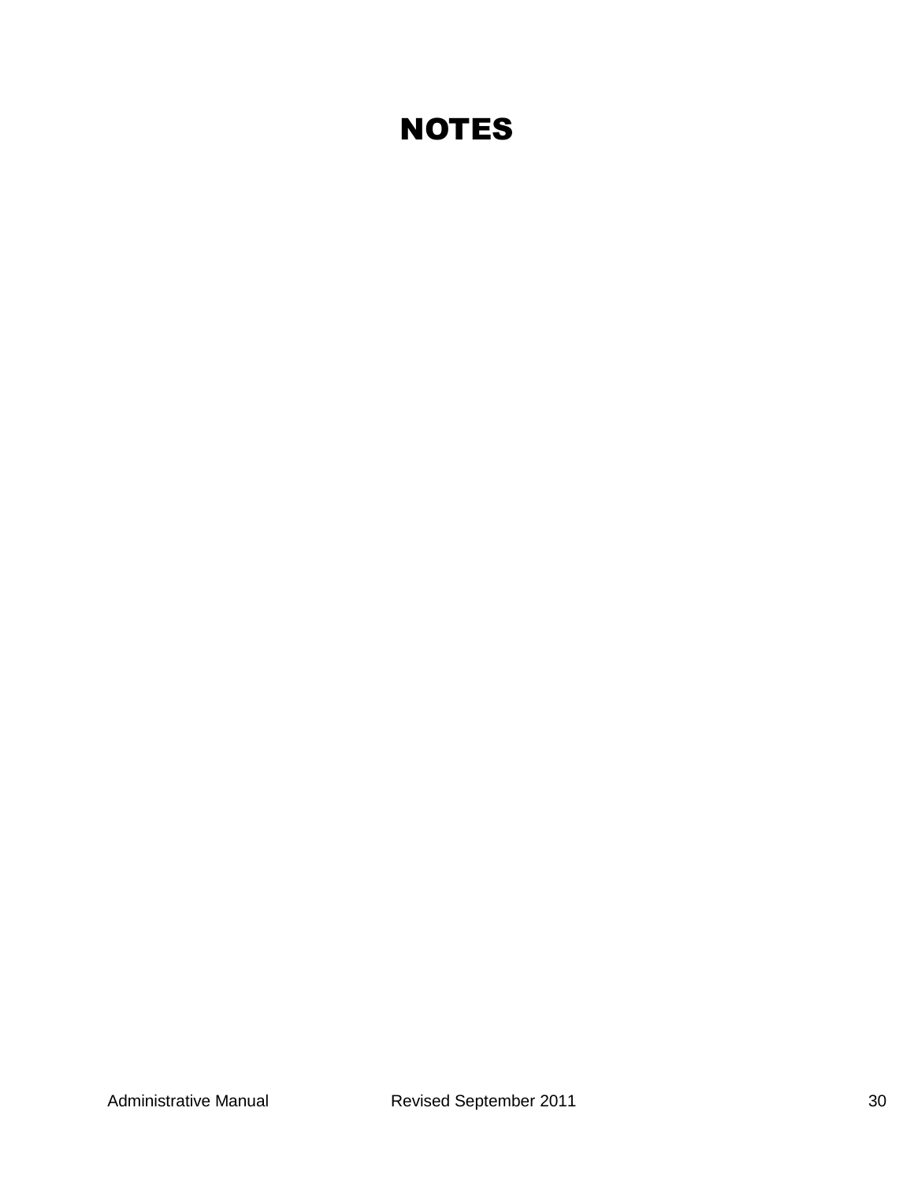# **NOTES**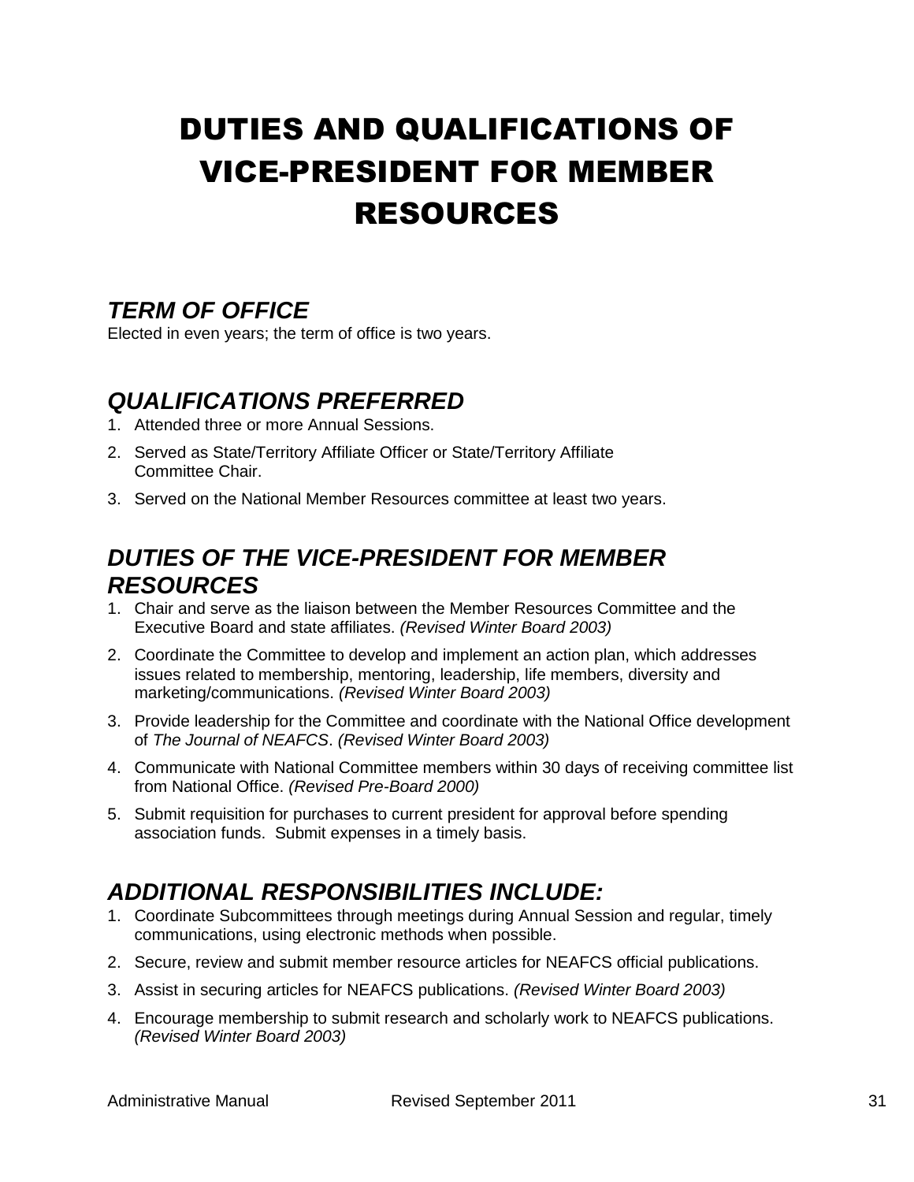# <span id="page-30-0"></span>DUTIES AND QUALIFICATIONS OF VICE-PRESIDENT FOR MEMBER RESOURCES

# <span id="page-30-1"></span>*TERM OF OFFICE*

Elected in even years; the term of office is two years.

## <span id="page-30-2"></span>*QUALIFICATIONS PREFERRED*

- 1. Attended three or more Annual Sessions.
- 2. Served as State/Territory Affiliate Officer or State/Territory Affiliate Committee Chair.
- 3. Served on the National Member Resources committee at least two years.

## <span id="page-30-3"></span>*DUTIES OF THE VICE-PRESIDENT FOR MEMBER RESOURCES*

- 1. Chair and serve as the liaison between the Member Resources Committee and the Executive Board and state affiliates. *(Revised Winter Board 2003)*
- 2. Coordinate the Committee to develop and implement an action plan, which addresses issues related to membership, mentoring, leadership, life members, diversity and marketing/communications. *(Revised Winter Board 2003)*
- 3. Provide leadership for the Committee and coordinate with the National Office development of *The Journal of NEAFCS*. *(Revised Winter Board 2003)*
- 4. Communicate with National Committee members within 30 days of receiving committee list from National Office. *(Revised Pre-Board 2000)*
- 5. Submit requisition for purchases to current president for approval before spending association funds. Submit expenses in a timely basis.

# <span id="page-30-4"></span>*ADDITIONAL RESPONSIBILITIES INCLUDE:*

- 1. Coordinate Subcommittees through meetings during Annual Session and regular, timely communications, using electronic methods when possible.
- 2. Secure, review and submit member resource articles for NEAFCS official publications.
- 3. Assist in securing articles for NEAFCS publications. *(Revised Winter Board 2003)*
- 4. Encourage membership to submit research and scholarly work to NEAFCS publications. *(Revised Winter Board 2003)*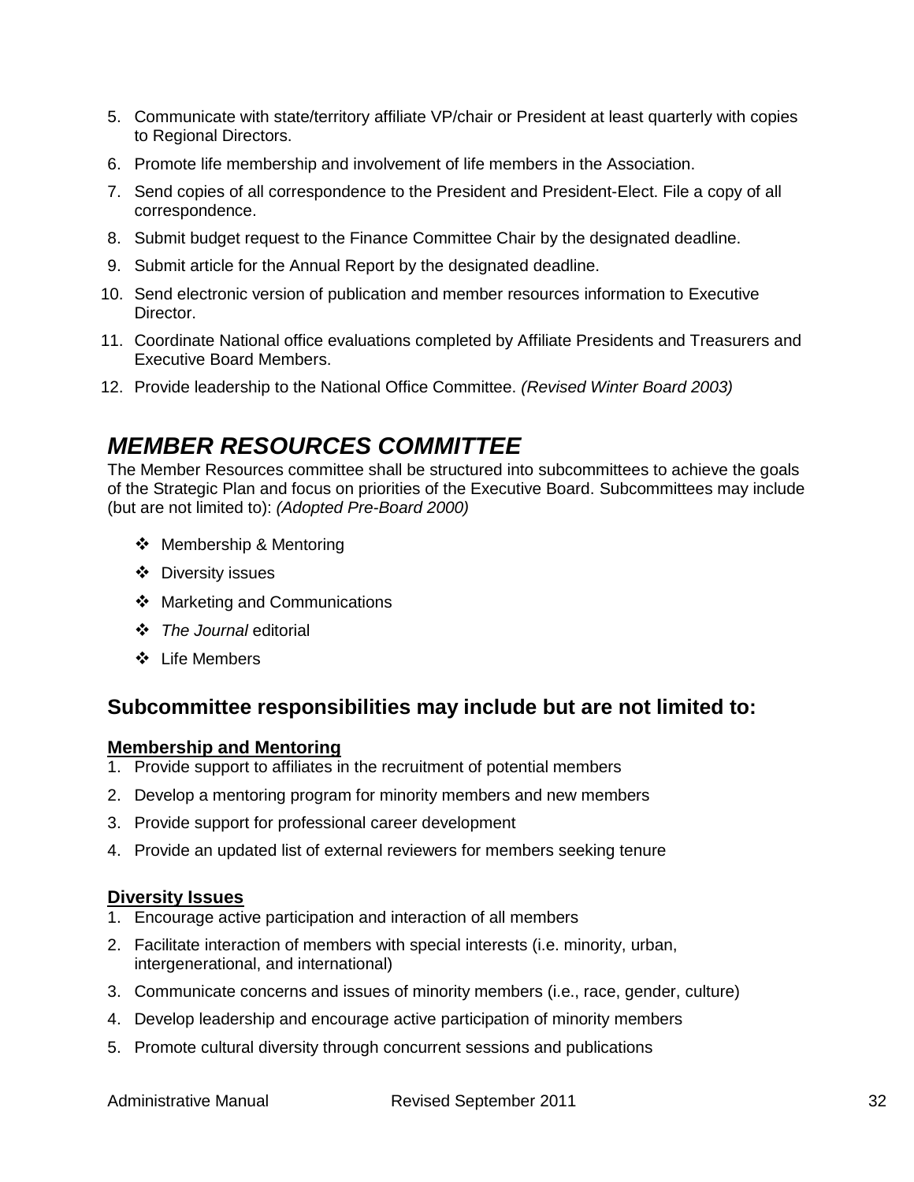- 5. Communicate with state/territory affiliate VP/chair or President at least quarterly with copies to Regional Directors.
- 6. Promote life membership and involvement of life members in the Association.
- 7. Send copies of all correspondence to the President and President-Elect. File a copy of all correspondence.
- 8. Submit budget request to the Finance Committee Chair by the designated deadline.
- 9. Submit article for the Annual Report by the designated deadline.
- 10. Send electronic version of publication and member resources information to Executive Director.
- 11. Coordinate National office evaluations completed by Affiliate Presidents and Treasurers and Executive Board Members.
- <span id="page-31-0"></span>12. Provide leadership to the National Office Committee. *(Revised Winter Board 2003)*

## *MEMBER RESOURCES COMMITTEE*

The Member Resources committee shall be structured into subcommittees to achieve the goals of the Strategic Plan and focus on priorities of the Executive Board. Subcommittees may include (but are not limited to): *(Adopted Pre-Board 2000)*

- ❖ Membership & Mentoring
- Diversity issues
- ❖ Marketing and Communications
- *The Journal* editorial
- Life Members

### **Subcommittee responsibilities may include but are not limited to:**

#### **Membership and Mentoring**

- 1. Provide support to affiliates in the recruitment of potential members
- 2. Develop a mentoring program for minority members and new members
- 3. Provide support for professional career development
- 4. Provide an updated list of external reviewers for members seeking tenure

#### **Diversity Issues**

- 1. Encourage active participation and interaction of all members
- 2. Facilitate interaction of members with special interests (i.e. minority, urban, intergenerational, and international)
- 3. Communicate concerns and issues of minority members (i.e., race, gender, culture)
- 4. Develop leadership and encourage active participation of minority members
- 5. Promote cultural diversity through concurrent sessions and publications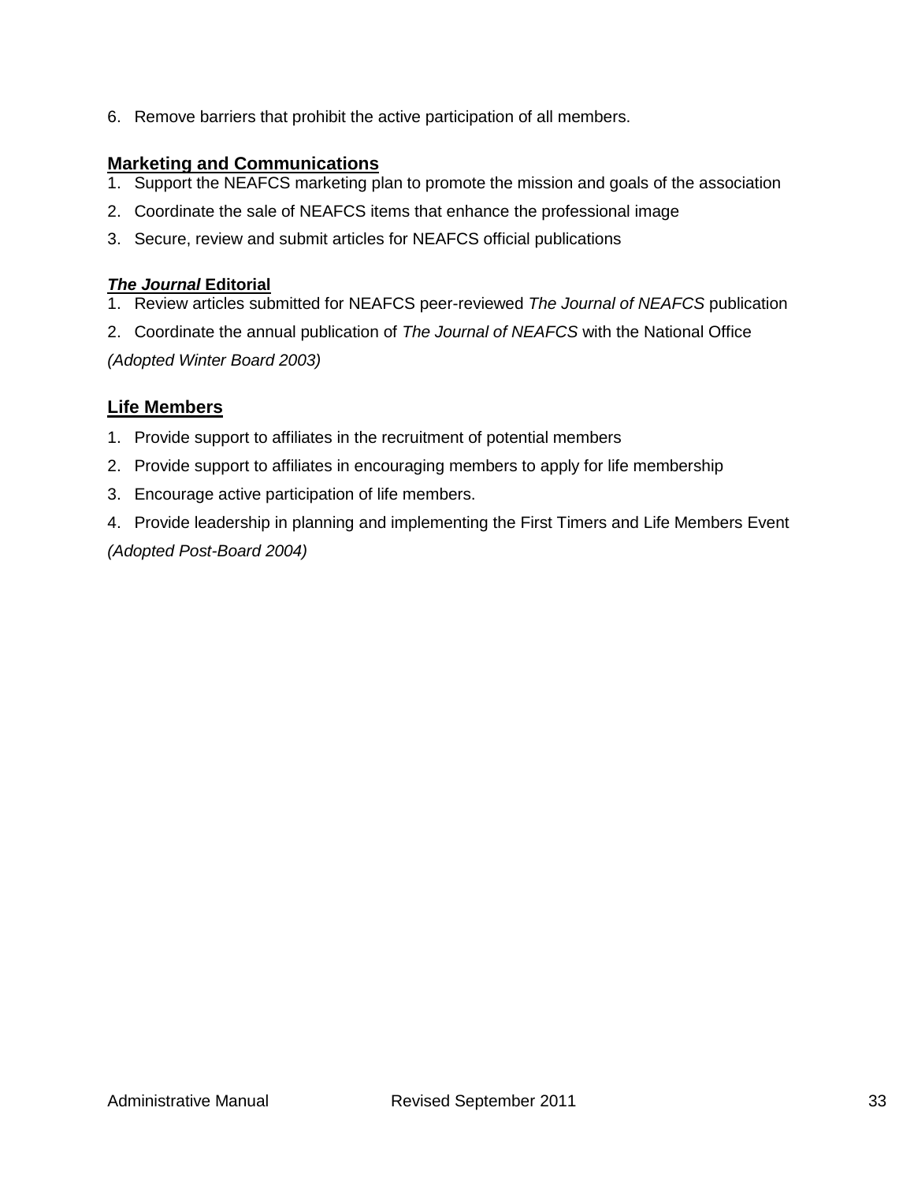6. Remove barriers that prohibit the active participation of all members.

#### **Marketing and Communications**

- 1. Support the NEAFCS marketing plan to promote the mission and goals of the association
- 2. Coordinate the sale of NEAFCS items that enhance the professional image
- 3. Secure, review and submit articles for NEAFCS official publications

#### *The Journal* **Editorial**

- 1. Review articles submitted for NEAFCS peer-reviewed *The Journal of NEAFCS* publication
- 2. Coordinate the annual publication of *The Journal of NEAFCS* with the National Office

*(Adopted Winter Board 2003)*

### **Life Members**

- 1. Provide support to affiliates in the recruitment of potential members
- 2. Provide support to affiliates in encouraging members to apply for life membership
- 3. Encourage active participation of life members.
- 4. Provide leadership in planning and implementing the First Timers and Life Members Event *(Adopted Post-Board 2004)*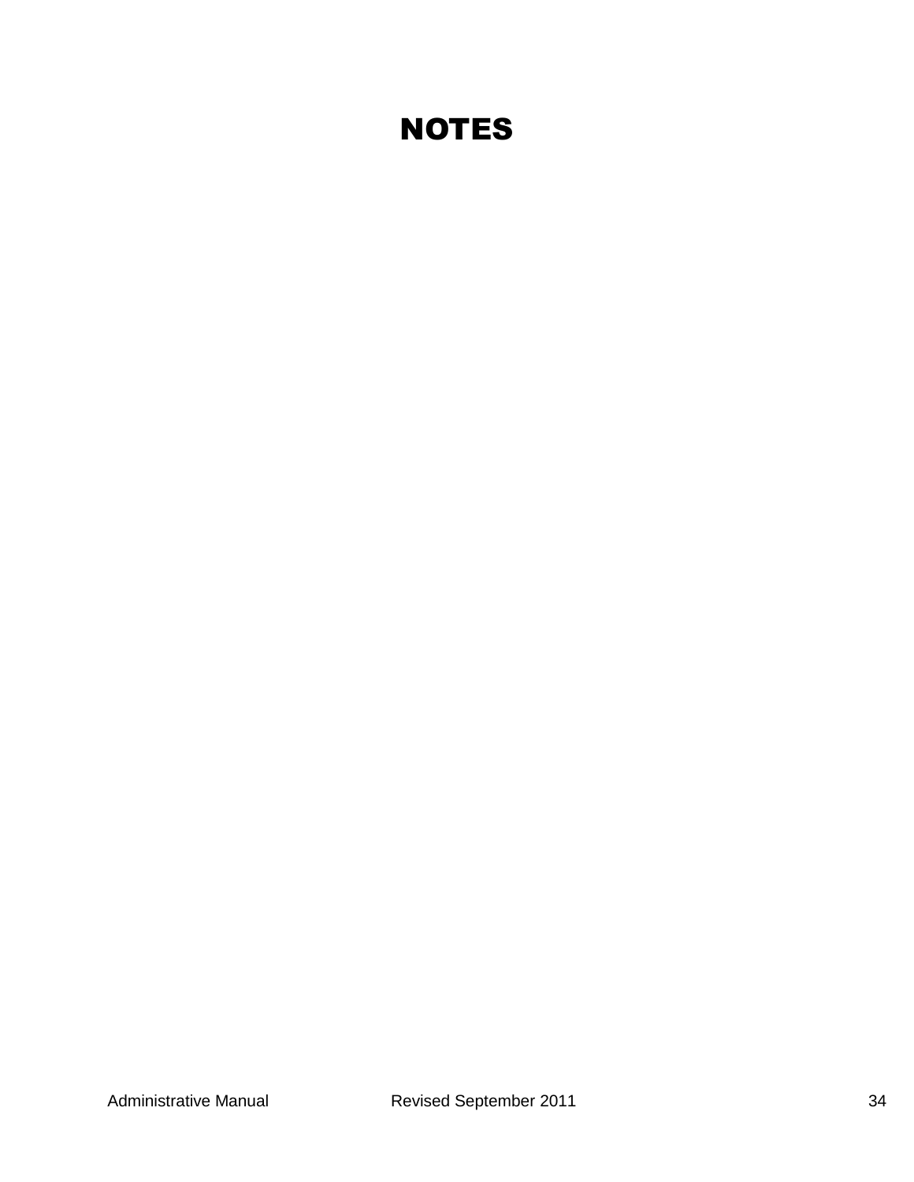# **NOTES**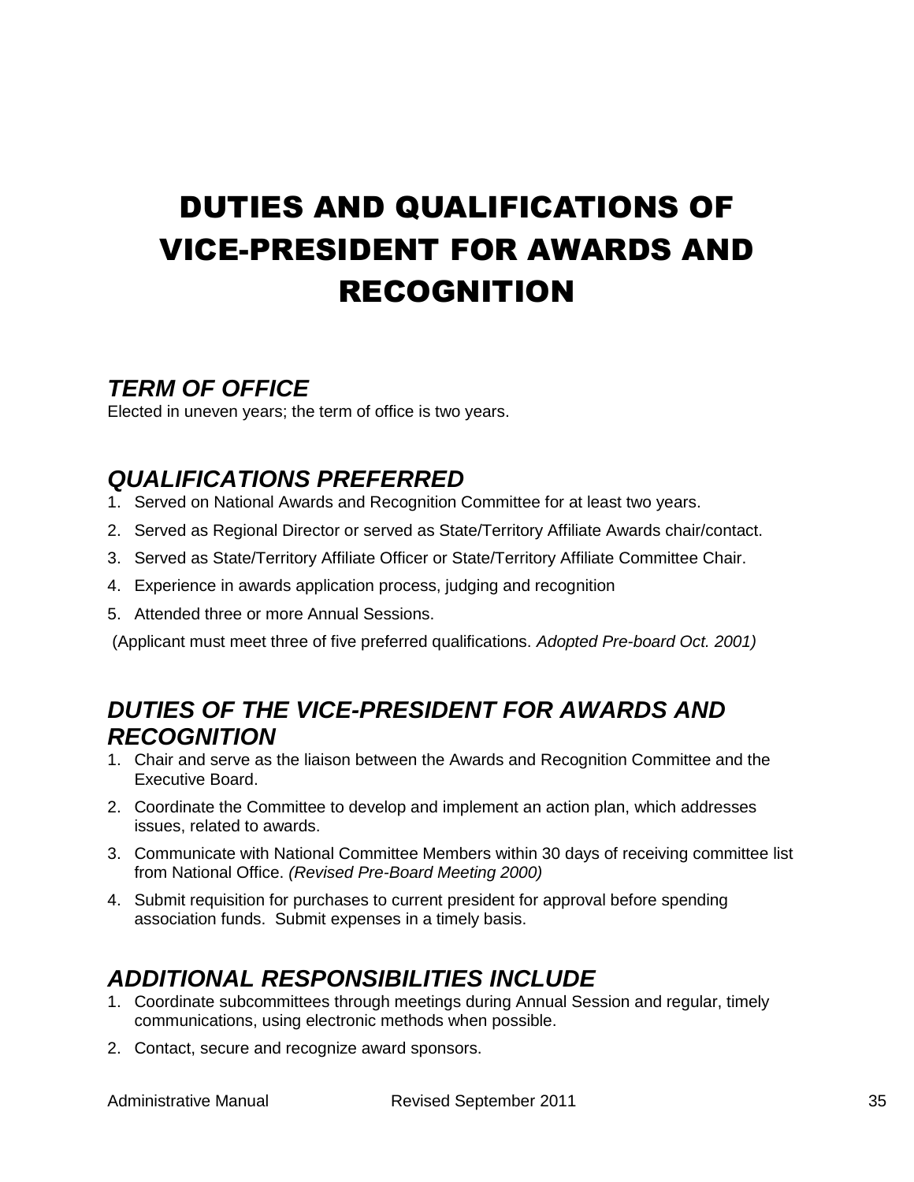# <span id="page-34-0"></span>DUTIES AND QUALIFICATIONS OF VICE-PRESIDENT FOR AWARDS AND RECOGNITION

## <span id="page-34-1"></span>*TERM OF OFFICE*

Elected in uneven years; the term of office is two years.

# <span id="page-34-2"></span>*QUALIFICATIONS PREFERRED*

- 1. Served on National Awards and Recognition Committee for at least two years.
- 2. Served as Regional Director or served as State/Territory Affiliate Awards chair/contact.
- 3. Served as State/Territory Affiliate Officer or State/Territory Affiliate Committee Chair.
- 4. Experience in awards application process, judging and recognition
- 5. Attended three or more Annual Sessions.

(Applicant must meet three of five preferred qualifications. *Adopted Pre-board Oct. 2001)*

## <span id="page-34-3"></span>*DUTIES OF THE VICE-PRESIDENT FOR AWARDS AND RECOGNITION*

- 1. Chair and serve as the liaison between the Awards and Recognition Committee and the Executive Board.
- 2. Coordinate the Committee to develop and implement an action plan, which addresses issues, related to awards.
- 3. Communicate with National Committee Members within 30 days of receiving committee list from National Office. *(Revised Pre-Board Meeting 2000)*
- 4. Submit requisition for purchases to current president for approval before spending association funds. Submit expenses in a timely basis.

# <span id="page-34-4"></span>*ADDITIONAL RESPONSIBILITIES INCLUDE*

- 1. Coordinate subcommittees through meetings during Annual Session and regular, timely communications, using electronic methods when possible.
- 2. Contact, secure and recognize award sponsors.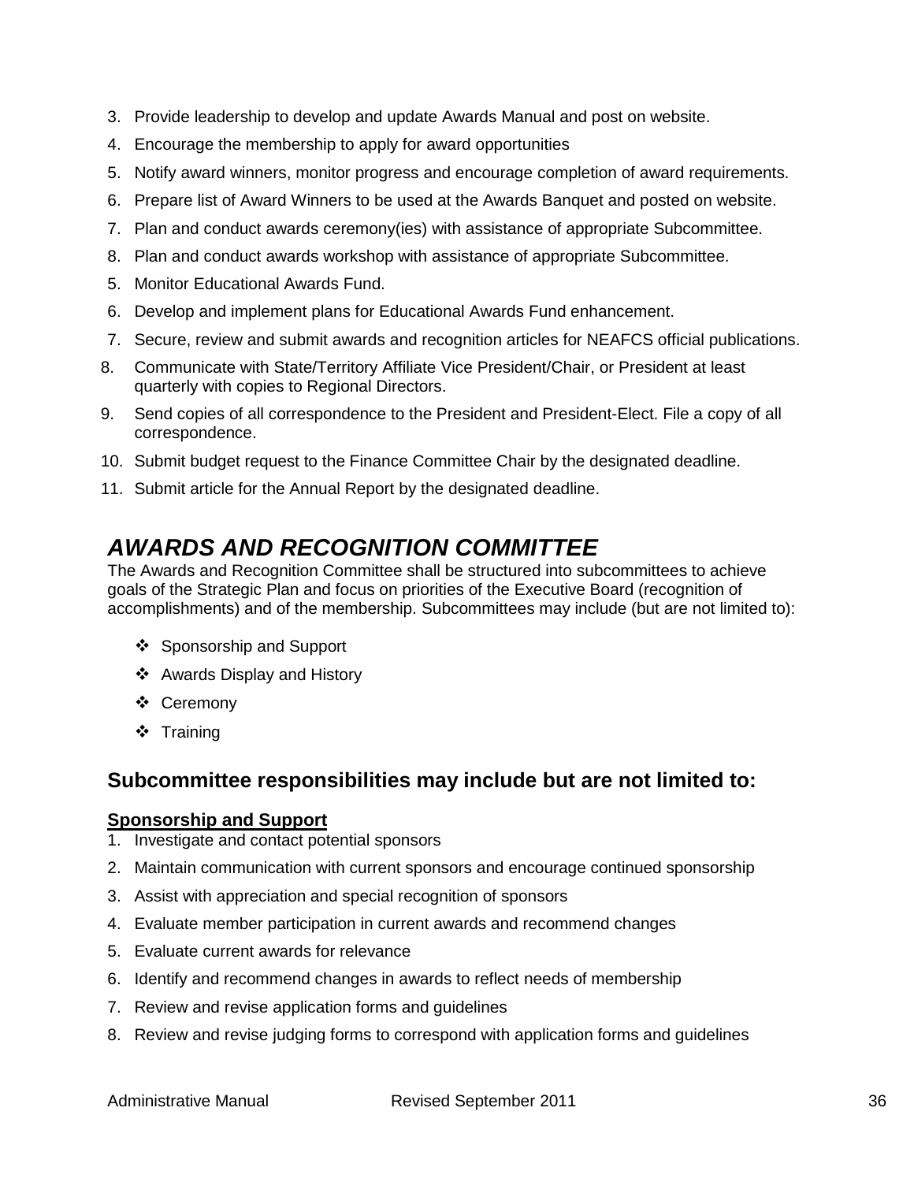- 3. Provide leadership to develop and update Awards Manual and post on website.
- 4. Encourage the membership to apply for award opportunities
- 5. Notify award winners, monitor progress and encourage completion of award requirements.
- 6. Prepare list of Award Winners to be used at the Awards Banquet and posted on website.
- 7. Plan and conduct awards ceremony(ies) with assistance of appropriate Subcommittee.
- 8. Plan and conduct awards workshop with assistance of appropriate Subcommittee.
- 5. Monitor Educational Awards Fund.
- 6. Develop and implement plans for Educational Awards Fund enhancement.
- 7. Secure, review and submit awards and recognition articles for NEAFCS official publications.
- 8. Communicate with State/Territory Affiliate Vice President/Chair, or President at least quarterly with copies to Regional Directors.
- 9. Send copies of all correspondence to the President and President-Elect. File a copy of all correspondence.
- 10. Submit budget request to the Finance Committee Chair by the designated deadline.
- <span id="page-35-0"></span>11. Submit article for the Annual Report by the designated deadline.

## *AWARDS AND RECOGNITION COMMITTEE*

The Awards and Recognition Committee shall be structured into subcommittees to achieve goals of the Strategic Plan and focus on priorities of the Executive Board (recognition of accomplishments) and of the membership. Subcommittees may include (but are not limited to):

- ❖ Sponsorship and Support
- ❖ Awards Display and History
- Ceremony
- ❖ Training

### **Subcommittee responsibilities may include but are not limited to:**

#### **Sponsorship and Support**

- 1. Investigate and contact potential sponsors
- 2. Maintain communication with current sponsors and encourage continued sponsorship
- 3. Assist with appreciation and special recognition of sponsors
- 4. Evaluate member participation in current awards and recommend changes
- 5. Evaluate current awards for relevance
- 6. Identify and recommend changes in awards to reflect needs of membership
- 7. Review and revise application forms and guidelines
- 8. Review and revise judging forms to correspond with application forms and guidelines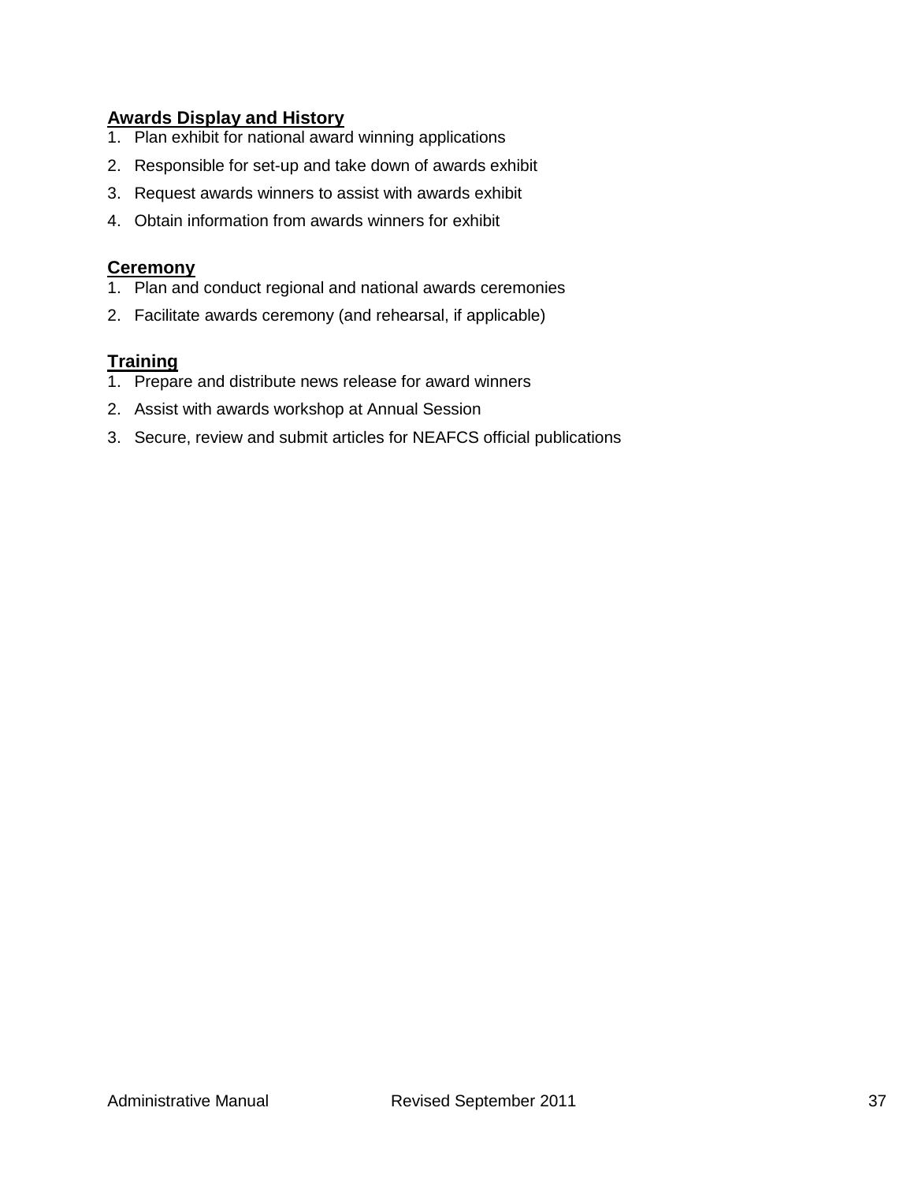#### **Awards Display and History**

- 1. Plan exhibit for national award winning applications
- 2. Responsible for set-up and take down of awards exhibit
- 3. Request awards winners to assist with awards exhibit
- 4. Obtain information from awards winners for exhibit

#### **Ceremony**

- 1. Plan and conduct regional and national awards ceremonies
- 2. Facilitate awards ceremony (and rehearsal, if applicable)

#### **Training**

- 1. Prepare and distribute news release for award winners
- 2. Assist with awards workshop at Annual Session
- 3. Secure, review and submit articles for NEAFCS official publications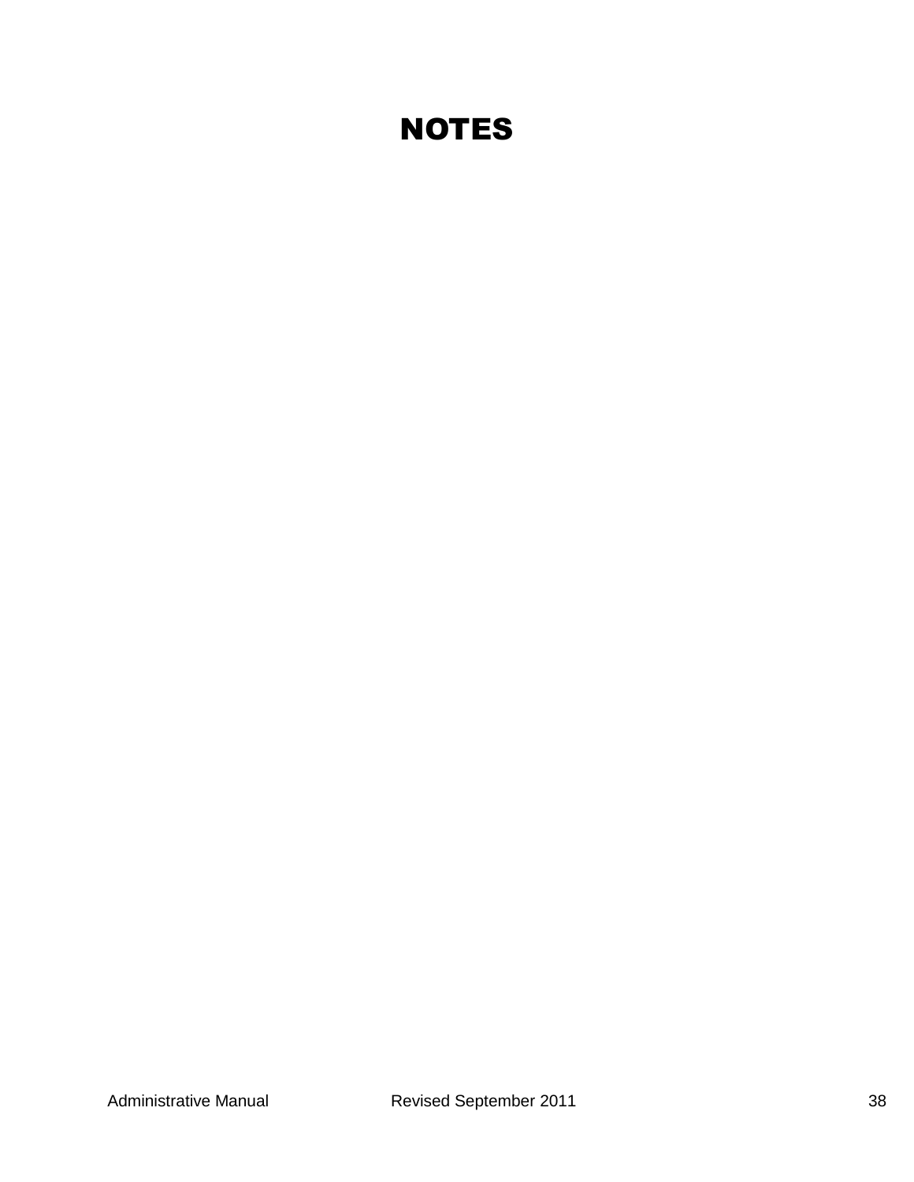## **NOTES**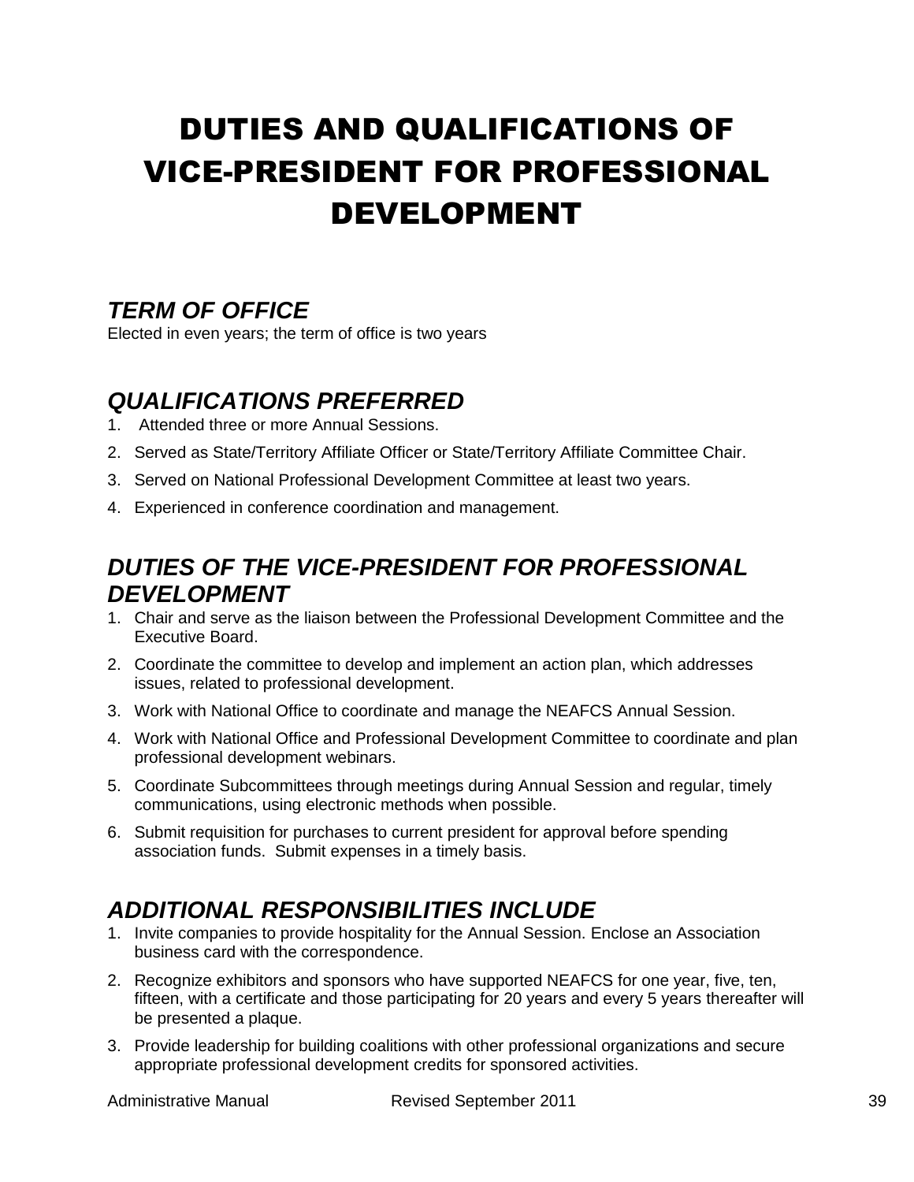# DUTIES AND QUALIFICATIONS OF VICE-PRESIDENT FOR PROFESSIONAL DEVELOPMENT

## *TERM OF OFFICE*

Elected in even years; the term of office is two years

## *QUALIFICATIONS PREFERRED*

- 1. Attended three or more Annual Sessions.
- 2. Served as State/Territory Affiliate Officer or State/Territory Affiliate Committee Chair.
- 3. Served on National Professional Development Committee at least two years.
- 4. Experienced in conference coordination and management.

## *DUTIES OF THE VICE-PRESIDENT FOR PROFESSIONAL DEVELOPMENT*

- 1. Chair and serve as the liaison between the Professional Development Committee and the Executive Board.
- 2. Coordinate the committee to develop and implement an action plan, which addresses issues, related to professional development.
- 3. Work with National Office to coordinate and manage the NEAFCS Annual Session.
- 4. Work with National Office and Professional Development Committee to coordinate and plan professional development webinars.
- 5. Coordinate Subcommittees through meetings during Annual Session and regular, timely communications, using electronic methods when possible.
- 6. Submit requisition for purchases to current president for approval before spending association funds. Submit expenses in a timely basis.

## *ADDITIONAL RESPONSIBILITIES INCLUDE*

- 1. Invite companies to provide hospitality for the Annual Session. Enclose an Association business card with the correspondence.
- 2. Recognize exhibitors and sponsors who have supported NEAFCS for one year, five, ten, fifteen, with a certificate and those participating for 20 years and every 5 years thereafter will be presented a plaque.
- 3. Provide leadership for building coalitions with other professional organizations and secure appropriate professional development credits for sponsored activities.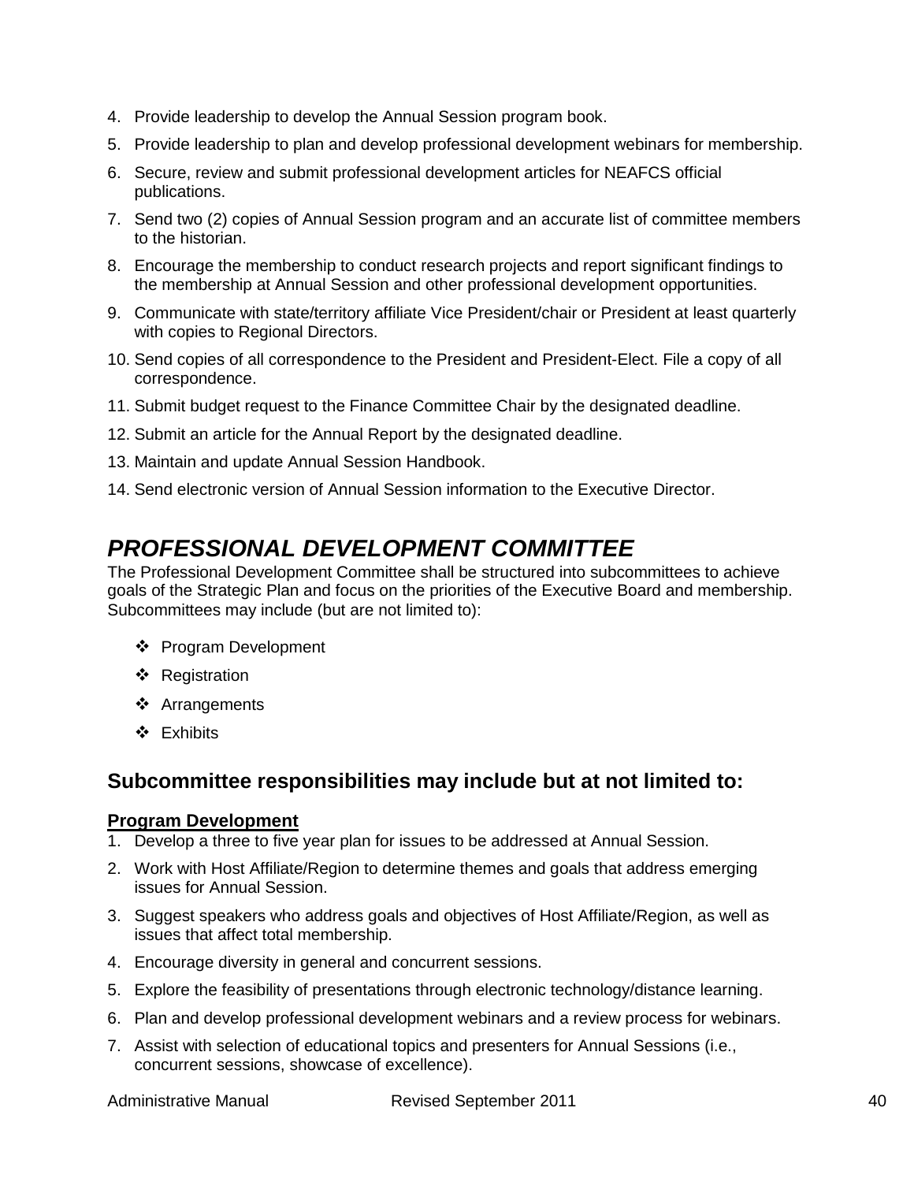- 4. Provide leadership to develop the Annual Session program book.
- 5. Provide leadership to plan and develop professional development webinars for membership.
- 6. Secure, review and submit professional development articles for NEAFCS official publications.
- 7. Send two (2) copies of Annual Session program and an accurate list of committee members to the historian.
- 8. Encourage the membership to conduct research projects and report significant findings to the membership at Annual Session and other professional development opportunities.
- 9. Communicate with state/territory affiliate Vice President/chair or President at least quarterly with copies to Regional Directors.
- 10. Send copies of all correspondence to the President and President-Elect. File a copy of all correspondence.
- 11. Submit budget request to the Finance Committee Chair by the designated deadline.
- 12. Submit an article for the Annual Report by the designated deadline.
- 13. Maintain and update Annual Session Handbook.
- 14. Send electronic version of Annual Session information to the Executive Director.

## *PROFESSIONAL DEVELOPMENT COMMITTEE*

The Professional Development Committee shall be structured into subcommittees to achieve goals of the Strategic Plan and focus on the priorities of the Executive Board and membership. Subcommittees may include (but are not limited to):

- ❖ Program Development
- ❖ Registration
- Arrangements
- Exhibits

### **Subcommittee responsibilities may include but at not limited to:**

#### **Program Development**

- 1. Develop a three to five year plan for issues to be addressed at Annual Session.
- 2. Work with Host Affiliate/Region to determine themes and goals that address emerging issues for Annual Session.
- 3. Suggest speakers who address goals and objectives of Host Affiliate/Region, as well as issues that affect total membership.
- 4. Encourage diversity in general and concurrent sessions.
- 5. Explore the feasibility of presentations through electronic technology/distance learning.
- 6. Plan and develop professional development webinars and a review process for webinars.
- 7. Assist with selection of educational topics and presenters for Annual Sessions (i.e., concurrent sessions, showcase of excellence).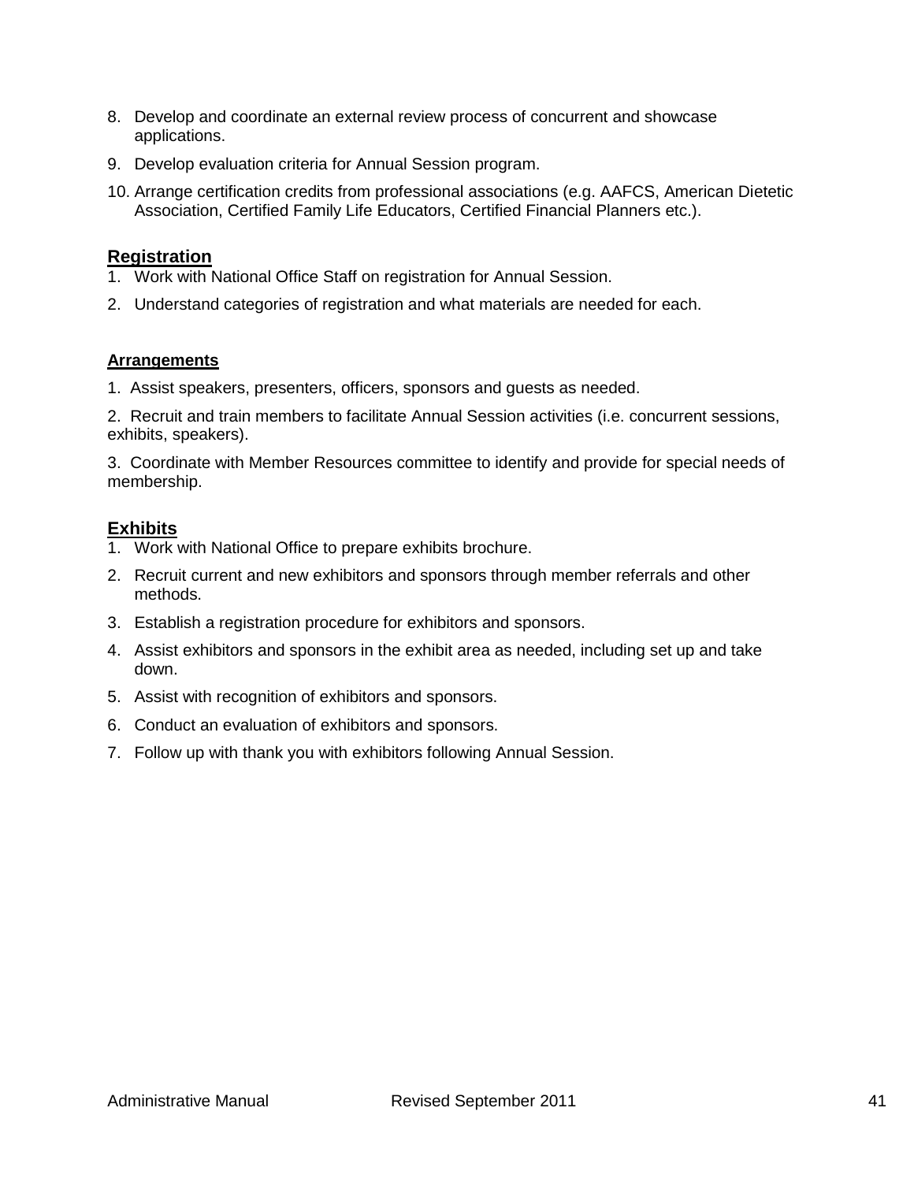- 8. Develop and coordinate an external review process of concurrent and showcase applications.
- 9. Develop evaluation criteria for Annual Session program.
- 10. Arrange certification credits from professional associations (e.g. AAFCS, American Dietetic Association, Certified Family Life Educators, Certified Financial Planners etc.).

#### **Registration**

- 1. Work with National Office Staff on registration for Annual Session.
- 2. Understand categories of registration and what materials are needed for each.

#### **Arrangements**

1. Assist speakers, presenters, officers, sponsors and guests as needed.

2. Recruit and train members to facilitate Annual Session activities (i.e. concurrent sessions, exhibits, speakers).

3. Coordinate with Member Resources committee to identify and provide for special needs of membership.

#### **Exhibits**

- 1. Work with National Office to prepare exhibits brochure.
- 2. Recruit current and new exhibitors and sponsors through member referrals and other methods.
- 3. Establish a registration procedure for exhibitors and sponsors.
- 4. Assist exhibitors and sponsors in the exhibit area as needed, including set up and take down.
- 5. Assist with recognition of exhibitors and sponsors.
- 6. Conduct an evaluation of exhibitors and sponsors.
- 7. Follow up with thank you with exhibitors following Annual Session.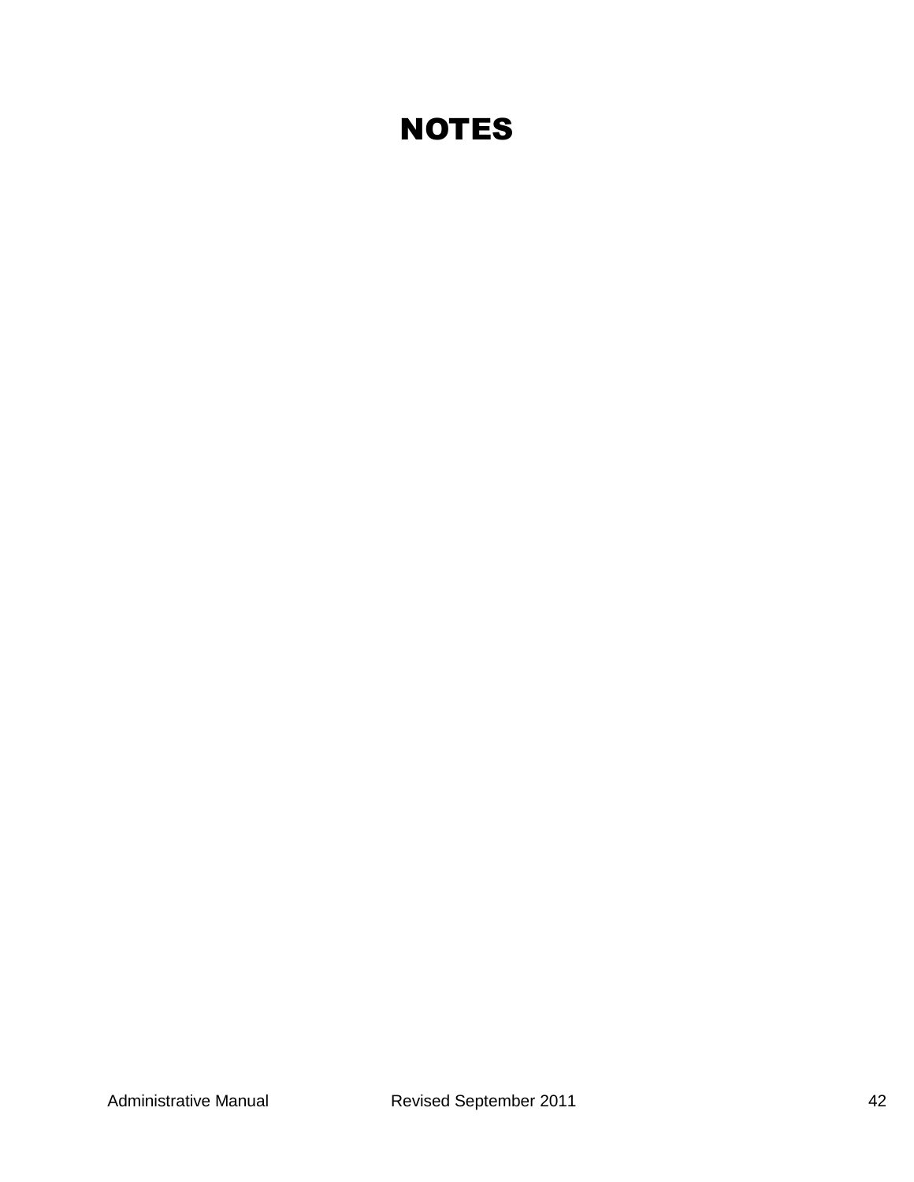## **NOTES**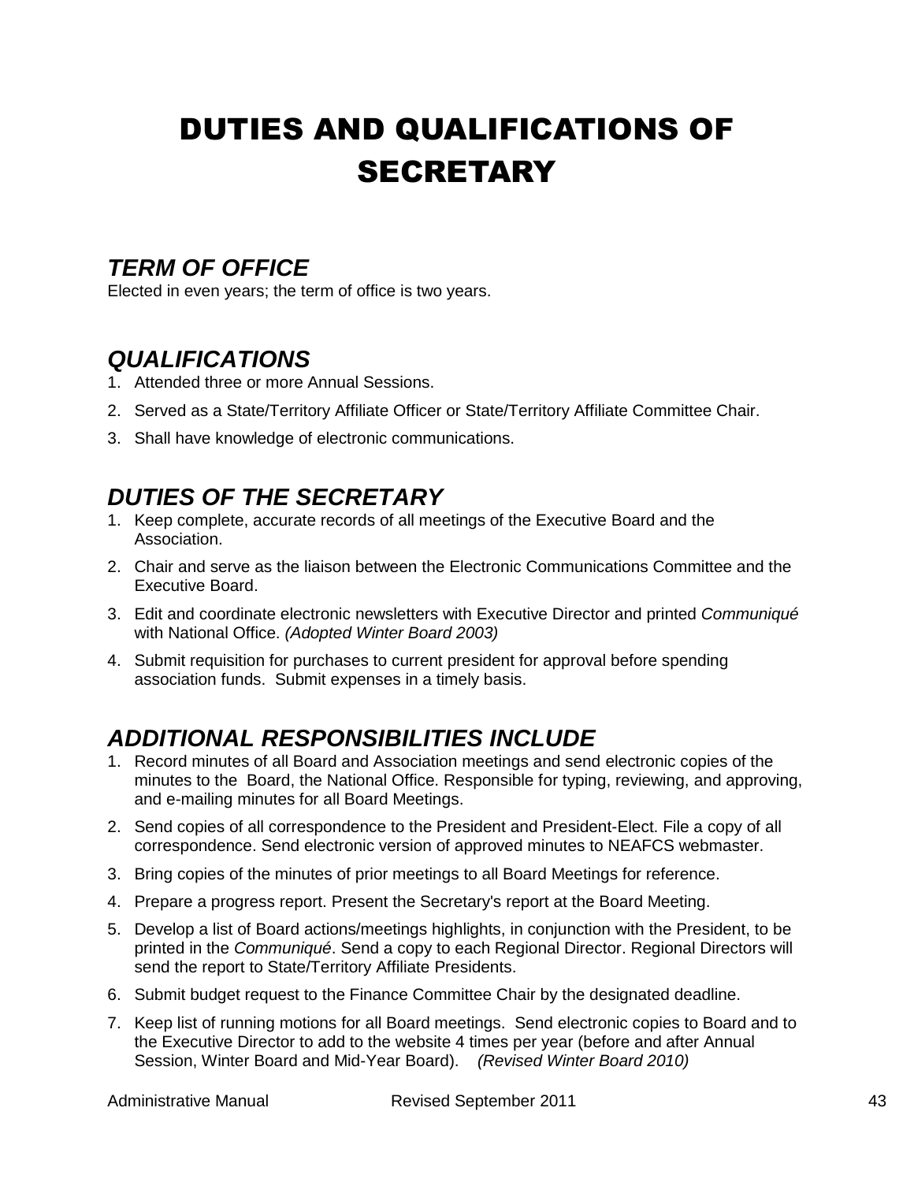## DUTIES AND QUALIFICATIONS OF **SECRETARY**

## *TERM OF OFFICE*

Elected in even years; the term of office is two years.

## *QUALIFICATIONS*

- 1. Attended three or more Annual Sessions.
- 2. Served as a State/Territory Affiliate Officer or State/Territory Affiliate Committee Chair.
- 3. Shall have knowledge of electronic communications.

## *DUTIES OF THE SECRETARY*

- 1. Keep complete, accurate records of all meetings of the Executive Board and the Association.
- 2. Chair and serve as the liaison between the Electronic Communications Committee and the Executive Board.
- 3. Edit and coordinate electronic newsletters with Executive Director and printed *Communiqué* with National Office. *(Adopted Winter Board 2003)*
- 4. Submit requisition for purchases to current president for approval before spending association funds. Submit expenses in a timely basis.

## *ADDITIONAL RESPONSIBILITIES INCLUDE*

- 1. Record minutes of all Board and Association meetings and send electronic copies of the minutes to the Board, the National Office. Responsible for typing, reviewing, and approving, and e-mailing minutes for all Board Meetings.
- 2. Send copies of all correspondence to the President and President-Elect. File a copy of all correspondence. Send electronic version of approved minutes to NEAFCS webmaster.
- 3. Bring copies of the minutes of prior meetings to all Board Meetings for reference.
- 4. Prepare a progress report. Present the Secretary's report at the Board Meeting.
- 5. Develop a list of Board actions/meetings highlights, in conjunction with the President, to be printed in the *Communiqué*. Send a copy to each Regional Director. Regional Directors will send the report to State/Territory Affiliate Presidents.
- 6. Submit budget request to the Finance Committee Chair by the designated deadline.
- 7. Keep list of running motions for all Board meetings. Send electronic copies to Board and to the Executive Director to add to the website 4 times per year (before and after Annual Session, Winter Board and Mid-Year Board). *(Revised Winter Board 2010)*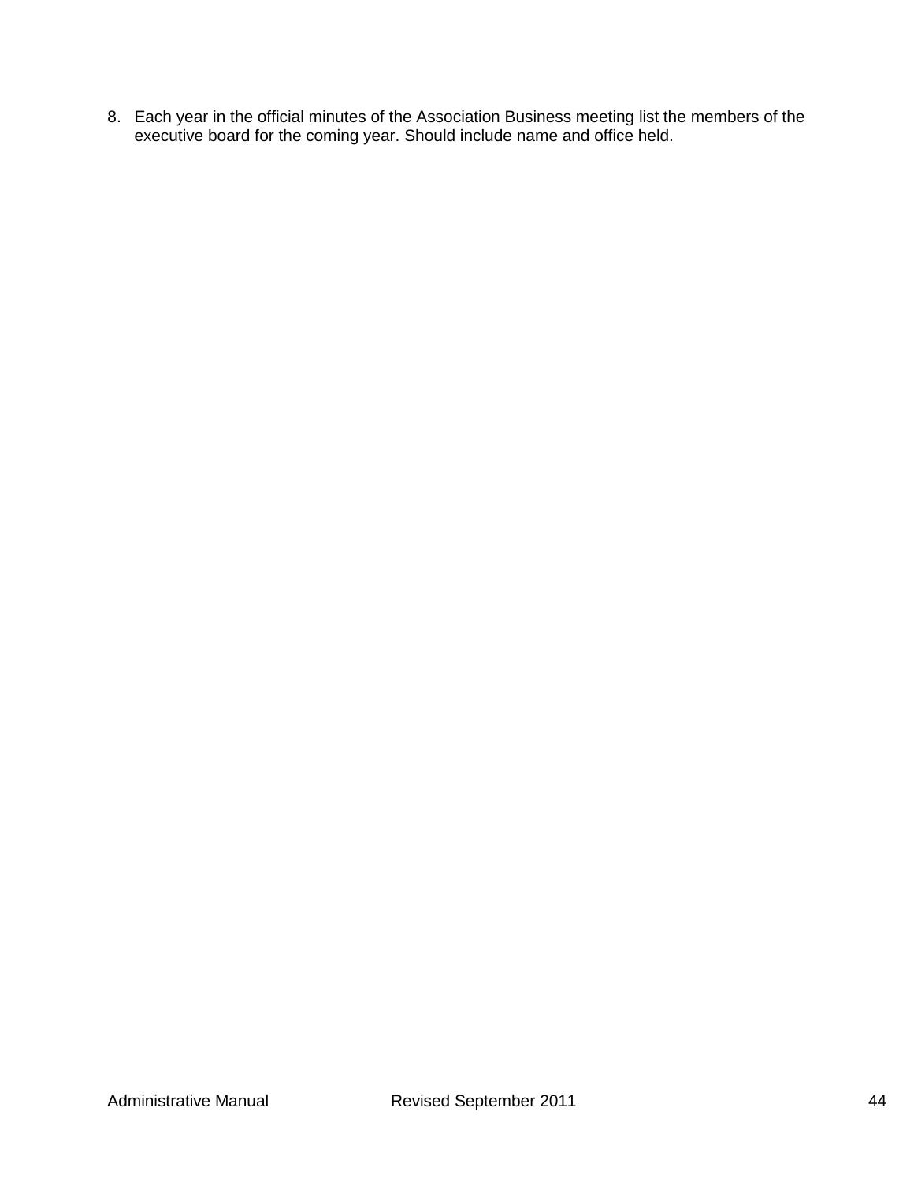8. Each year in the official minutes of the Association Business meeting list the members of the executive board for the coming year. Should include name and office held.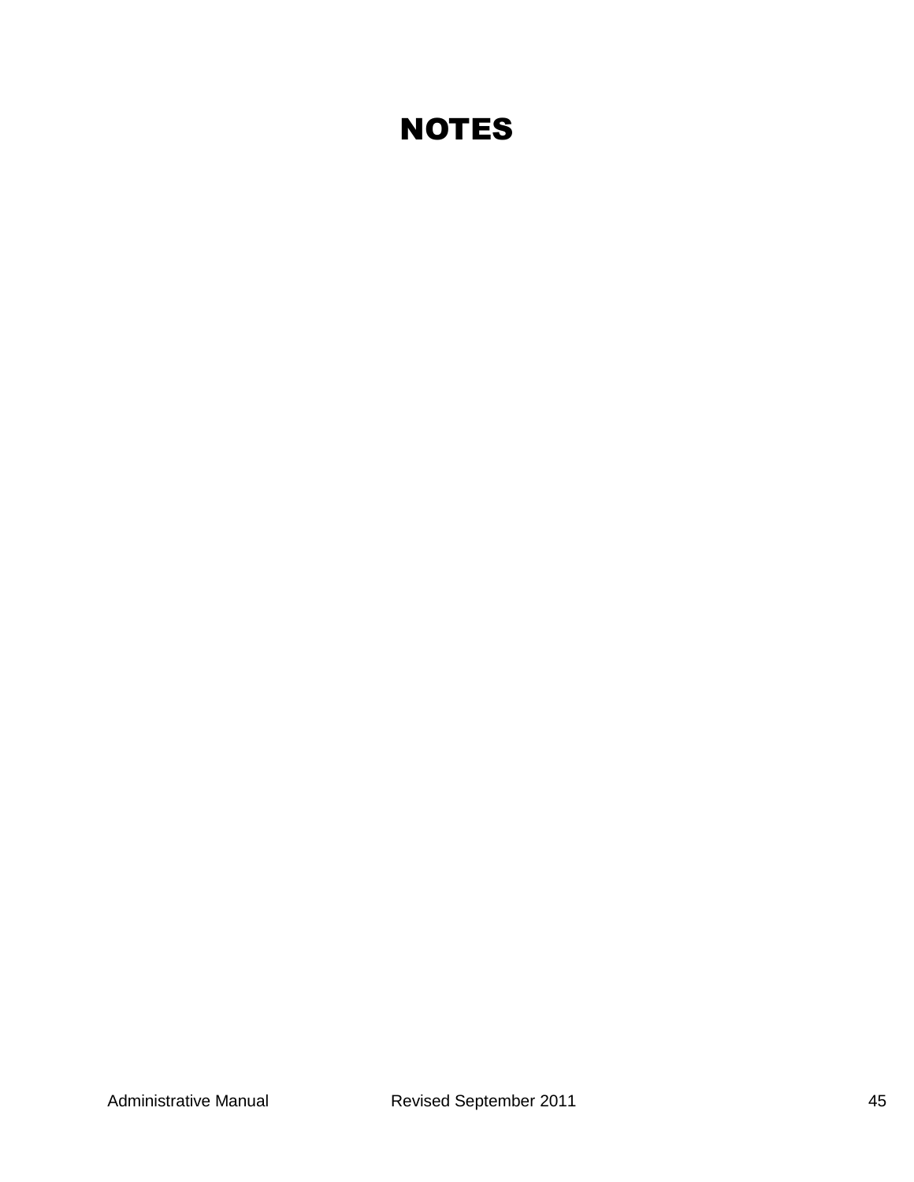## **NOTES**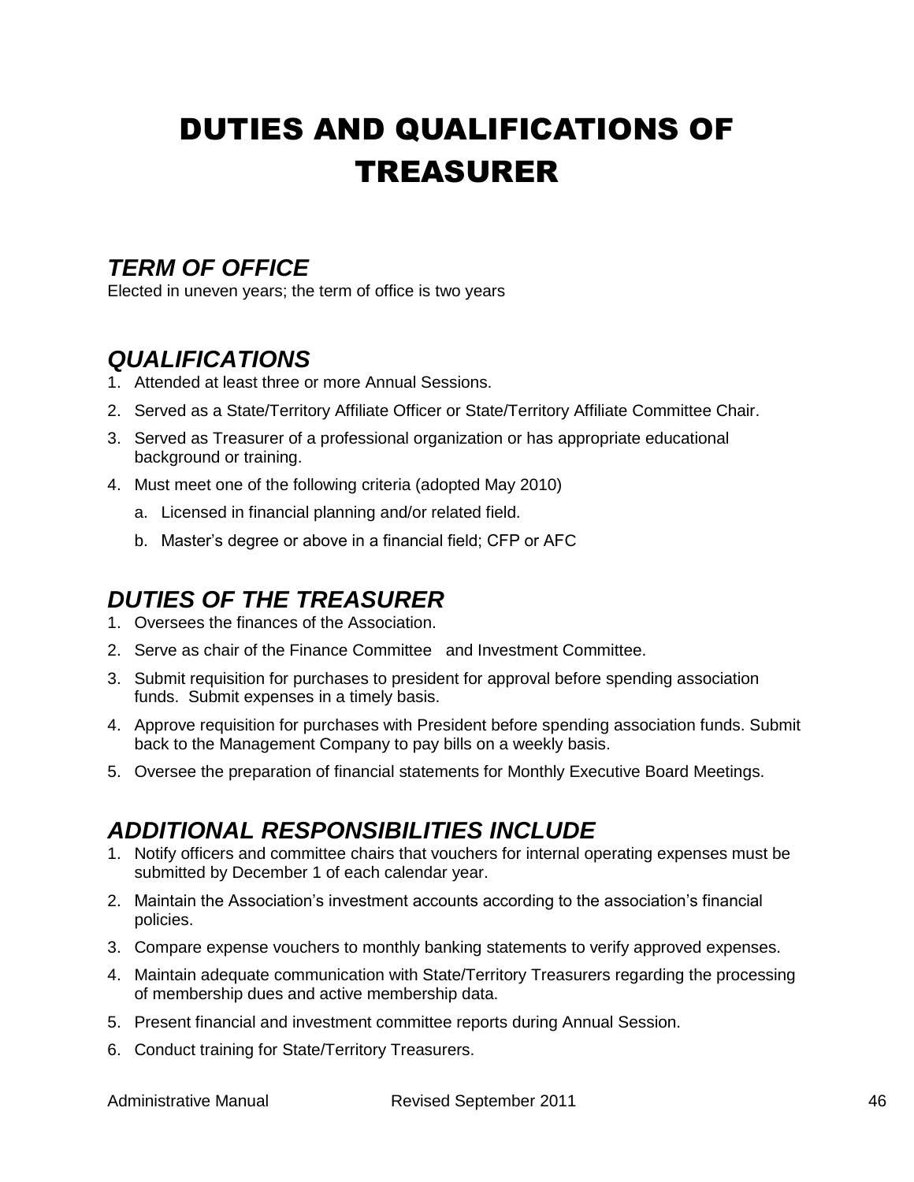## DUTIES AND QUALIFICATIONS OF TREASURER

## *TERM OF OFFICE*

Elected in uneven years; the term of office is two years

## *QUALIFICATIONS*

- 1. Attended at least three or more Annual Sessions.
- 2. Served as a State/Territory Affiliate Officer or State/Territory Affiliate Committee Chair.
- 3. Served as Treasurer of a professional organization or has appropriate educational background or training.
- 4. Must meet one of the following criteria (adopted May 2010)
	- a. Licensed in financial planning and/or related field.
	- b. Master's degree or above in a financial field; CFP or AFC

## *DUTIES OF THE TREASURER*

- 1. Oversees the finances of the Association.
- 2. Serve as chair of the Finance Committee and Investment Committee.
- 3. Submit requisition for purchases to president for approval before spending association funds. Submit expenses in a timely basis.
- 4. Approve requisition for purchases with President before spending association funds. Submit back to the Management Company to pay bills on a weekly basis.
- 5. Oversee the preparation of financial statements for Monthly Executive Board Meetings.

## *ADDITIONAL RESPONSIBILITIES INCLUDE*

- 1. Notify officers and committee chairs that vouchers for internal operating expenses must be submitted by December 1 of each calendar year.
- 2. Maintain the Association's investment accounts according to the association's financial policies.
- 3. Compare expense vouchers to monthly banking statements to verify approved expenses.
- 4. Maintain adequate communication with State/Territory Treasurers regarding the processing of membership dues and active membership data.
- 5. Present financial and investment committee reports during Annual Session.
- 6. Conduct training for State/Territory Treasurers.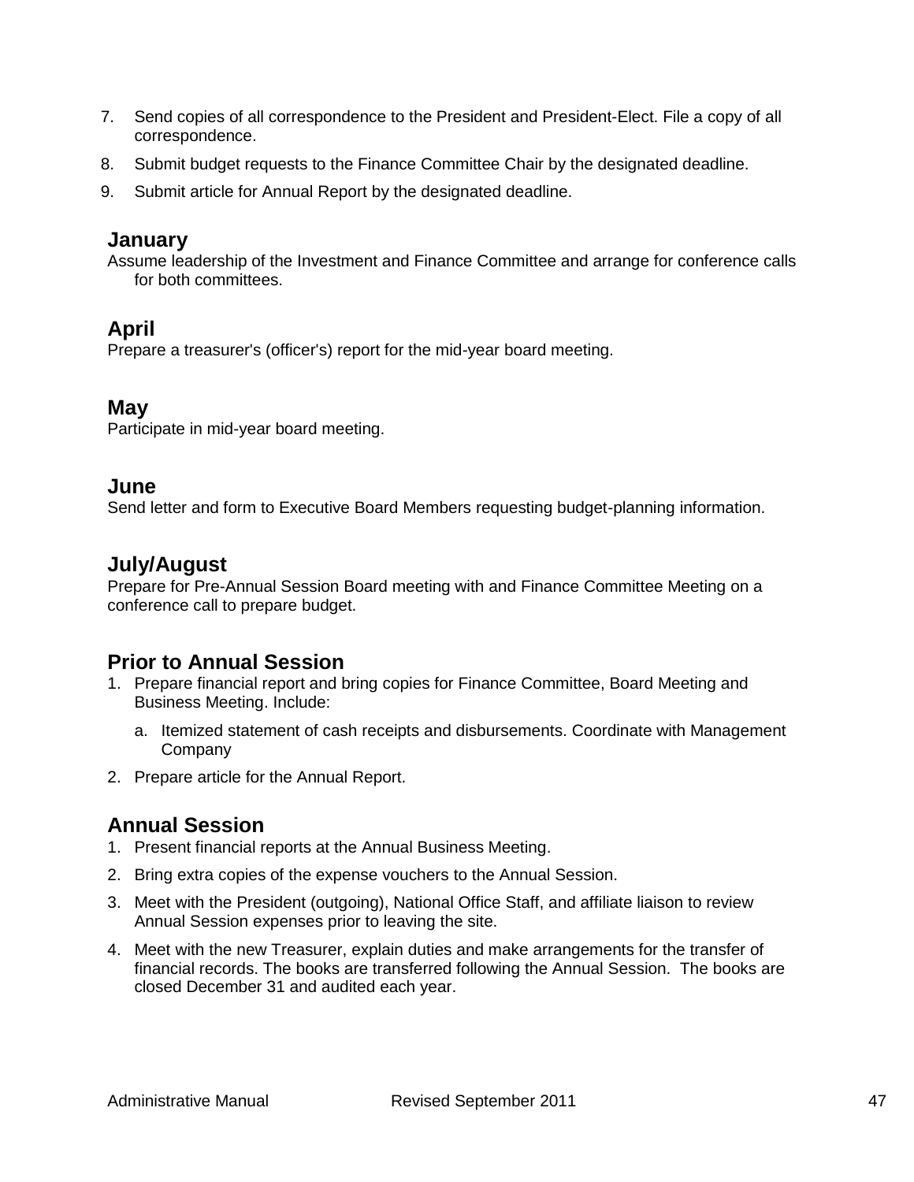- 7. Send copies of all correspondence to the President and President-Elect. File a copy of all correspondence.
- 8. Submit budget requests to the Finance Committee Chair by the designated deadline.
- 9. Submit article for Annual Report by the designated deadline.

### **January**

Assume leadership of the Investment and Finance Committee and arrange for conference calls for both committees.

### **April**

Prepare a treasurer's (officer's) report for the mid-year board meeting.

#### **May**

Participate in mid-year board meeting.

#### **June**

Send letter and form to Executive Board Members requesting budget-planning information.

### **July/August**

Prepare for Pre-Annual Session Board meeting with and Finance Committee Meeting on a conference call to prepare budget.

### **Prior to Annual Session**

- 1. Prepare financial report and bring copies for Finance Committee, Board Meeting and Business Meeting. Include:
	- a. Itemized statement of cash receipts and disbursements. Coordinate with Management **Company**
- 2. Prepare article for the Annual Report.

### **Annual Session**

- 1. Present financial reports at the Annual Business Meeting.
- 2. Bring extra copies of the expense vouchers to the Annual Session.
- 3. Meet with the President (outgoing), National Office Staff, and affiliate liaison to review Annual Session expenses prior to leaving the site.
- 4. Meet with the new Treasurer, explain duties and make arrangements for the transfer of financial records. The books are transferred following the Annual Session. The books are closed December 31 and audited each year.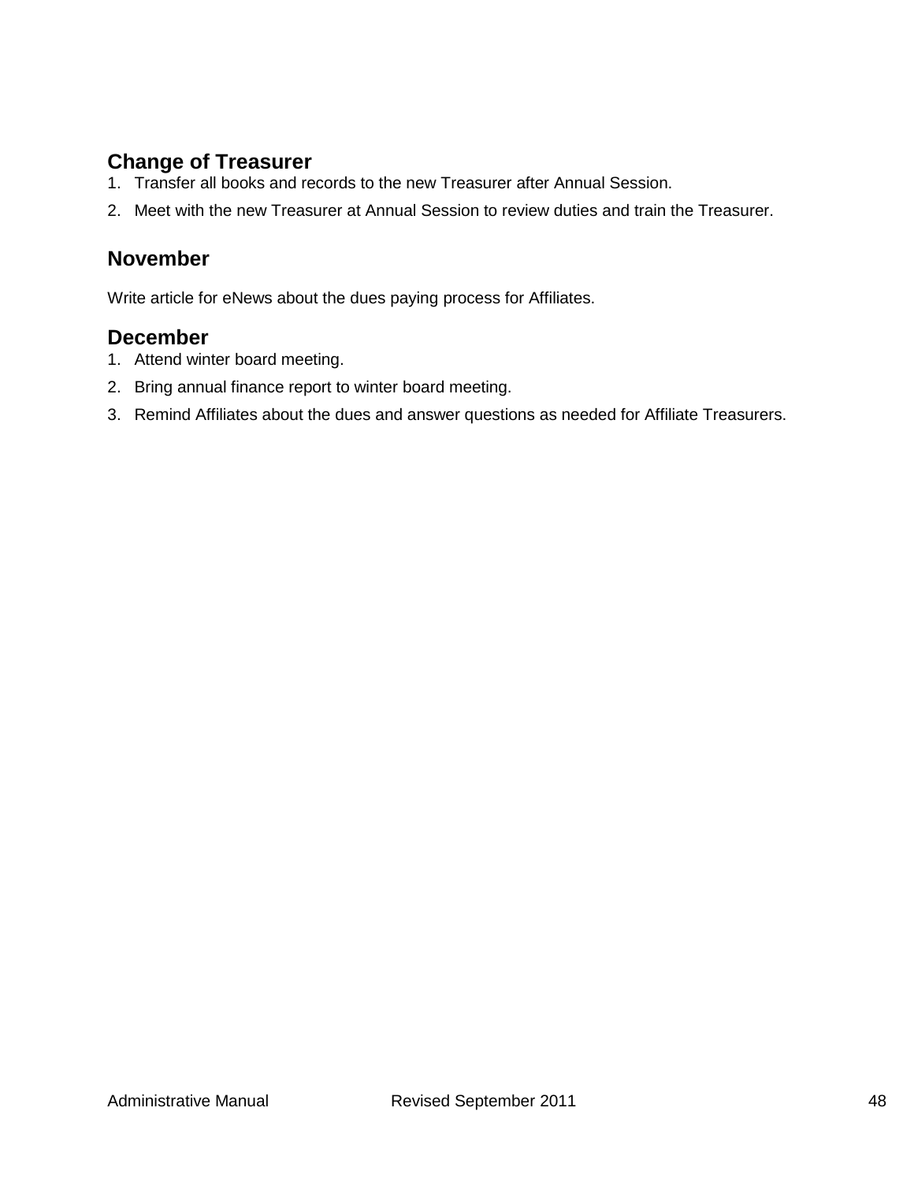### **Change of Treasurer**

- 1. Transfer all books and records to the new Treasurer after Annual Session.
- 2. Meet with the new Treasurer at Annual Session to review duties and train the Treasurer.

### **November**

Write article for eNews about the dues paying process for Affiliates.

### **December**

- 1. Attend winter board meeting.
- 2. Bring annual finance report to winter board meeting.
- 3. Remind Affiliates about the dues and answer questions as needed for Affiliate Treasurers.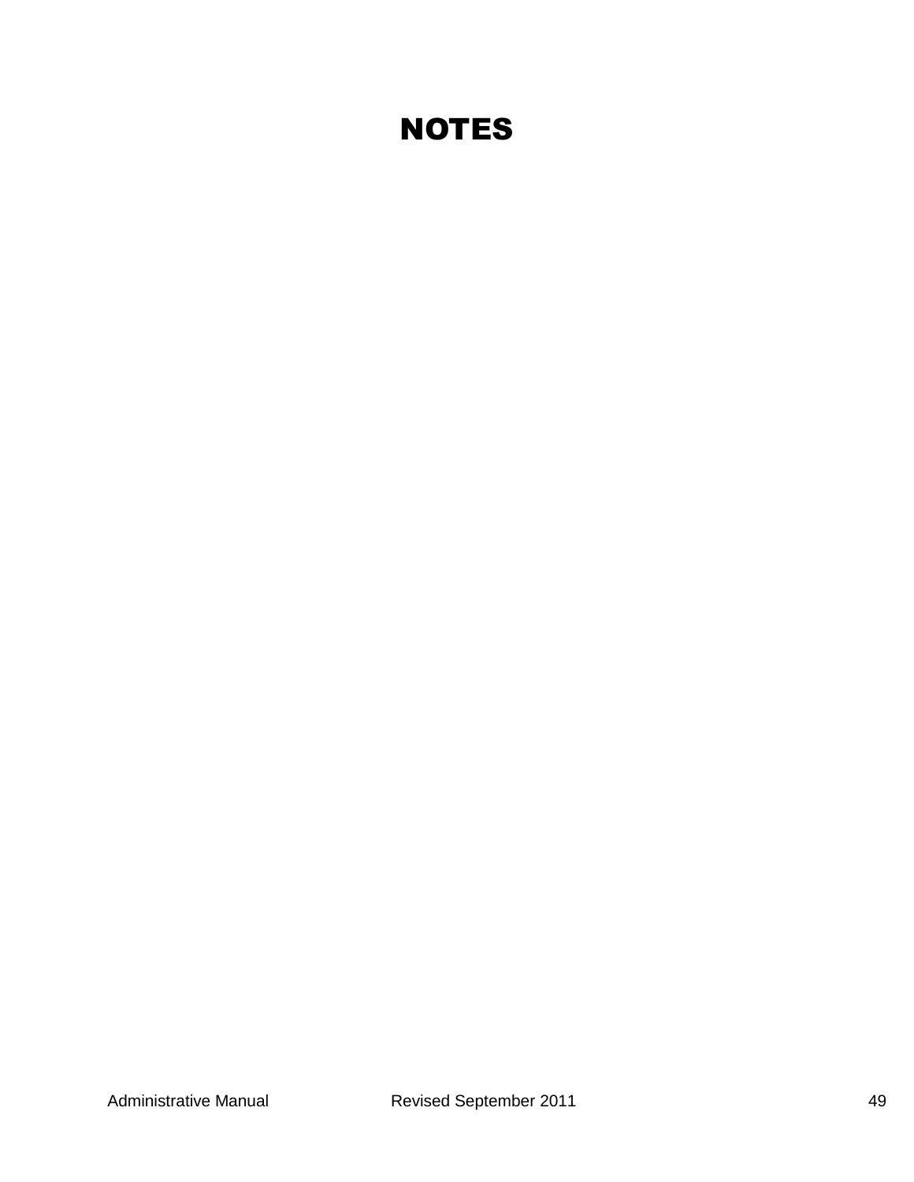## **NOTES**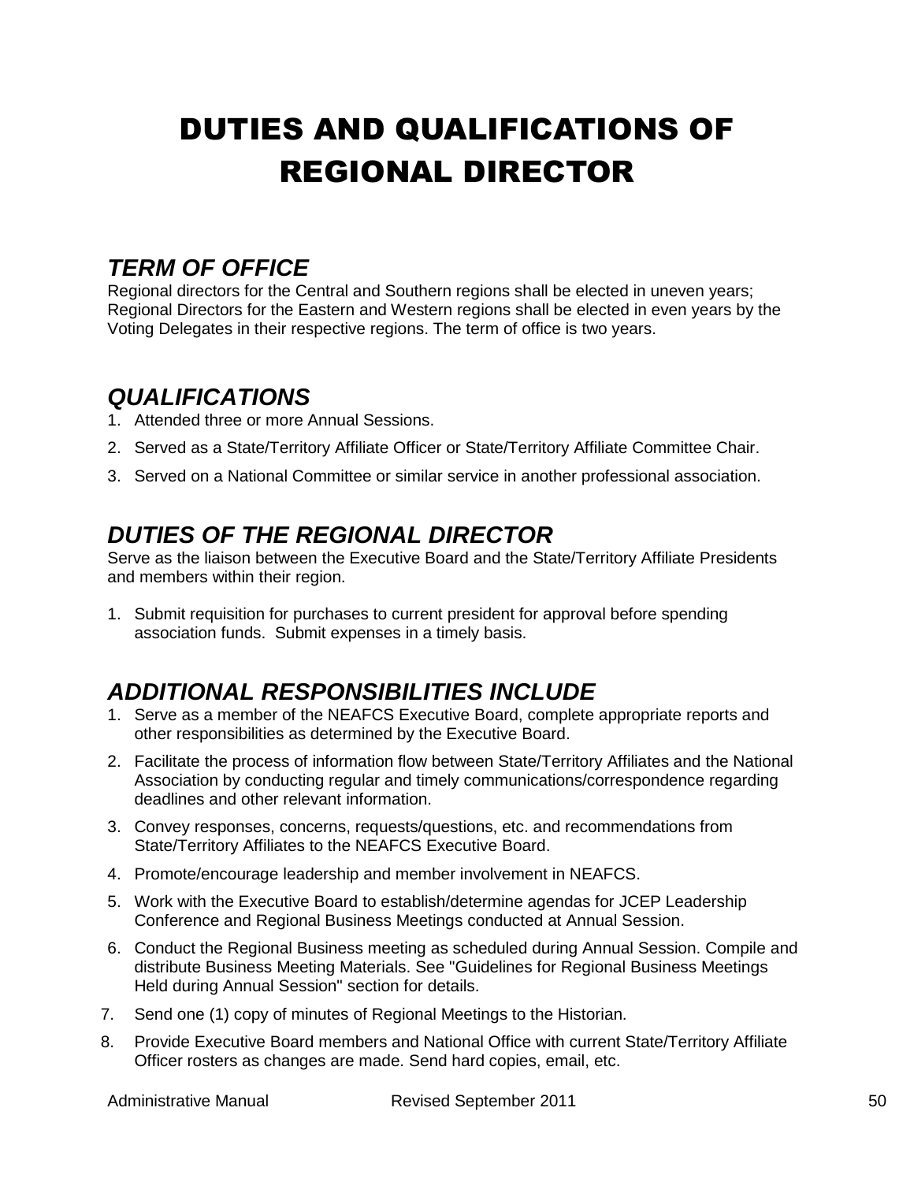# DUTIES AND QUALIFICATIONS OF REGIONAL DIRECTOR

## *TERM OF OFFICE*

Regional directors for the Central and Southern regions shall be elected in uneven years; Regional Directors for the Eastern and Western regions shall be elected in even years by the Voting Delegates in their respective regions. The term of office is two years.

## *QUALIFICATIONS*

- 1. Attended three or more Annual Sessions.
- 2. Served as a State/Territory Affiliate Officer or State/Territory Affiliate Committee Chair.
- 3. Served on a National Committee or similar service in another professional association.

## *DUTIES OF THE REGIONAL DIRECTOR*

Serve as the liaison between the Executive Board and the State/Territory Affiliate Presidents and members within their region.

1. Submit requisition for purchases to current president for approval before spending association funds. Submit expenses in a timely basis.

## *ADDITIONAL RESPONSIBILITIES INCLUDE*

- 1. Serve as a member of the NEAFCS Executive Board, complete appropriate reports and other responsibilities as determined by the Executive Board.
- 2. Facilitate the process of information flow between State/Territory Affiliates and the National Association by conducting regular and timely communications/correspondence regarding deadlines and other relevant information.
- 3. Convey responses, concerns, requests/questions, etc. and recommendations from State/Territory Affiliates to the NEAFCS Executive Board.
- 4. Promote/encourage leadership and member involvement in NEAFCS.
- 5. Work with the Executive Board to establish/determine agendas for JCEP Leadership Conference and Regional Business Meetings conducted at Annual Session.
- 6. Conduct the Regional Business meeting as scheduled during Annual Session. Compile and distribute Business Meeting Materials. See "Guidelines for Regional Business Meetings Held during Annual Session" section for details.
- 7. Send one (1) copy of minutes of Regional Meetings to the Historian.
- 8. Provide Executive Board members and National Office with current State/Territory Affiliate Officer rosters as changes are made. Send hard copies, email, etc.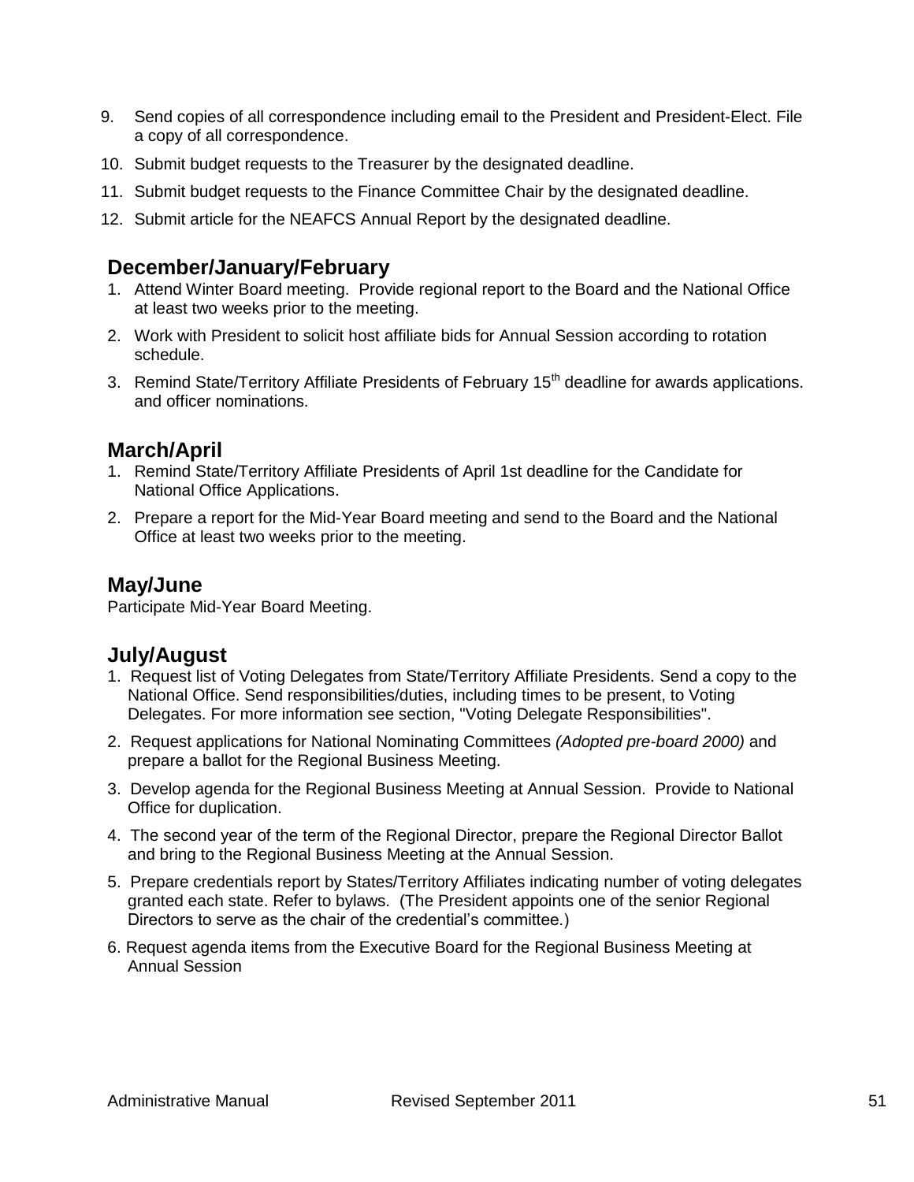- 9. Send copies of all correspondence including email to the President and President-Elect. File a copy of all correspondence.
- 10. Submit budget requests to the Treasurer by the designated deadline.
- 11. Submit budget requests to the Finance Committee Chair by the designated deadline.
- 12. Submit article for the NEAFCS Annual Report by the designated deadline.

### **December/January/February**

- 1. Attend Winter Board meeting. Provide regional report to the Board and the National Office at least two weeks prior to the meeting.
- 2. Work with President to solicit host affiliate bids for Annual Session according to rotation schedule.
- 3. Remind State/Territory Affiliate Presidents of February 15<sup>th</sup> deadline for awards applications. and officer nominations.

### **March/April**

- 1. Remind State/Territory Affiliate Presidents of April 1st deadline for the Candidate for National Office Applications.
- 2. Prepare a report for the Mid-Year Board meeting and send to the Board and the National Office at least two weeks prior to the meeting.

### **May/June**

Participate Mid-Year Board Meeting.

#### **July/August**

- 1. Request list of Voting Delegates from State/Territory Affiliate Presidents. Send a copy to the National Office. Send responsibilities/duties, including times to be present, to Voting Delegates. For more information see section, "Voting Delegate Responsibilities".
- 2. Request applications for National Nominating Committees *(Adopted pre-board 2000)* and prepare a ballot for the Regional Business Meeting.
- 3. Develop agenda for the Regional Business Meeting at Annual Session. Provide to National Office for duplication.
- 4. The second year of the term of the Regional Director, prepare the Regional Director Ballot and bring to the Regional Business Meeting at the Annual Session.
- 5. Prepare credentials report by States/Territory Affiliates indicating number of voting delegates granted each state. Refer to bylaws. (The President appoints one of the senior Regional Directors to serve as the chair of the credential's committee.)
- 6. Request agenda items from the Executive Board for the Regional Business Meeting at Annual Session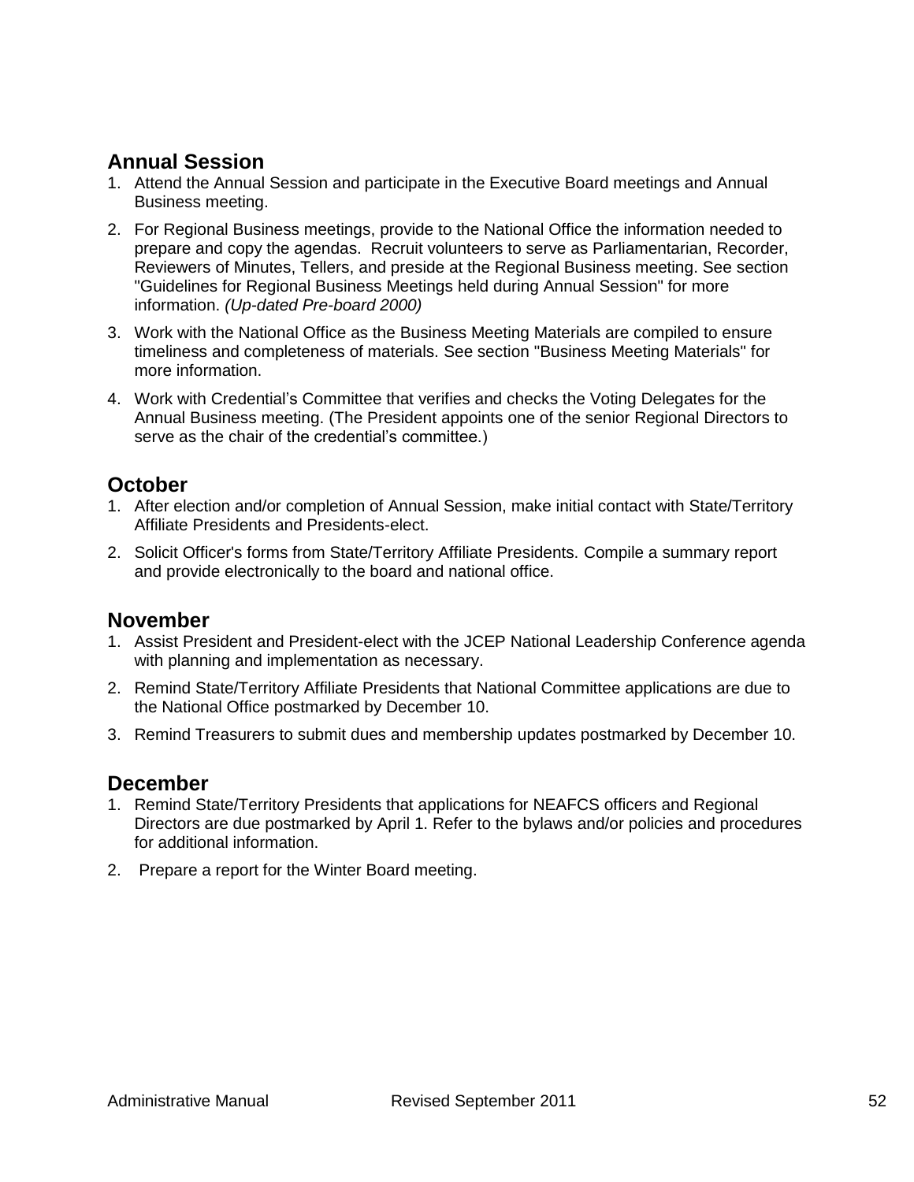### **Annual Session**

- 1. Attend the Annual Session and participate in the Executive Board meetings and Annual Business meeting.
- 2. For Regional Business meetings, provide to the National Office the information needed to prepare and copy the agendas. Recruit volunteers to serve as Parliamentarian, Recorder, Reviewers of Minutes, Tellers, and preside at the Regional Business meeting. See section "Guidelines for Regional Business Meetings held during Annual Session" for more information. *(Up-dated Pre-board 2000)*
- 3. Work with the National Office as the Business Meeting Materials are compiled to ensure timeliness and completeness of materials. See section "Business Meeting Materials" for more information.
- 4. Work with Credential's Committee that verifies and checks the Voting Delegates for the Annual Business meeting. (The President appoints one of the senior Regional Directors to serve as the chair of the credential's committee.)

### **October**

- 1. After election and/or completion of Annual Session, make initial contact with State/Territory Affiliate Presidents and Presidents-elect.
- 2. Solicit Officer's forms from State/Territory Affiliate Presidents. Compile a summary report and provide electronically to the board and national office.

#### **November**

- 1. Assist President and President-elect with the JCEP National Leadership Conference agenda with planning and implementation as necessary.
- 2. Remind State/Territory Affiliate Presidents that National Committee applications are due to the National Office postmarked by December 10.
- 3. Remind Treasurers to submit dues and membership updates postmarked by December 10.

### **December**

- 1. Remind State/Territory Presidents that applications for NEAFCS officers and Regional Directors are due postmarked by April 1. Refer to the bylaws and/or policies and procedures for additional information.
- 2. Prepare a report for the Winter Board meeting.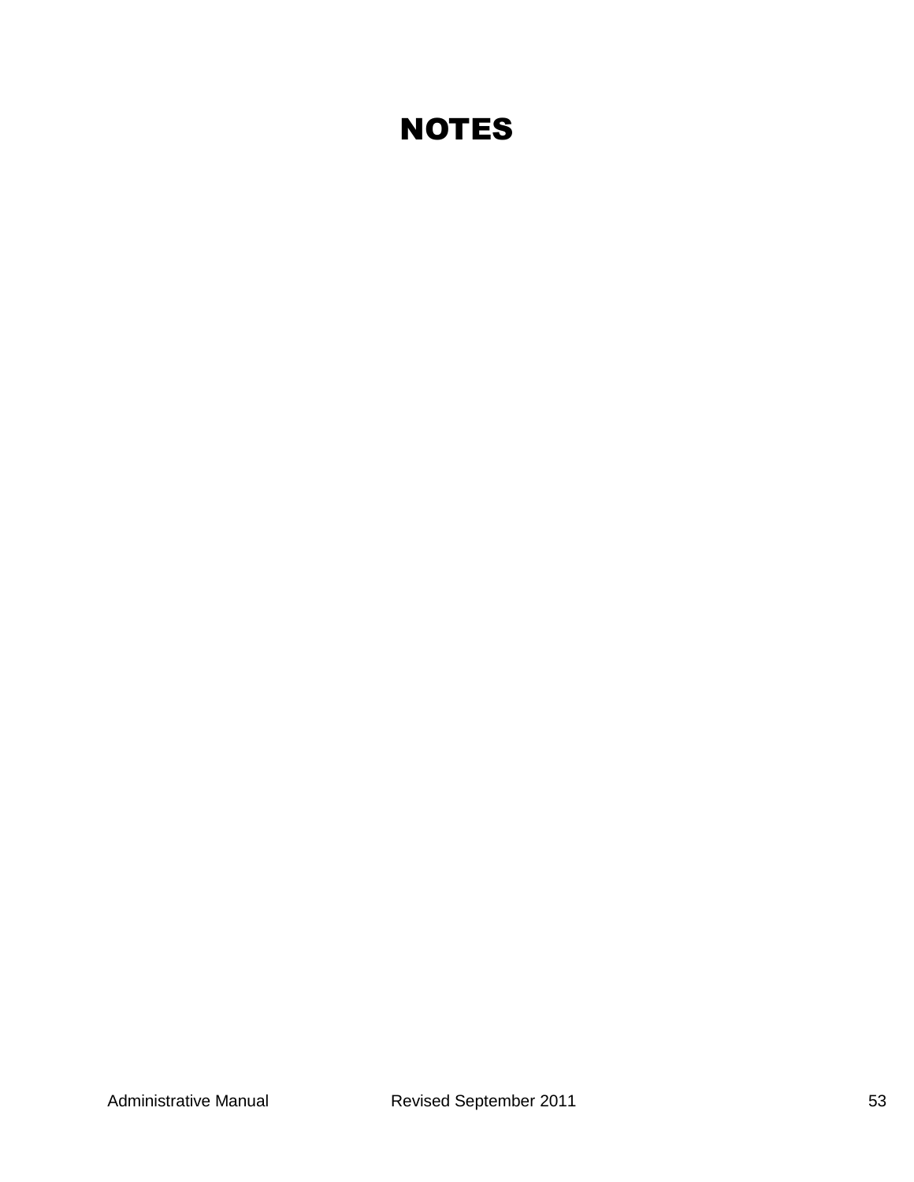## **NOTES**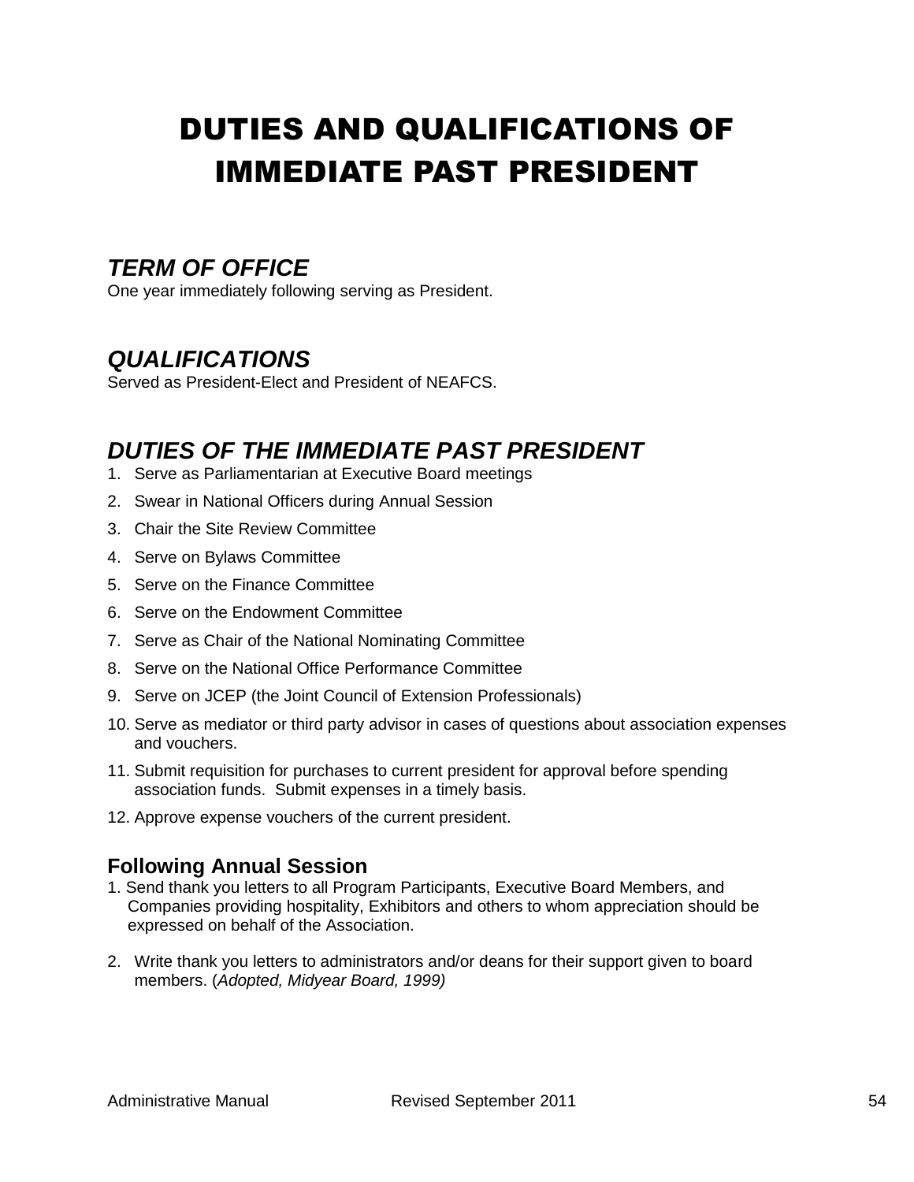# DUTIES AND QUALIFICATIONS OF IMMEDIATE PAST PRESIDENT

## *TERM OF OFFICE*

One year immediately following serving as President.

## *QUALIFICATIONS*

Served as President-Elect and President of NEAFCS.

## *DUTIES OF THE IMMEDIATE PAST PRESIDENT*

- 1. Serve as Parliamentarian at Executive Board meetings
- 2. Swear in National Officers during Annual Session
- 3. Chair the Site Review Committee
- 4. Serve on Bylaws Committee
- 5. Serve on the Finance Committee
- 6. Serve on the Endowment Committee
- 7. Serve as Chair of the National Nominating Committee
- 8. Serve on the National Office Performance Committee
- 9. Serve on JCEP (the Joint Council of Extension Professionals)
- 10. Serve as mediator or third party advisor in cases of questions about association expenses and vouchers.
- 11. Submit requisition for purchases to current president for approval before spending association funds. Submit expenses in a timely basis.
- 12. Approve expense vouchers of the current president.

### **Following Annual Session**

- 1. Send thank you letters to all Program Participants, Executive Board Members, and Companies providing hospitality, Exhibitors and others to whom appreciation should be expressed on behalf of the Association.
- 2. Write thank you letters to administrators and/or deans for their support given to board members. (*Adopted, Midyear Board, 1999)*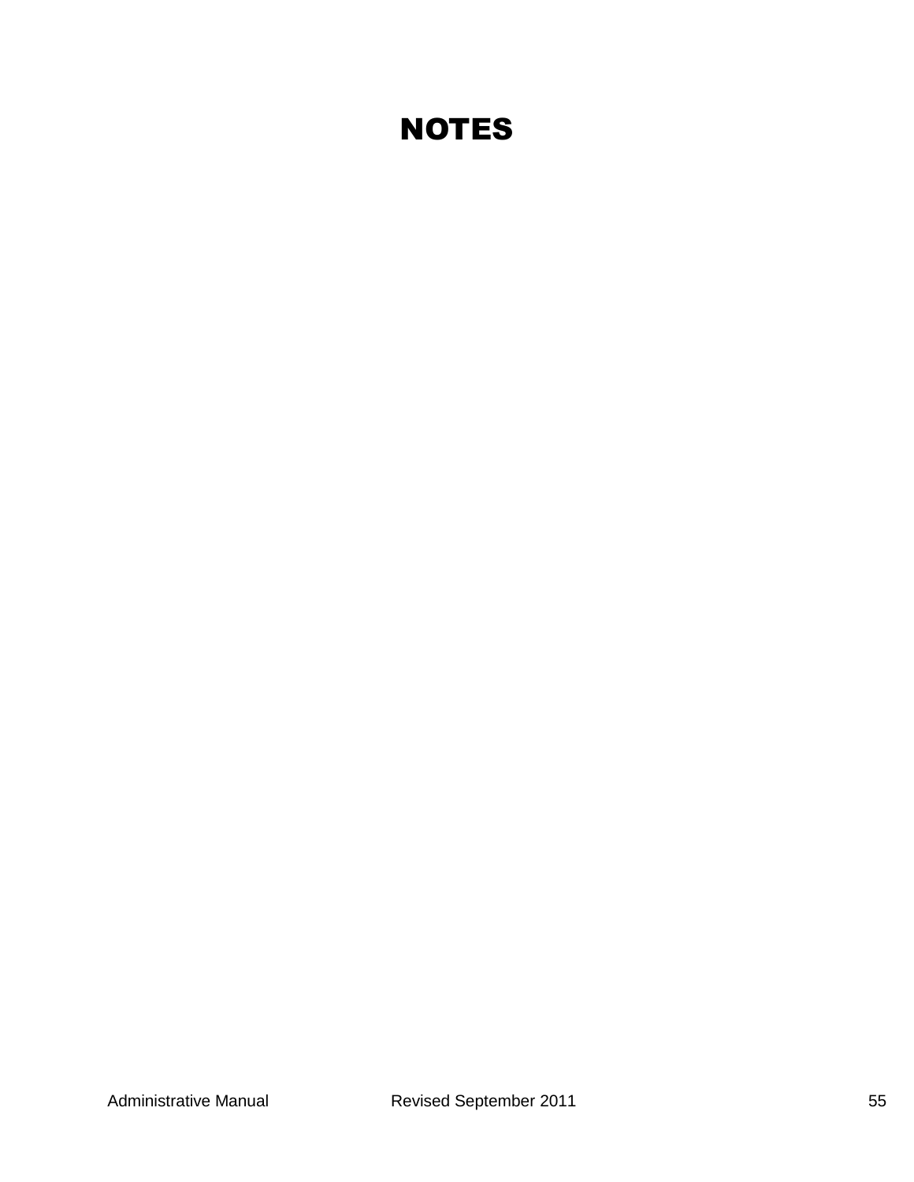## **NOTES**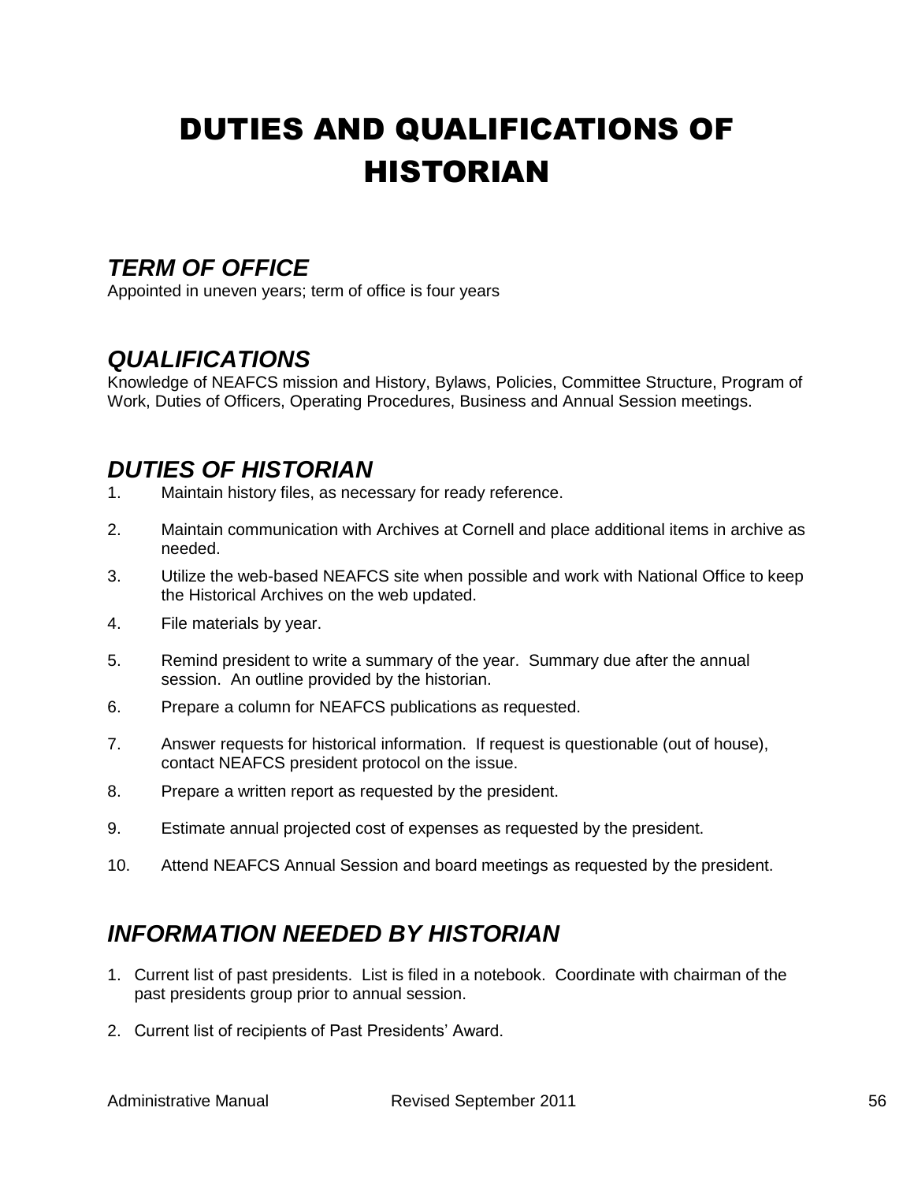# DUTIES AND QUALIFICATIONS OF HISTORIAN

## *TERM OF OFFICE*

Appointed in uneven years; term of office is four years

## *QUALIFICATIONS*

Knowledge of NEAFCS mission and History, Bylaws, Policies, Committee Structure, Program of Work, Duties of Officers, Operating Procedures, Business and Annual Session meetings.

## *DUTIES OF HISTORIAN*

- 1. Maintain history files, as necessary for ready reference.
- 2. Maintain communication with Archives at Cornell and place additional items in archive as needed.
- 3. Utilize the web-based NEAFCS site when possible and work with National Office to keep the Historical Archives on the web updated.
- 4. File materials by year.
- 5. Remind president to write a summary of the year. Summary due after the annual session. An outline provided by the historian.
- 6. Prepare a column for NEAFCS publications as requested.
- 7. Answer requests for historical information. If request is questionable (out of house), contact NEAFCS president protocol on the issue.
- 8. Prepare a written report as requested by the president.
- 9. Estimate annual projected cost of expenses as requested by the president.
- 10. Attend NEAFCS Annual Session and board meetings as requested by the president.

## *INFORMATION NEEDED BY HISTORIAN*

- 1. Current list of past presidents. List is filed in a notebook. Coordinate with chairman of the past presidents group prior to annual session.
- 2. Current list of recipients of Past Presidents' Award.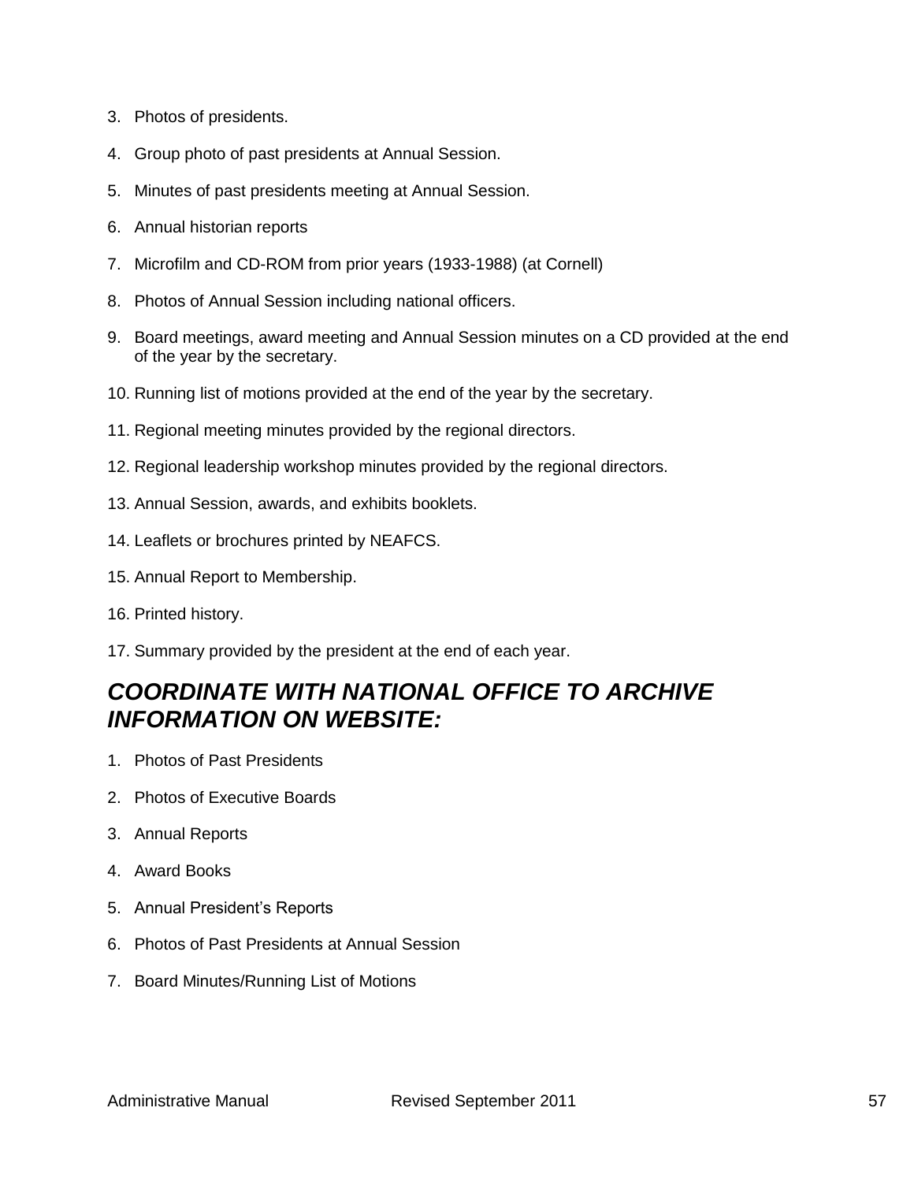- 3. Photos of presidents.
- 4. Group photo of past presidents at Annual Session.
- 5. Minutes of past presidents meeting at Annual Session.
- 6. Annual historian reports
- 7. Microfilm and CD-ROM from prior years (1933-1988) (at Cornell)
- 8. Photos of Annual Session including national officers.
- 9. Board meetings, award meeting and Annual Session minutes on a CD provided at the end of the year by the secretary.
- 10. Running list of motions provided at the end of the year by the secretary.
- 11. Regional meeting minutes provided by the regional directors.
- 12. Regional leadership workshop minutes provided by the regional directors.
- 13. Annual Session, awards, and exhibits booklets.
- 14. Leaflets or brochures printed by NEAFCS.
- 15. Annual Report to Membership.
- 16. Printed history.
- 17. Summary provided by the president at the end of each year.

## *COORDINATE WITH NATIONAL OFFICE TO ARCHIVE INFORMATION ON WEBSITE:*

- 1. Photos of Past Presidents
- 2. Photos of Executive Boards
- 3. Annual Reports
- 4. Award Books
- 5. Annual President's Reports
- 6. Photos of Past Presidents at Annual Session
- 7. Board Minutes/Running List of Motions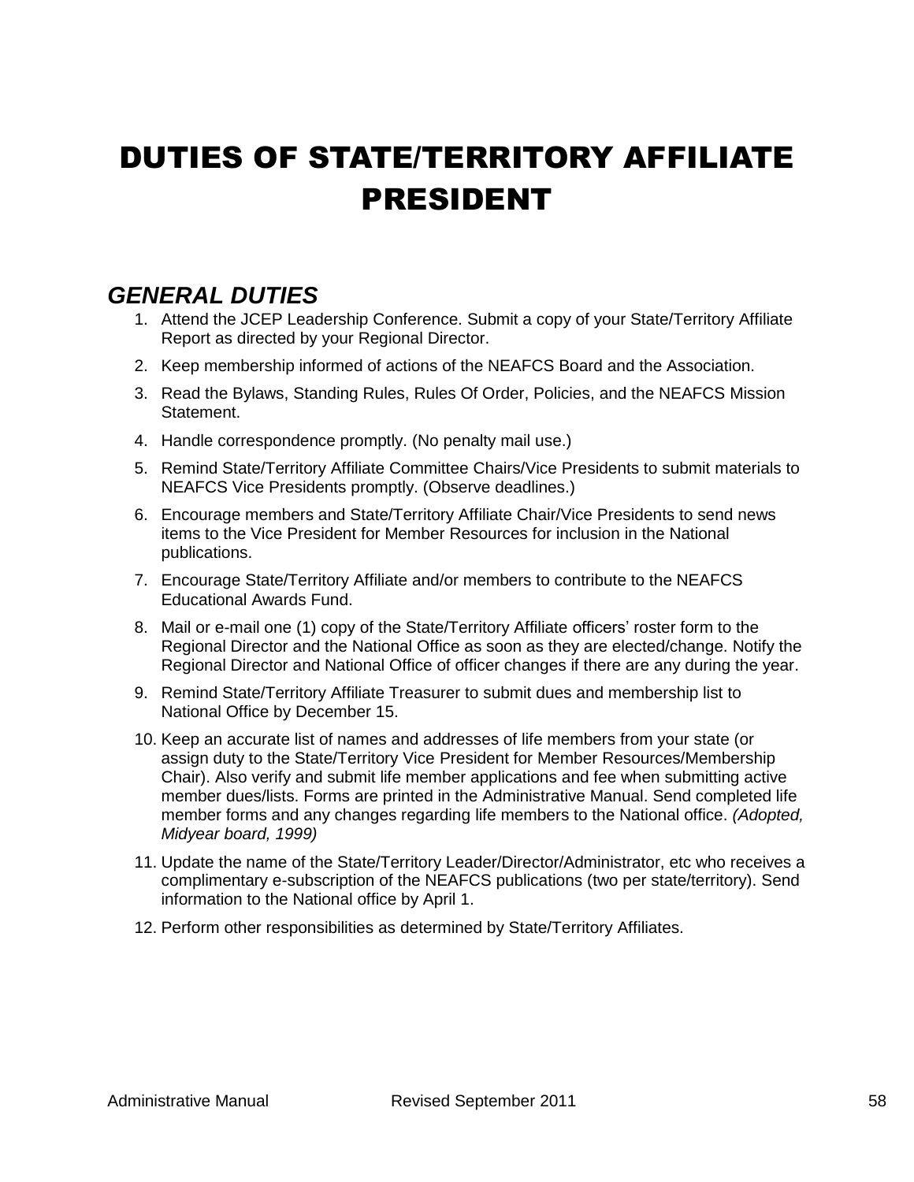## DUTIES OF STATE/TERRITORY AFFILIATE PRESIDENT

## *GENERAL DUTIES*

- 1. Attend the JCEP Leadership Conference. Submit a copy of your State/Territory Affiliate Report as directed by your Regional Director.
- 2. Keep membership informed of actions of the NEAFCS Board and the Association.
- 3. Read the Bylaws, Standing Rules, Rules Of Order, Policies, and the NEAFCS Mission Statement.
- 4. Handle correspondence promptly. (No penalty mail use.)
- 5. Remind State/Territory Affiliate Committee Chairs/Vice Presidents to submit materials to NEAFCS Vice Presidents promptly. (Observe deadlines.)
- 6. Encourage members and State/Territory Affiliate Chair/Vice Presidents to send news items to the Vice President for Member Resources for inclusion in the National publications.
- 7. Encourage State/Territory Affiliate and/or members to contribute to the NEAFCS Educational Awards Fund.
- 8. Mail or e-mail one (1) copy of the State/Territory Affiliate officers' roster form to the Regional Director and the National Office as soon as they are elected/change. Notify the Regional Director and National Office of officer changes if there are any during the year.
- 9. Remind State/Territory Affiliate Treasurer to submit dues and membership list to National Office by December 15.
- 10. Keep an accurate list of names and addresses of life members from your state (or assign duty to the State/Territory Vice President for Member Resources/Membership Chair). Also verify and submit life member applications and fee when submitting active member dues/lists. Forms are printed in the Administrative Manual. Send completed life member forms and any changes regarding life members to the National office. *(Adopted, Midyear board, 1999)*
- 11. Update the name of the State/Territory Leader/Director/Administrator, etc who receives a complimentary e-subscription of the NEAFCS publications (two per state/territory). Send information to the National office by April 1.
- 12. Perform other responsibilities as determined by State/Territory Affiliates.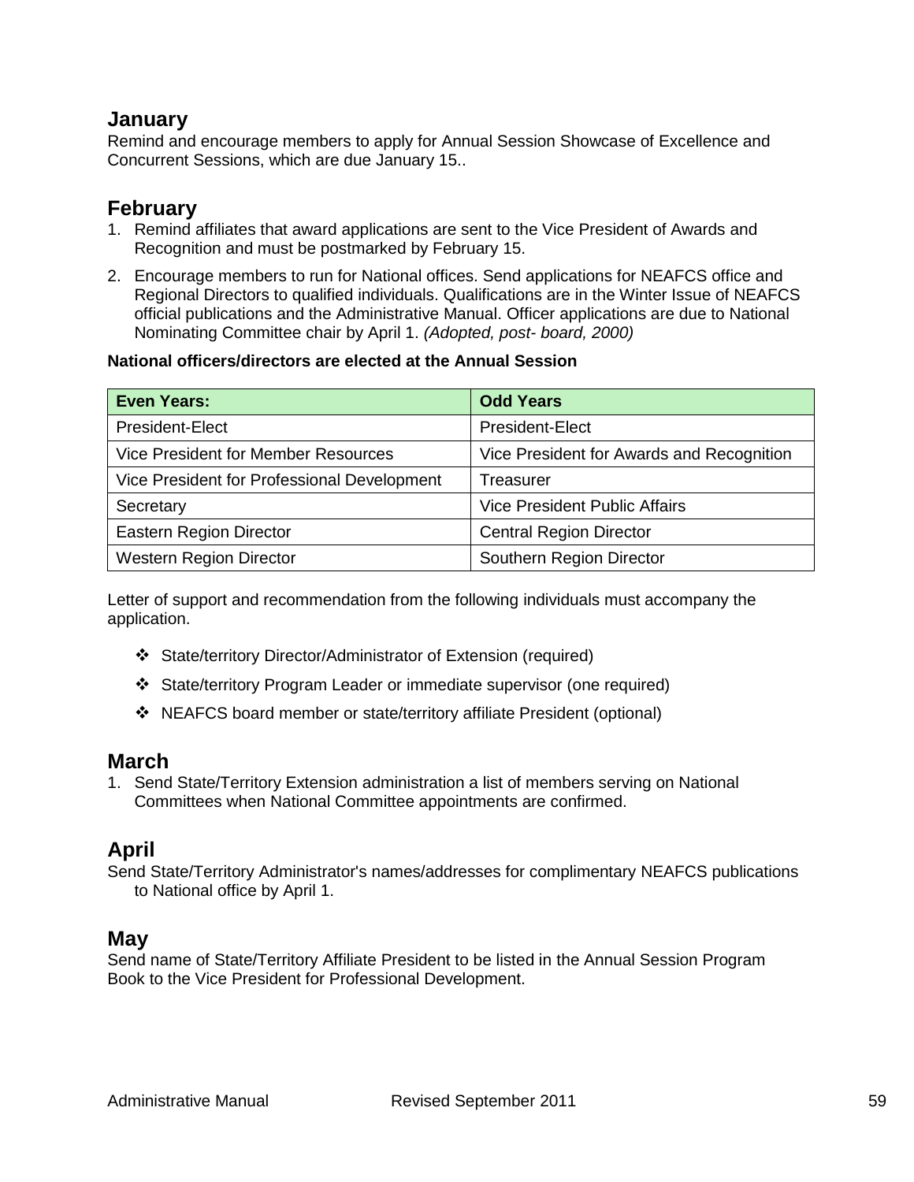#### **January**

Remind and encourage members to apply for Annual Session Showcase of Excellence and Concurrent Sessions, which are due January 15..

### **February**

- 1. Remind affiliates that award applications are sent to the Vice President of Awards and Recognition and must be postmarked by February 15.
- 2. Encourage members to run for National offices. Send applications for NEAFCS office and Regional Directors to qualified individuals. Qualifications are in the Winter Issue of NEAFCS official publications and the Administrative Manual. Officer applications are due to National Nominating Committee chair by April 1. *(Adopted, post- board, 2000)*

#### **National officers/directors are elected at the Annual Session**

| <b>Even Years:</b>                          | <b>Odd Years</b>                          |
|---------------------------------------------|-------------------------------------------|
| President-Elect                             | President-Elect                           |
| Vice President for Member Resources         | Vice President for Awards and Recognition |
| Vice President for Professional Development | Treasurer                                 |
| Secretary                                   | <b>Vice President Public Affairs</b>      |
| <b>Eastern Region Director</b>              | <b>Central Region Director</b>            |
| <b>Western Region Director</b>              | Southern Region Director                  |

Letter of support and recommendation from the following individuals must accompany the application.

- State/territory Director/Administrator of Extension (required)
- State/territory Program Leader or immediate supervisor (one required)
- NEAFCS board member or state/territory affiliate President (optional)

#### **March**

1. Send State/Territory Extension administration a list of members serving on National Committees when National Committee appointments are confirmed.

### **April**

Send State/Territory Administrator's names/addresses for complimentary NEAFCS publications to National office by April 1.

#### **May**

Send name of State/Territory Affiliate President to be listed in the Annual Session Program Book to the Vice President for Professional Development.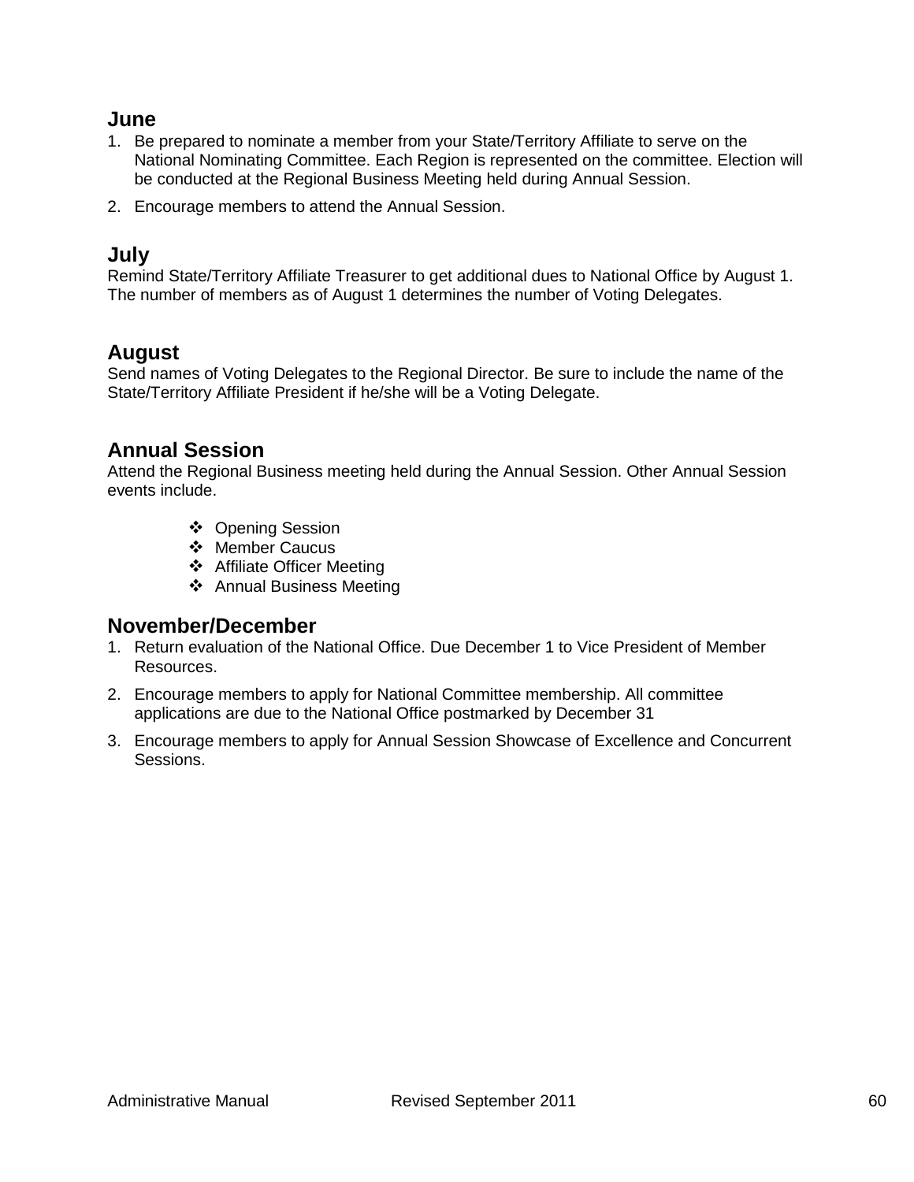#### **June**

- 1. Be prepared to nominate a member from your State/Territory Affiliate to serve on the National Nominating Committee. Each Region is represented on the committee. Election will be conducted at the Regional Business Meeting held during Annual Session.
- 2. Encourage members to attend the Annual Session.

#### **July**

Remind State/Territory Affiliate Treasurer to get additional dues to National Office by August 1. The number of members as of August 1 determines the number of Voting Delegates.

#### **August**

Send names of Voting Delegates to the Regional Director. Be sure to include the name of the State/Territory Affiliate President if he/she will be a Voting Delegate.

### **Annual Session**

Attend the Regional Business meeting held during the Annual Session. Other Annual Session events include.

- Opening Session
- ❖ Member Caucus
- Affiliate Officer Meeting
- Annual Business Meeting

### **November/December**

- 1. Return evaluation of the National Office. Due December 1 to Vice President of Member Resources.
- 2. Encourage members to apply for National Committee membership. All committee applications are due to the National Office postmarked by December 31
- 3. Encourage members to apply for Annual Session Showcase of Excellence and Concurrent Sessions.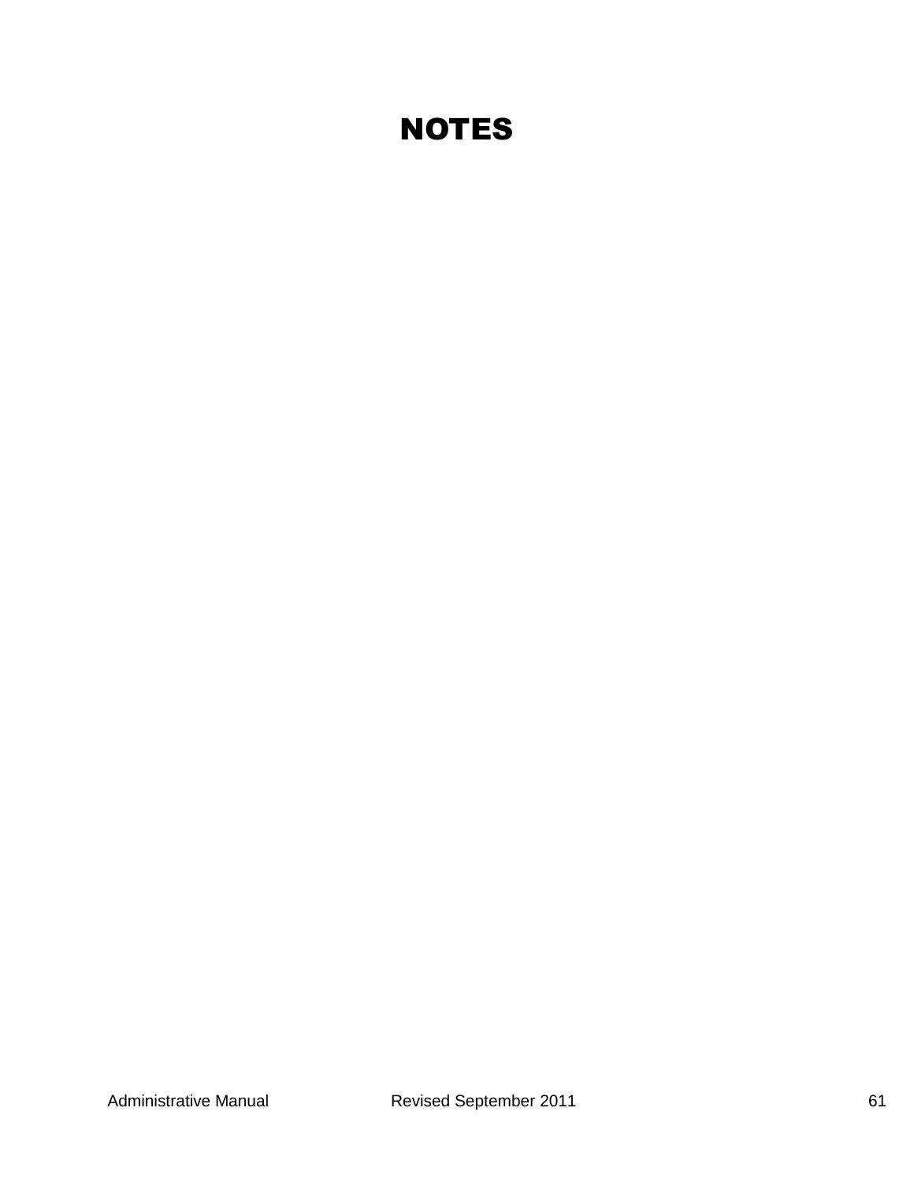## **NOTES**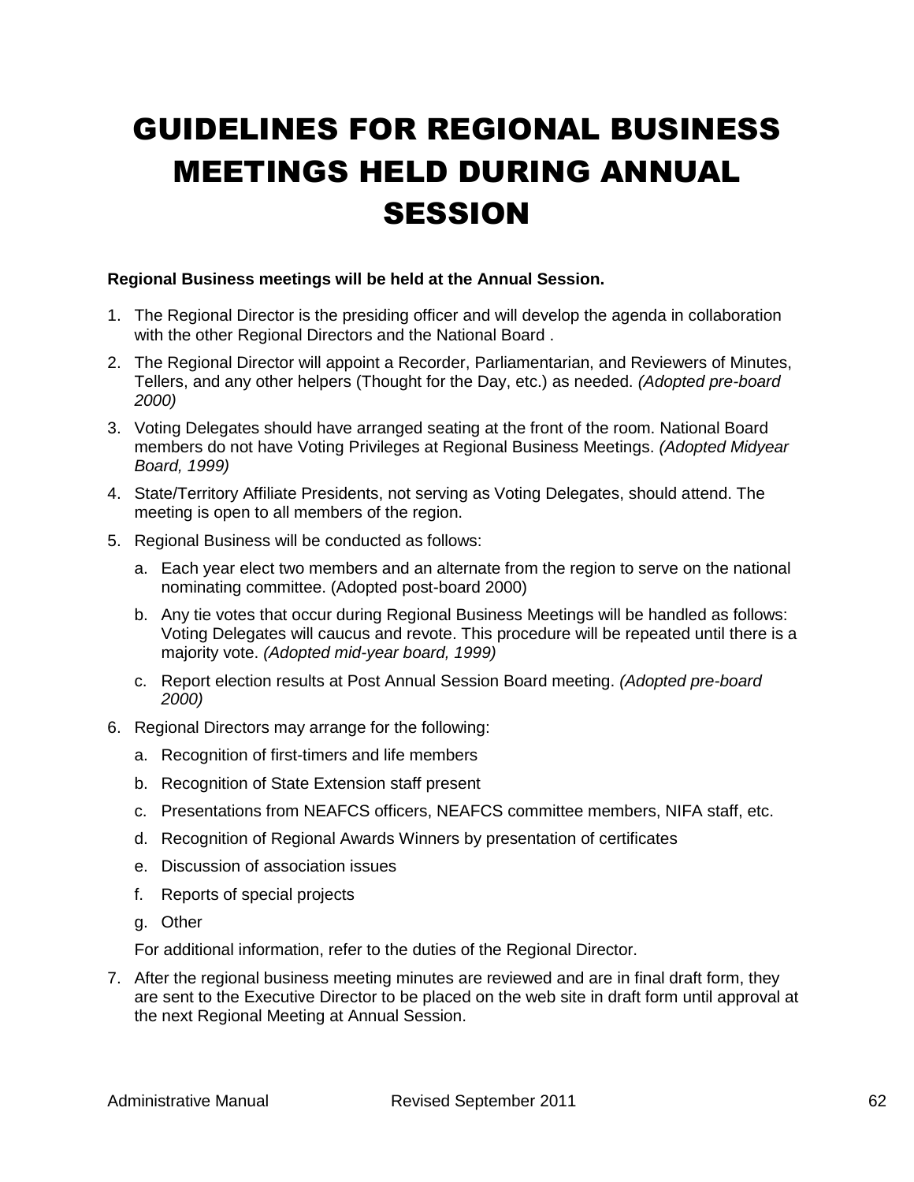# GUIDELINES FOR REGIONAL BUSINESS MEETINGS HELD DURING ANNUAL **SESSION**

#### **Regional Business meetings will be held at the Annual Session.**

- 1. The Regional Director is the presiding officer and will develop the agenda in collaboration with the other Regional Directors and the National Board .
- 2. The Regional Director will appoint a Recorder, Parliamentarian, and Reviewers of Minutes, Tellers, and any other helpers (Thought for the Day, etc.) as needed. *(Adopted pre-board 2000)*
- 3. Voting Delegates should have arranged seating at the front of the room. National Board members do not have Voting Privileges at Regional Business Meetings. *(Adopted Midyear Board, 1999)*
- 4. State/Territory Affiliate Presidents, not serving as Voting Delegates, should attend. The meeting is open to all members of the region.
- 5. Regional Business will be conducted as follows:
	- a. Each year elect two members and an alternate from the region to serve on the national nominating committee. (Adopted post-board 2000)
	- b. Any tie votes that occur during Regional Business Meetings will be handled as follows: Voting Delegates will caucus and revote. This procedure will be repeated until there is a majority vote. *(Adopted mid-year board, 1999)*
	- c. Report election results at Post Annual Session Board meeting. *(Adopted pre-board 2000)*
- 6. Regional Directors may arrange for the following:
	- a. Recognition of first-timers and life members
	- b. Recognition of State Extension staff present
	- c. Presentations from NEAFCS officers, NEAFCS committee members, NIFA staff, etc.
	- d. Recognition of Regional Awards Winners by presentation of certificates
	- e. Discussion of association issues
	- f. Reports of special projects
	- g. Other

For additional information, refer to the duties of the Regional Director.

7. After the regional business meeting minutes are reviewed and are in final draft form, they are sent to the Executive Director to be placed on the web site in draft form until approval at the next Regional Meeting at Annual Session.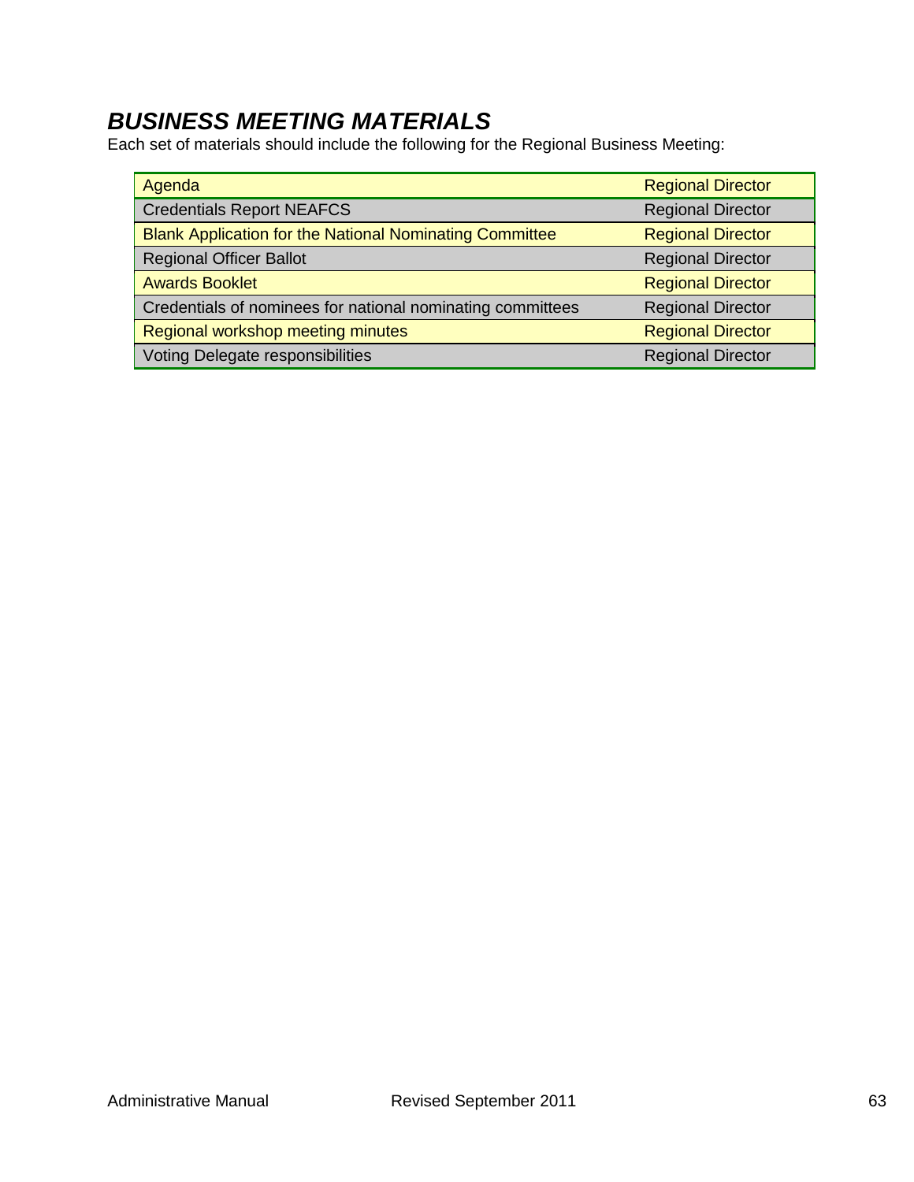## *BUSINESS MEETING MATERIALS*

Each set of materials should include the following for the Regional Business Meeting:

| Agenda                                                         | <b>Regional Director</b> |
|----------------------------------------------------------------|--------------------------|
| <b>Credentials Report NEAFCS</b>                               | <b>Regional Director</b> |
| <b>Blank Application for the National Nominating Committee</b> | <b>Regional Director</b> |
| <b>Regional Officer Ballot</b>                                 | <b>Regional Director</b> |
| <b>Awards Booklet</b>                                          | <b>Regional Director</b> |
| Credentials of nominees for national nominating committees     | <b>Regional Director</b> |
| Regional workshop meeting minutes                              | <b>Regional Director</b> |
| <b>Voting Delegate responsibilities</b>                        | <b>Regional Director</b> |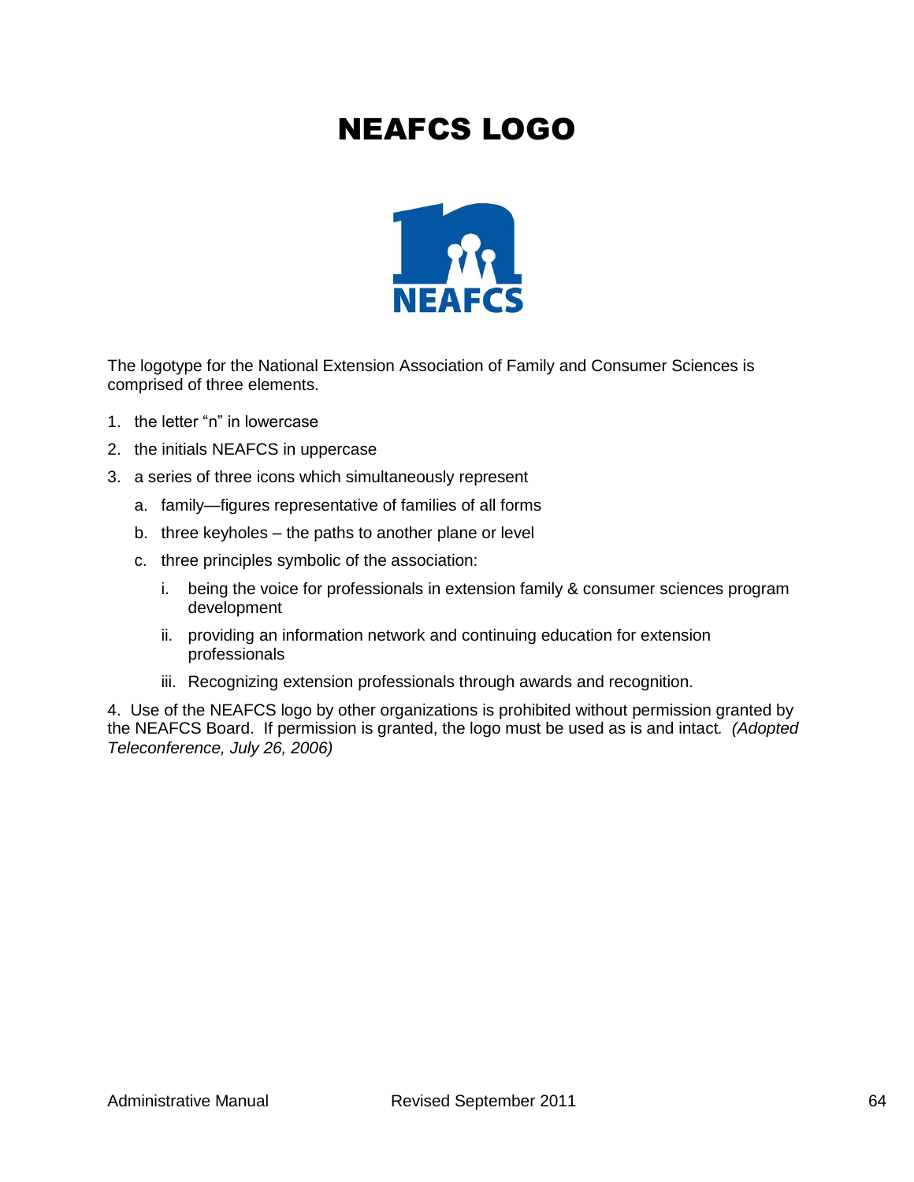## NEAFCS LOGO



The logotype for the National Extension Association of Family and Consumer Sciences is comprised of three elements.

- 1. the letter "n" in lowercase
- 2. the initials NEAFCS in uppercase
- 3. a series of three icons which simultaneously represent
	- a. family—figures representative of families of all forms
	- b. three keyholes the paths to another plane or level
	- c. three principles symbolic of the association:
		- i. being the voice for professionals in extension family & consumer sciences program development
		- ii. providing an information network and continuing education for extension professionals
		- iii. Recognizing extension professionals through awards and recognition.

4. Use of the NEAFCS logo by other organizations is prohibited without permission granted by the NEAFCS Board. If permission is granted, the logo must be used as is and intact*. (Adopted Teleconference, July 26, 2006)*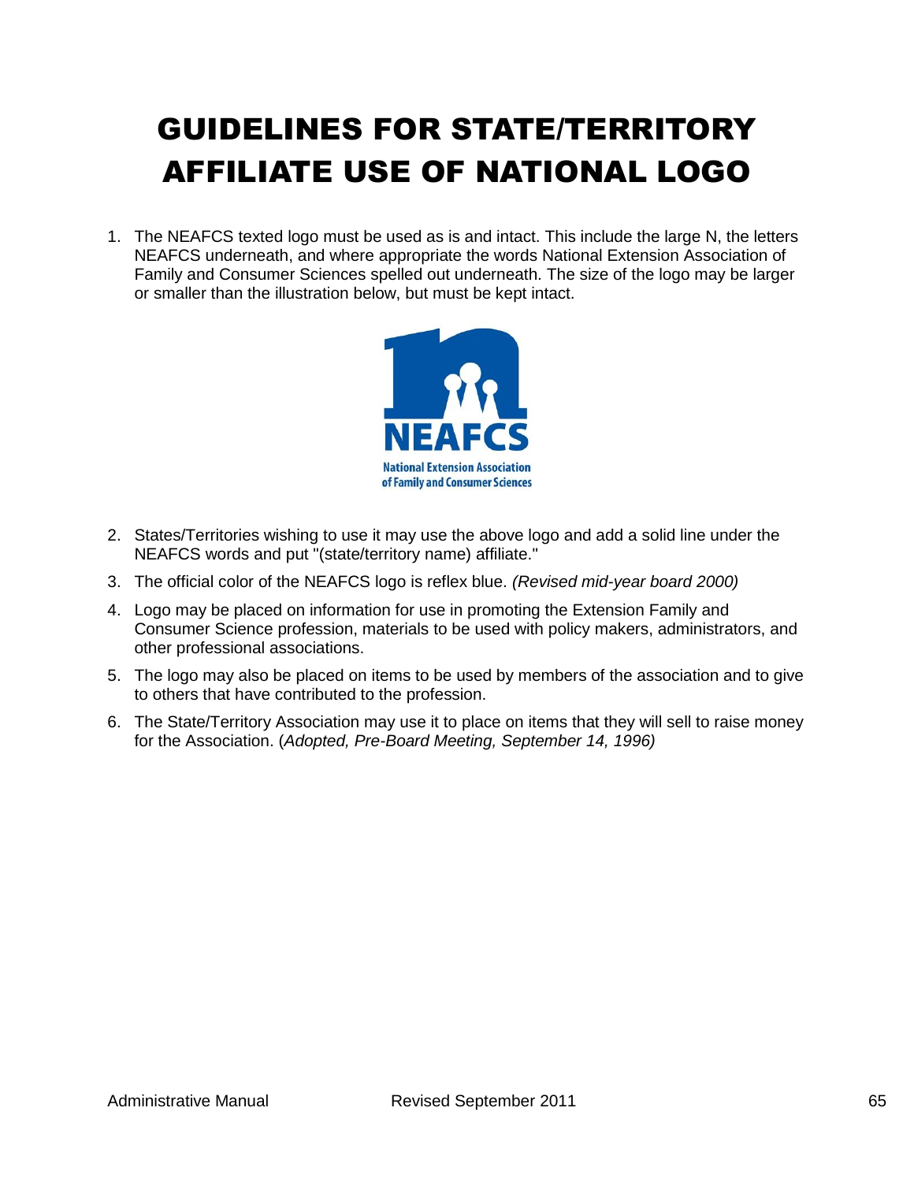# GUIDELINES FOR STATE/TERRITORY AFFILIATE USE OF NATIONAL LOGO

1. The NEAFCS texted logo must be used as is and intact. This include the large N, the letters NEAFCS underneath, and where appropriate the words National Extension Association of Family and Consumer Sciences spelled out underneath. The size of the logo may be larger or smaller than the illustration below, but must be kept intact.



- 2. States/Territories wishing to use it may use the above logo and add a solid line under the NEAFCS words and put "(state/territory name) affiliate."
- 3. The official color of the NEAFCS logo is reflex blue. *(Revised mid-year board 2000)*
- 4. Logo may be placed on information for use in promoting the Extension Family and Consumer Science profession, materials to be used with policy makers, administrators, and other professional associations.
- 5. The logo may also be placed on items to be used by members of the association and to give to others that have contributed to the profession.
- 6. The State/Territory Association may use it to place on items that they will sell to raise money for the Association. (*Adopted, Pre-Board Meeting, September 14, 1996)*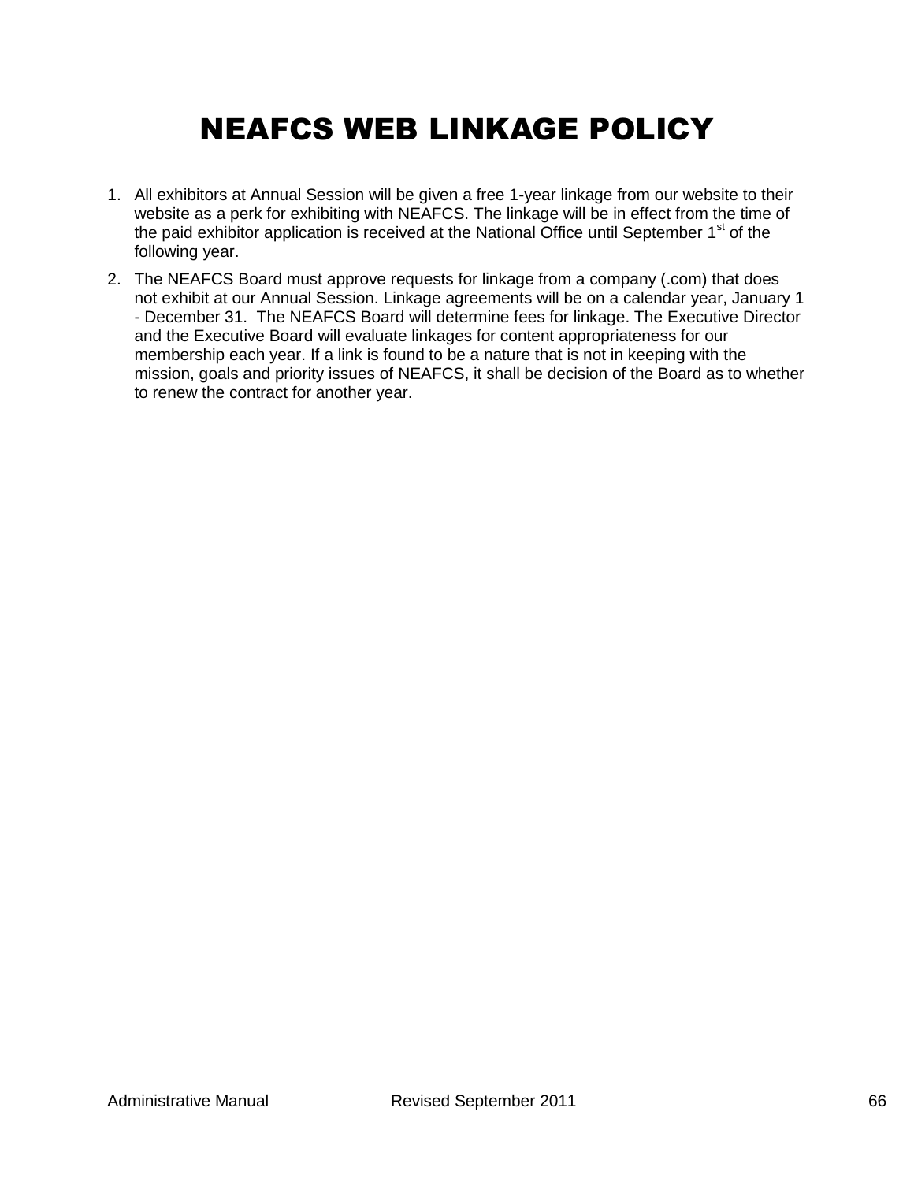## NEAFCS WEB LINKAGE POLICY

- 1. All exhibitors at Annual Session will be given a free 1-year linkage from our website to their website as a perk for exhibiting with NEAFCS. The linkage will be in effect from the time of the paid exhibitor application is received at the National Office until September  $1<sup>st</sup>$  of the following year.
- 2. The NEAFCS Board must approve requests for linkage from a company (.com) that does not exhibit at our Annual Session. Linkage agreements will be on a calendar year, January 1 - December 31. The NEAFCS Board will determine fees for linkage. The Executive Director and the Executive Board will evaluate linkages for content appropriateness for our membership each year. If a link is found to be a nature that is not in keeping with the mission, goals and priority issues of NEAFCS, it shall be decision of the Board as to whether to renew the contract for another year.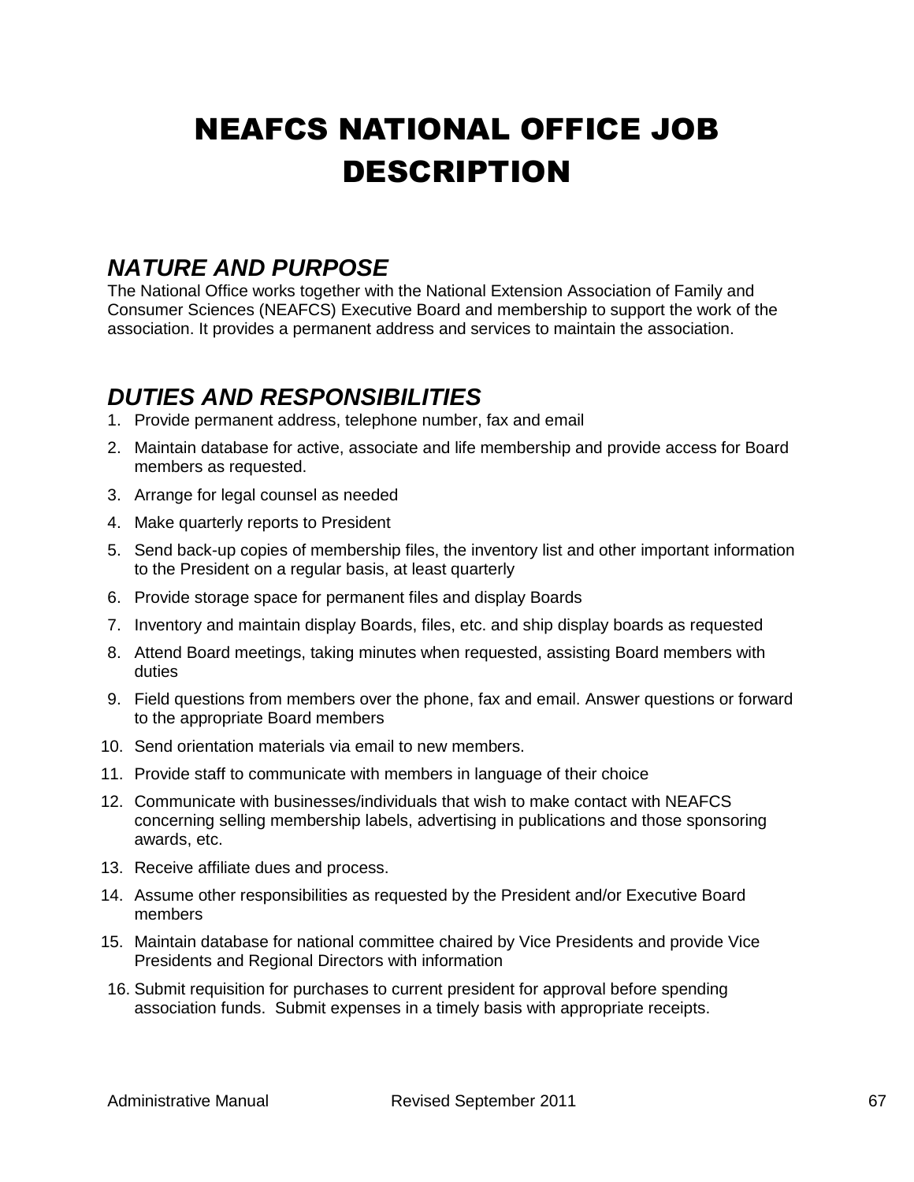# NEAFCS NATIONAL OFFICE JOB DESCRIPTION

## *NATURE AND PURPOSE*

The National Office works together with the National Extension Association of Family and Consumer Sciences (NEAFCS) Executive Board and membership to support the work of the association. It provides a permanent address and services to maintain the association.

## *DUTIES AND RESPONSIBILITIES*

- 1. Provide permanent address, telephone number, fax and email
- 2. Maintain database for active, associate and life membership and provide access for Board members as requested.
- 3. Arrange for legal counsel as needed
- 4. Make quarterly reports to President
- 5. Send back-up copies of membership files, the inventory list and other important information to the President on a regular basis, at least quarterly
- 6. Provide storage space for permanent files and display Boards
- 7. Inventory and maintain display Boards, files, etc. and ship display boards as requested
- 8. Attend Board meetings, taking minutes when requested, assisting Board members with duties
- 9. Field questions from members over the phone, fax and email. Answer questions or forward to the appropriate Board members
- 10. Send orientation materials via email to new members.
- 11. Provide staff to communicate with members in language of their choice
- 12. Communicate with businesses/individuals that wish to make contact with NEAFCS concerning selling membership labels, advertising in publications and those sponsoring awards, etc.
- 13. Receive affiliate dues and process.
- 14. Assume other responsibilities as requested by the President and/or Executive Board members
- 15. Maintain database for national committee chaired by Vice Presidents and provide Vice Presidents and Regional Directors with information
- 16. Submit requisition for purchases to current president for approval before spending association funds. Submit expenses in a timely basis with appropriate receipts.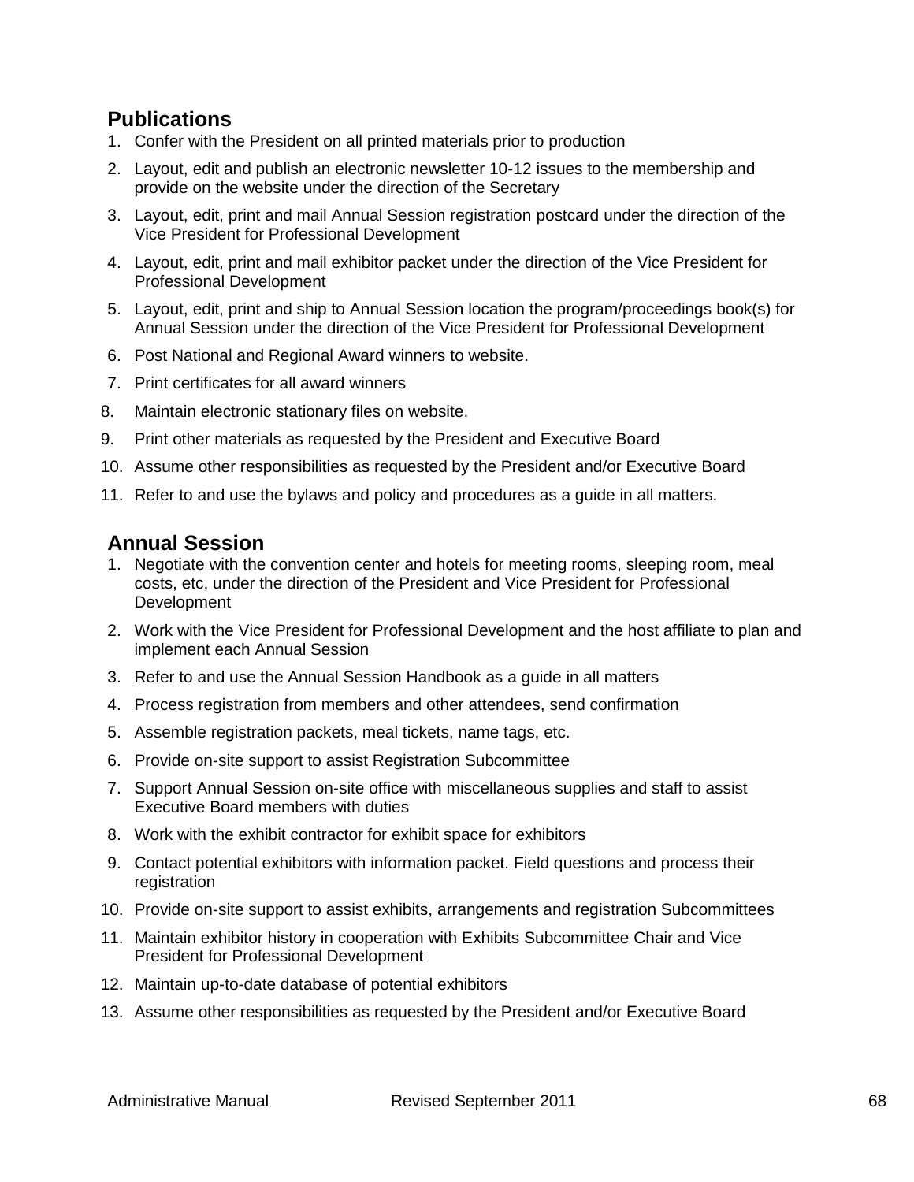### **Publications**

- 1. Confer with the President on all printed materials prior to production
- 2. Layout, edit and publish an electronic newsletter 10-12 issues to the membership and provide on the website under the direction of the Secretary
- 3. Layout, edit, print and mail Annual Session registration postcard under the direction of the Vice President for Professional Development
- 4. Layout, edit, print and mail exhibitor packet under the direction of the Vice President for Professional Development
- 5. Layout, edit, print and ship to Annual Session location the program/proceedings book(s) for Annual Session under the direction of the Vice President for Professional Development
- 6. Post National and Regional Award winners to website.
- 7. Print certificates for all award winners
- 8. Maintain electronic stationary files on website.
- 9. Print other materials as requested by the President and Executive Board
- 10. Assume other responsibilities as requested by the President and/or Executive Board
- 11. Refer to and use the bylaws and policy and procedures as a guide in all matters.

### **Annual Session**

- 1. Negotiate with the convention center and hotels for meeting rooms, sleeping room, meal costs, etc, under the direction of the President and Vice President for Professional Development
- 2. Work with the Vice President for Professional Development and the host affiliate to plan and implement each Annual Session
- 3. Refer to and use the Annual Session Handbook as a guide in all matters
- 4. Process registration from members and other attendees, send confirmation
- 5. Assemble registration packets, meal tickets, name tags, etc.
- 6. Provide on-site support to assist Registration Subcommittee
- 7. Support Annual Session on-site office with miscellaneous supplies and staff to assist Executive Board members with duties
- 8. Work with the exhibit contractor for exhibit space for exhibitors
- 9. Contact potential exhibitors with information packet. Field questions and process their registration
- 10. Provide on-site support to assist exhibits, arrangements and registration Subcommittees
- 11. Maintain exhibitor history in cooperation with Exhibits Subcommittee Chair and Vice President for Professional Development
- 12. Maintain up-to-date database of potential exhibitors
- 13. Assume other responsibilities as requested by the President and/or Executive Board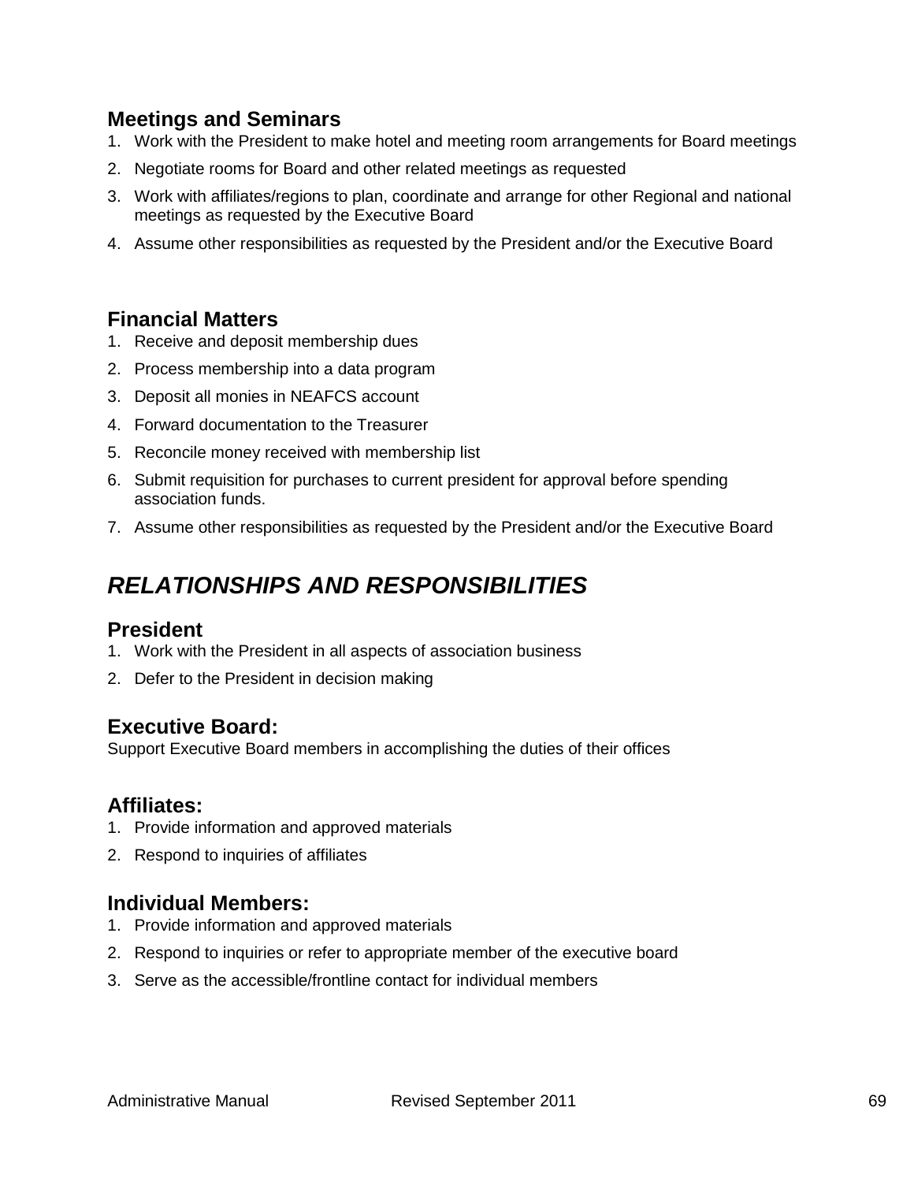### **Meetings and Seminars**

- 1. Work with the President to make hotel and meeting room arrangements for Board meetings
- 2. Negotiate rooms for Board and other related meetings as requested
- 3. Work with affiliates/regions to plan, coordinate and arrange for other Regional and national meetings as requested by the Executive Board
- 4. Assume other responsibilities as requested by the President and/or the Executive Board

#### **Financial Matters**

- 1. Receive and deposit membership dues
- 2. Process membership into a data program
- 3. Deposit all monies in NEAFCS account
- 4. Forward documentation to the Treasurer
- 5. Reconcile money received with membership list
- 6. Submit requisition for purchases to current president for approval before spending association funds.
- 7. Assume other responsibilities as requested by the President and/or the Executive Board

## *RELATIONSHIPS AND RESPONSIBILITIES*

#### **President**

- 1. Work with the President in all aspects of association business
- 2. Defer to the President in decision making

### **Executive Board:**

Support Executive Board members in accomplishing the duties of their offices

#### **Affiliates:**

- 1. Provide information and approved materials
- 2. Respond to inquiries of affiliates

#### **Individual Members:**

- 1. Provide information and approved materials
- 2. Respond to inquiries or refer to appropriate member of the executive board
- 3. Serve as the accessible/frontline contact for individual members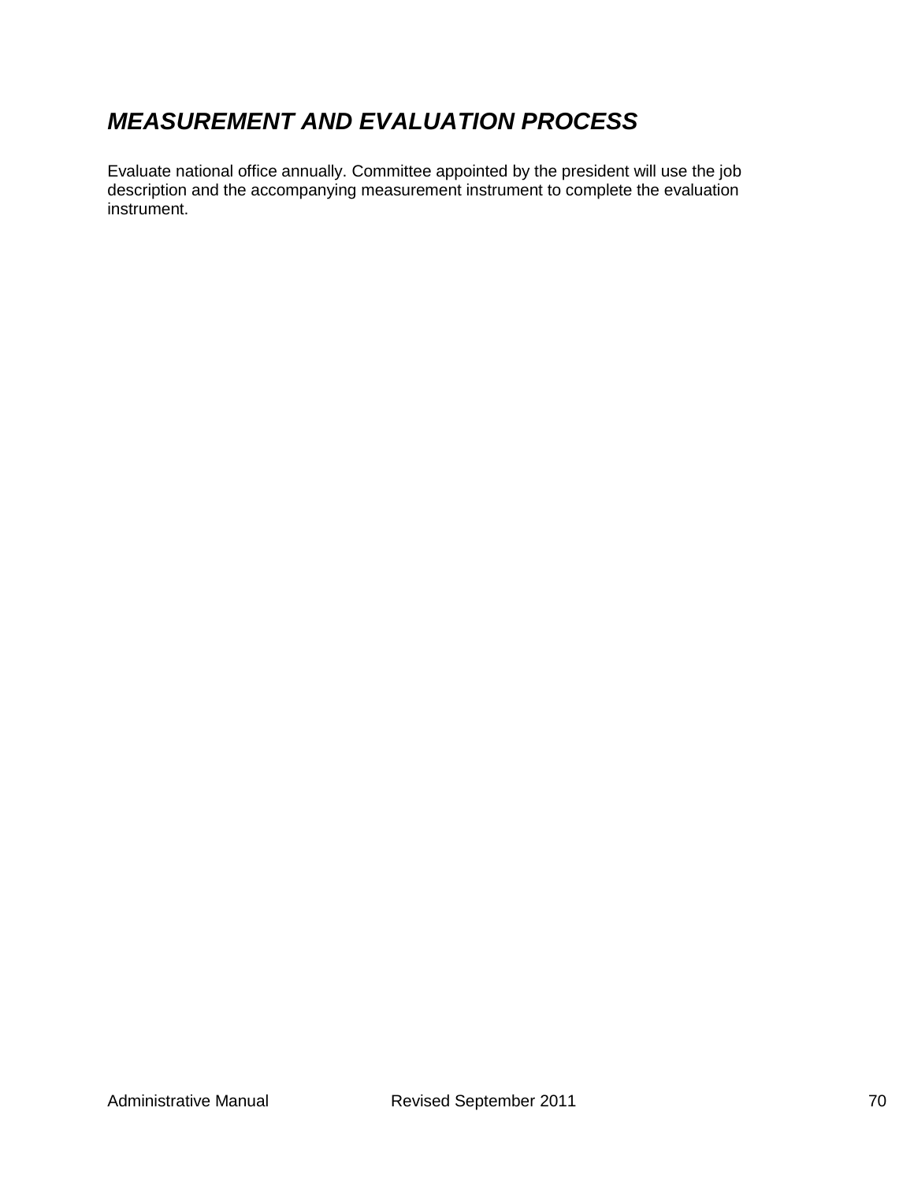## *MEASUREMENT AND EVALUATION PROCESS*

Evaluate national office annually. Committee appointed by the president will use the job description and the accompanying measurement instrument to complete the evaluation instrument.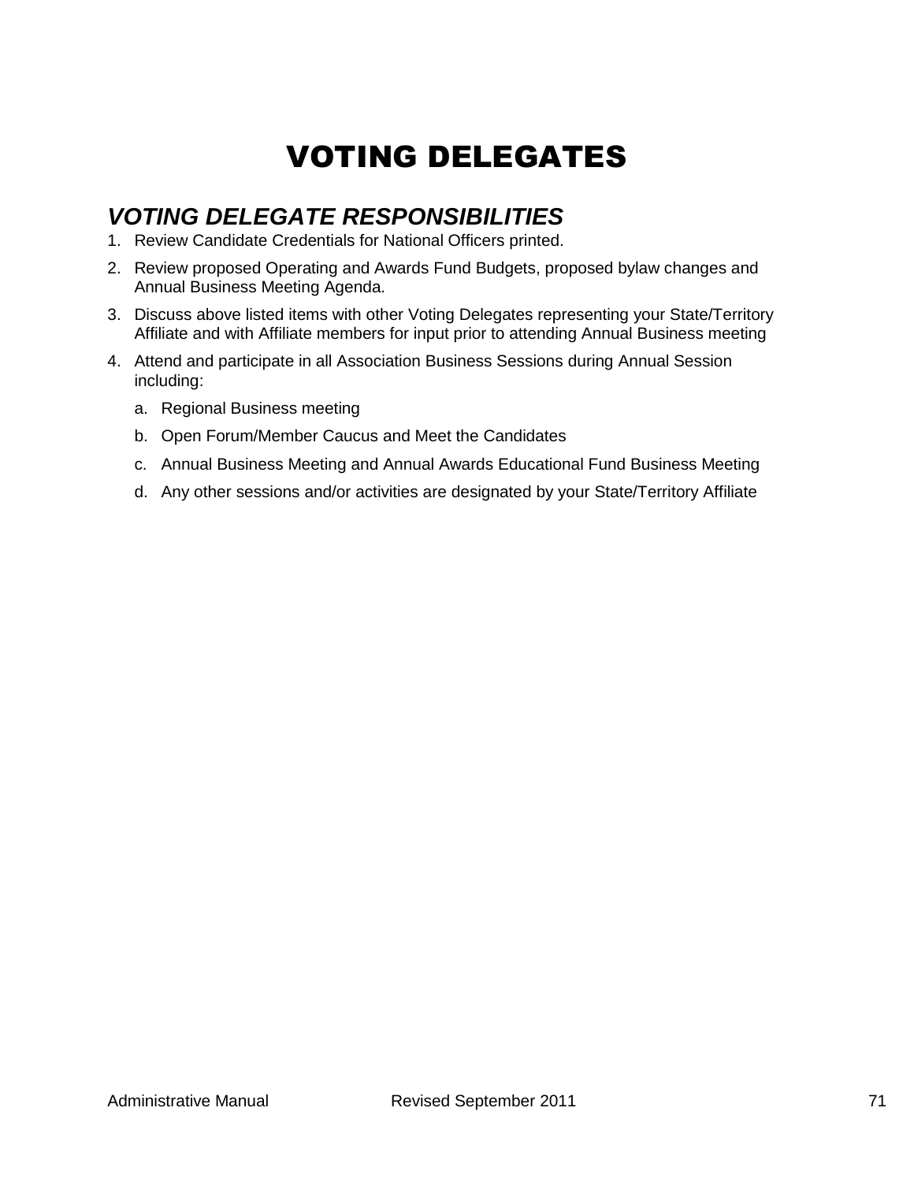## VOTING DELEGATES

## *VOTING DELEGATE RESPONSIBILITIES*

- 1. Review Candidate Credentials for National Officers printed.
- 2. Review proposed Operating and Awards Fund Budgets, proposed bylaw changes and Annual Business Meeting Agenda.
- 3. Discuss above listed items with other Voting Delegates representing your State/Territory Affiliate and with Affiliate members for input prior to attending Annual Business meeting
- 4. Attend and participate in all Association Business Sessions during Annual Session including:
	- a. Regional Business meeting
	- b. Open Forum/Member Caucus and Meet the Candidates
	- c. Annual Business Meeting and Annual Awards Educational Fund Business Meeting
	- d. Any other sessions and/or activities are designated by your State/Territory Affiliate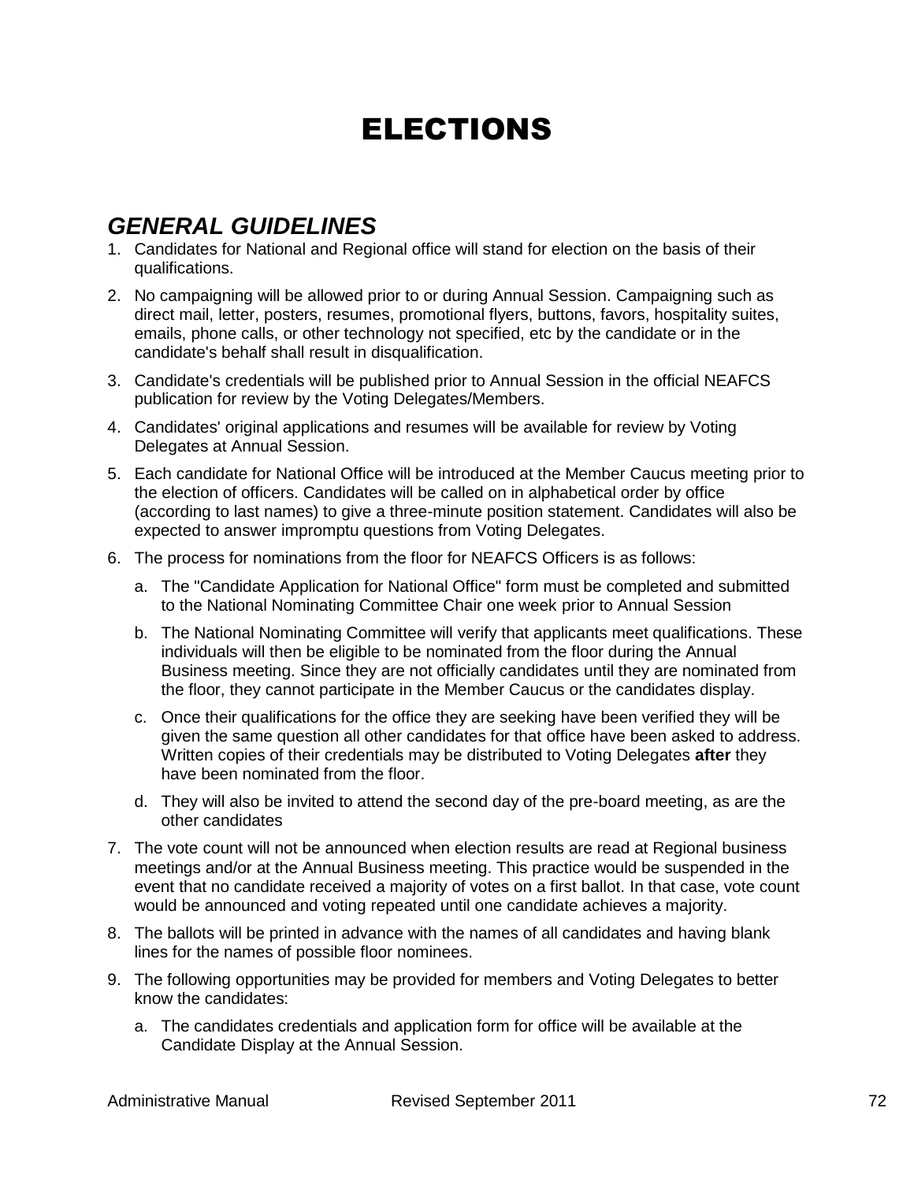## ELECTIONS

## *GENERAL GUIDELINES*

- 1. Candidates for National and Regional office will stand for election on the basis of their qualifications.
- 2. No campaigning will be allowed prior to or during Annual Session. Campaigning such as direct mail, letter, posters, resumes, promotional flyers, buttons, favors, hospitality suites, emails, phone calls, or other technology not specified, etc by the candidate or in the candidate's behalf shall result in disqualification.
- 3. Candidate's credentials will be published prior to Annual Session in the official NEAFCS publication for review by the Voting Delegates/Members.
- 4. Candidates' original applications and resumes will be available for review by Voting Delegates at Annual Session.
- 5. Each candidate for National Office will be introduced at the Member Caucus meeting prior to the election of officers. Candidates will be called on in alphabetical order by office (according to last names) to give a three-minute position statement. Candidates will also be expected to answer impromptu questions from Voting Delegates.
- 6. The process for nominations from the floor for NEAFCS Officers is as follows:
	- a. The "Candidate Application for National Office" form must be completed and submitted to the National Nominating Committee Chair one week prior to Annual Session
	- b. The National Nominating Committee will verify that applicants meet qualifications. These individuals will then be eligible to be nominated from the floor during the Annual Business meeting. Since they are not officially candidates until they are nominated from the floor, they cannot participate in the Member Caucus or the candidates display.
	- c. Once their qualifications for the office they are seeking have been verified they will be given the same question all other candidates for that office have been asked to address. Written copies of their credentials may be distributed to Voting Delegates **after** they have been nominated from the floor.
	- d. They will also be invited to attend the second day of the pre-board meeting, as are the other candidates
- 7. The vote count will not be announced when election results are read at Regional business meetings and/or at the Annual Business meeting. This practice would be suspended in the event that no candidate received a majority of votes on a first ballot. In that case, vote count would be announced and voting repeated until one candidate achieves a majority.
- 8. The ballots will be printed in advance with the names of all candidates and having blank lines for the names of possible floor nominees.
- 9. The following opportunities may be provided for members and Voting Delegates to better know the candidates:
	- a. The candidates credentials and application form for office will be available at the Candidate Display at the Annual Session.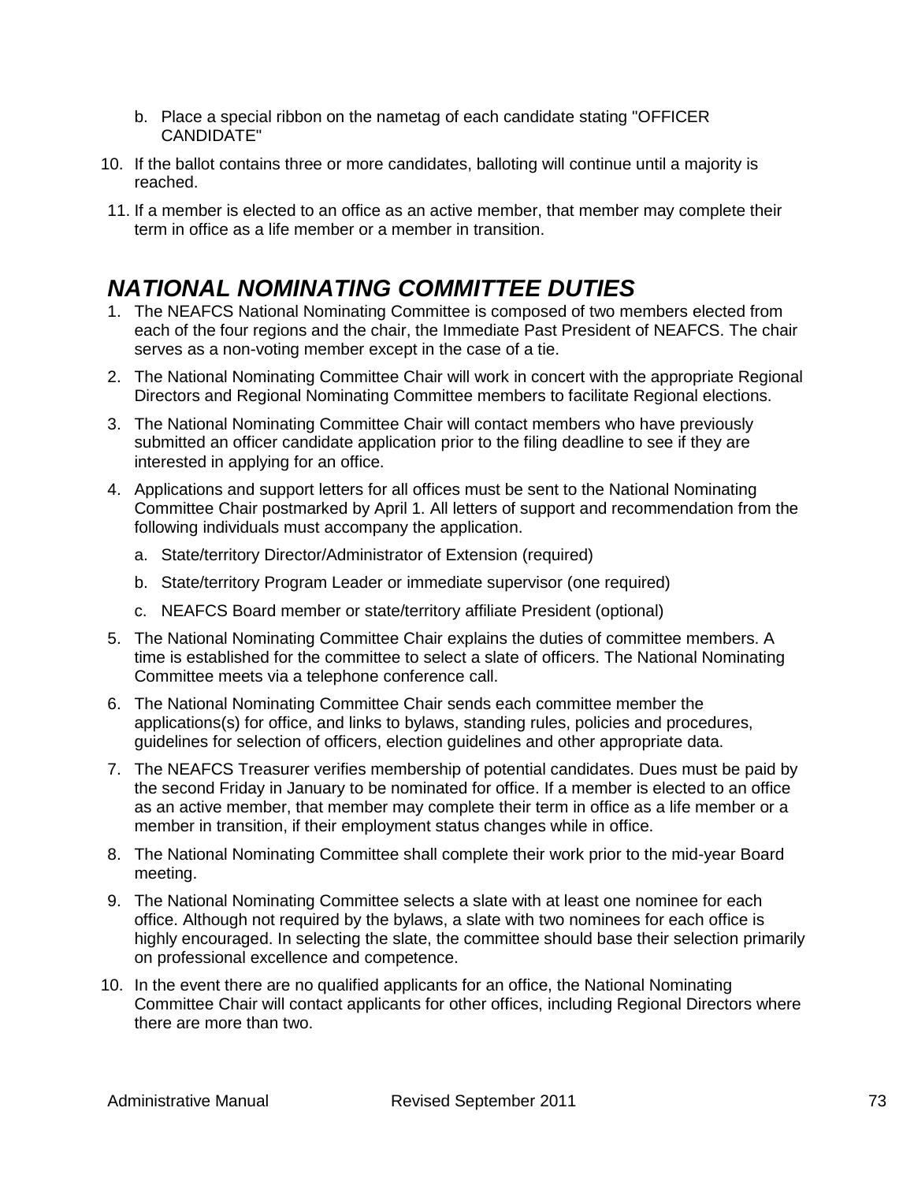- b. Place a special ribbon on the nametag of each candidate stating "OFFICER CANDIDATE"
- 10. If the ballot contains three or more candidates, balloting will continue until a majority is reached.
- 11. If a member is elected to an office as an active member, that member may complete their term in office as a life member or a member in transition.

## *NATIONAL NOMINATING COMMITTEE DUTIES*

- 1. The NEAFCS National Nominating Committee is composed of two members elected from each of the four regions and the chair, the Immediate Past President of NEAFCS. The chair serves as a non-voting member except in the case of a tie.
- 2. The National Nominating Committee Chair will work in concert with the appropriate Regional Directors and Regional Nominating Committee members to facilitate Regional elections.
- 3. The National Nominating Committee Chair will contact members who have previously submitted an officer candidate application prior to the filing deadline to see if they are interested in applying for an office.
- 4. Applications and support letters for all offices must be sent to the National Nominating Committee Chair postmarked by April 1. All letters of support and recommendation from the following individuals must accompany the application.
	- a. State/territory Director/Administrator of Extension (required)
	- b. State/territory Program Leader or immediate supervisor (one required)
	- c. NEAFCS Board member or state/territory affiliate President (optional)
- 5. The National Nominating Committee Chair explains the duties of committee members. A time is established for the committee to select a slate of officers. The National Nominating Committee meets via a telephone conference call.
- 6. The National Nominating Committee Chair sends each committee member the applications(s) for office, and links to bylaws, standing rules, policies and procedures, guidelines for selection of officers, election guidelines and other appropriate data.
- 7. The NEAFCS Treasurer verifies membership of potential candidates. Dues must be paid by the second Friday in January to be nominated for office. If a member is elected to an office as an active member, that member may complete their term in office as a life member or a member in transition, if their employment status changes while in office.
- 8. The National Nominating Committee shall complete their work prior to the mid-year Board meeting.
- 9. The National Nominating Committee selects a slate with at least one nominee for each office. Although not required by the bylaws, a slate with two nominees for each office is highly encouraged. In selecting the slate, the committee should base their selection primarily on professional excellence and competence.
- 10. In the event there are no qualified applicants for an office, the National Nominating Committee Chair will contact applicants for other offices, including Regional Directors where there are more than two.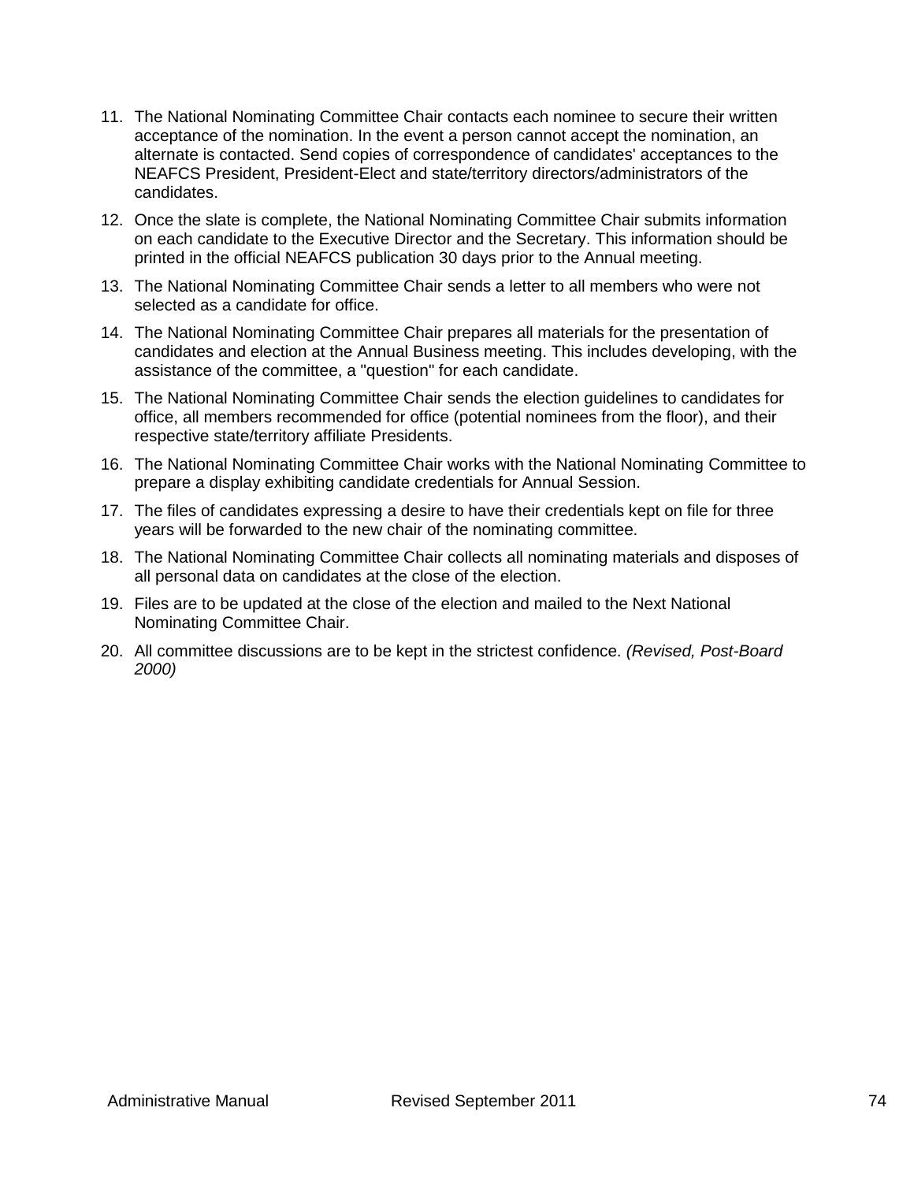- 11. The National Nominating Committee Chair contacts each nominee to secure their written acceptance of the nomination. In the event a person cannot accept the nomination, an alternate is contacted. Send copies of correspondence of candidates' acceptances to the NEAFCS President, President-Elect and state/territory directors/administrators of the candidates.
- 12. Once the slate is complete, the National Nominating Committee Chair submits information on each candidate to the Executive Director and the Secretary. This information should be printed in the official NEAFCS publication 30 days prior to the Annual meeting.
- 13. The National Nominating Committee Chair sends a letter to all members who were not selected as a candidate for office.
- 14. The National Nominating Committee Chair prepares all materials for the presentation of candidates and election at the Annual Business meeting. This includes developing, with the assistance of the committee, a "question" for each candidate.
- 15. The National Nominating Committee Chair sends the election guidelines to candidates for office, all members recommended for office (potential nominees from the floor), and their respective state/territory affiliate Presidents.
- 16. The National Nominating Committee Chair works with the National Nominating Committee to prepare a display exhibiting candidate credentials for Annual Session.
- 17. The files of candidates expressing a desire to have their credentials kept on file for three years will be forwarded to the new chair of the nominating committee.
- 18. The National Nominating Committee Chair collects all nominating materials and disposes of all personal data on candidates at the close of the election.
- 19. Files are to be updated at the close of the election and mailed to the Next National Nominating Committee Chair.
- 20. All committee discussions are to be kept in the strictest confidence. *(Revised, Post-Board 2000)*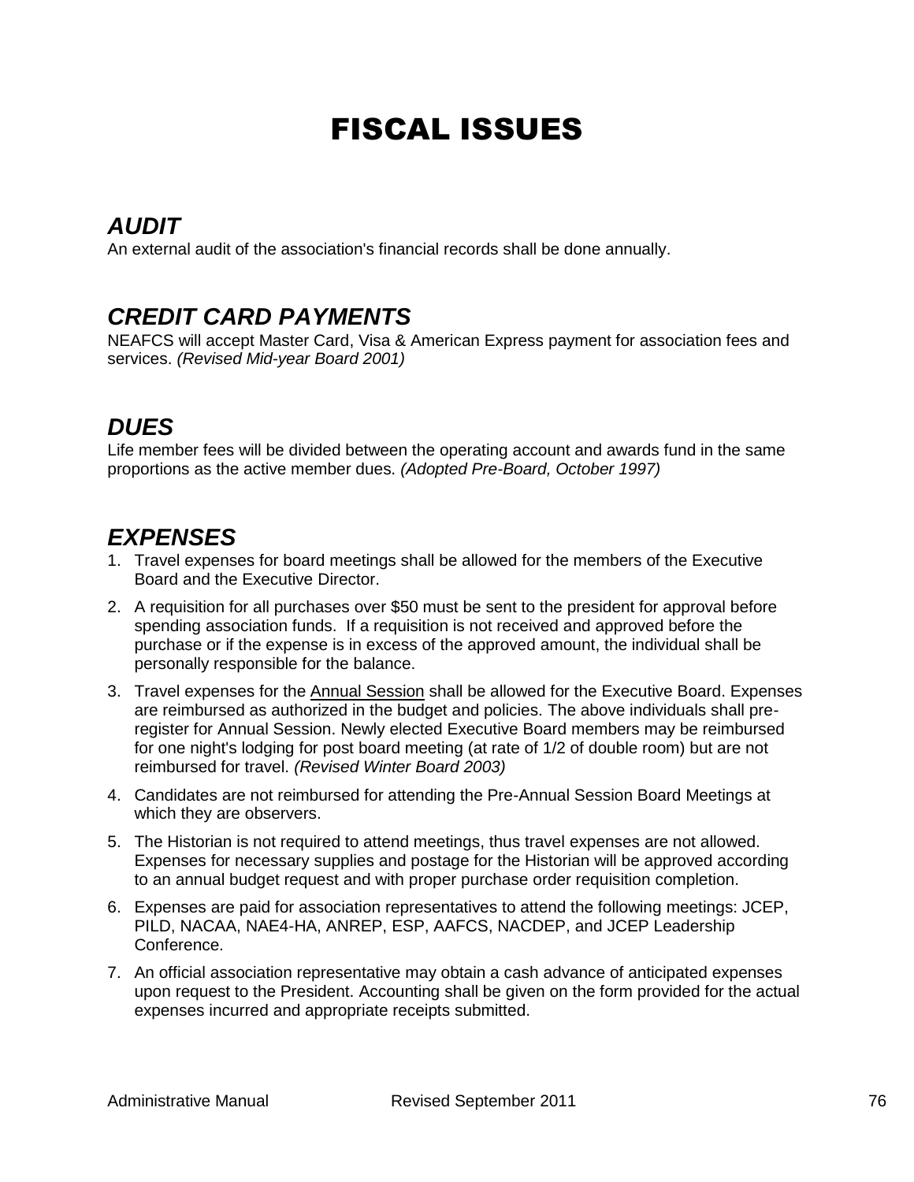# FISCAL ISSUES

## *AUDIT*

An external audit of the association's financial records shall be done annually.

#### *CREDIT CARD PAYMENTS*

NEAFCS will accept Master Card, Visa & American Express payment for association fees and services. *(Revised Mid-year Board 2001)*

## *DUES*

Life member fees will be divided between the operating account and awards fund in the same proportions as the active member dues. *(Adopted Pre-Board, October 1997)*

### *EXPENSES*

- 1. Travel expenses for board meetings shall be allowed for the members of the Executive Board and the Executive Director.
- 2. A requisition for all purchases over \$50 must be sent to the president for approval before spending association funds. If a requisition is not received and approved before the purchase or if the expense is in excess of the approved amount, the individual shall be personally responsible for the balance.
- 3. Travel expenses for the Annual Session shall be allowed for the Executive Board. Expenses are reimbursed as authorized in the budget and policies. The above individuals shall preregister for Annual Session. Newly elected Executive Board members may be reimbursed for one night's lodging for post board meeting (at rate of 1/2 of double room) but are not reimbursed for travel. *(Revised Winter Board 2003)*
- 4. Candidates are not reimbursed for attending the Pre-Annual Session Board Meetings at which they are observers.
- 5. The Historian is not required to attend meetings, thus travel expenses are not allowed. Expenses for necessary supplies and postage for the Historian will be approved according to an annual budget request and with proper purchase order requisition completion.
- 6. Expenses are paid for association representatives to attend the following meetings: JCEP, PILD, NACAA, NAE4-HA, ANREP, ESP, AAFCS, NACDEP, and JCEP Leadership Conference.
- 7. An official association representative may obtain a cash advance of anticipated expenses upon request to the President. Accounting shall be given on the form provided for the actual expenses incurred and appropriate receipts submitted.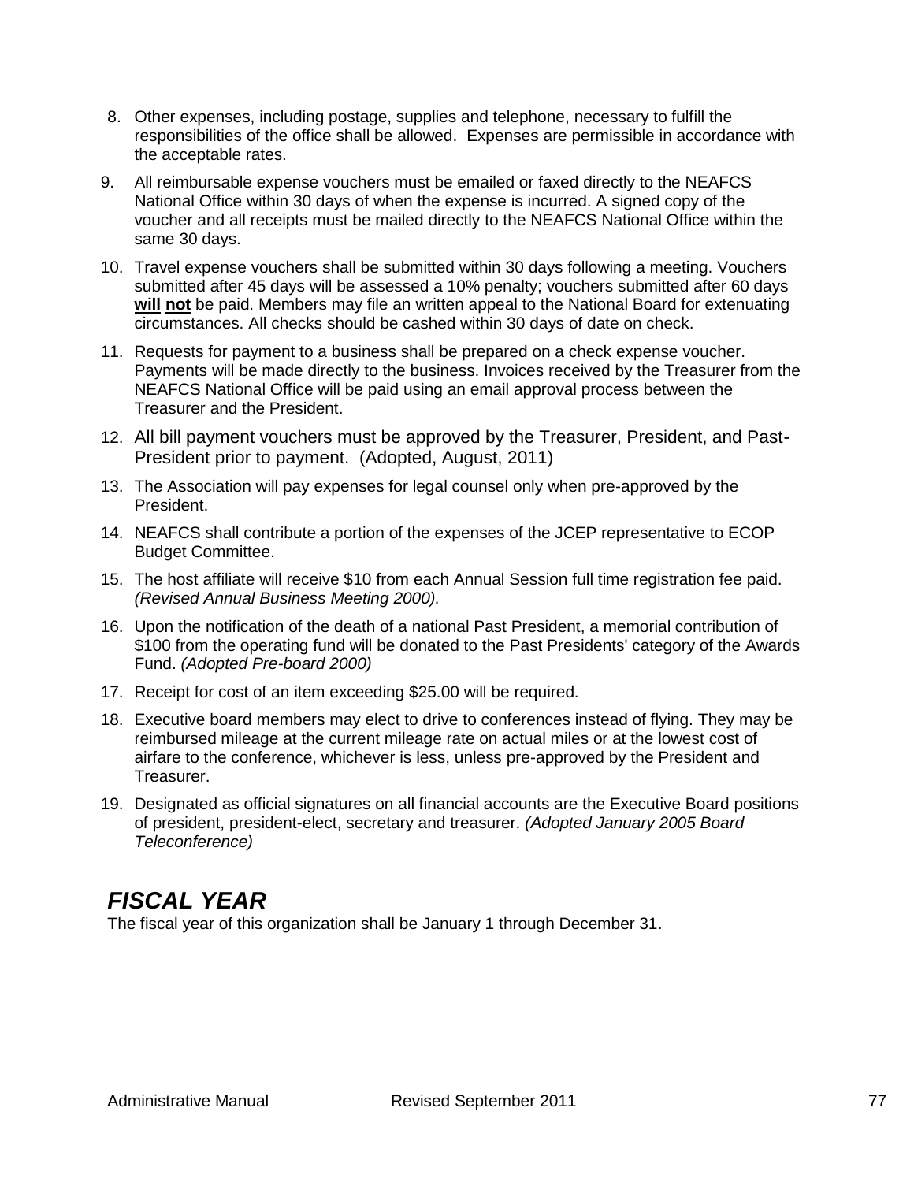- 8. Other expenses, including postage, supplies and telephone, necessary to fulfill the responsibilities of the office shall be allowed. Expenses are permissible in accordance with the acceptable rates.
- 9. All reimbursable expense vouchers must be emailed or faxed directly to the NEAFCS National Office within 30 days of when the expense is incurred. A signed copy of the voucher and all receipts must be mailed directly to the NEAFCS National Office within the same 30 days.
- 10. Travel expense vouchers shall be submitted within 30 days following a meeting. Vouchers submitted after 45 days will be assessed a 10% penalty; vouchers submitted after 60 days **will not** be paid. Members may file an written appeal to the National Board for extenuating circumstances. All checks should be cashed within 30 days of date on check.
- 11. Requests for payment to a business shall be prepared on a check expense voucher. Payments will be made directly to the business. Invoices received by the Treasurer from the NEAFCS National Office will be paid using an email approval process between the Treasurer and the President.
- 12. All bill payment vouchers must be approved by the Treasurer, President, and Past-President prior to payment. (Adopted, August, 2011)
- 13. The Association will pay expenses for legal counsel only when pre-approved by the President.
- 14. NEAFCS shall contribute a portion of the expenses of the JCEP representative to ECOP Budget Committee.
- 15. The host affiliate will receive \$10 from each Annual Session full time registration fee paid. *(Revised Annual Business Meeting 2000).*
- 16. Upon the notification of the death of a national Past President, a memorial contribution of \$100 from the operating fund will be donated to the Past Presidents' category of the Awards Fund. *(Adopted Pre-board 2000)*
- 17. Receipt for cost of an item exceeding \$25.00 will be required.
- 18. Executive board members may elect to drive to conferences instead of flying. They may be reimbursed mileage at the current mileage rate on actual miles or at the lowest cost of airfare to the conference, whichever is less, unless pre-approved by the President and Treasurer.
- 19. Designated as official signatures on all financial accounts are the Executive Board positions of president, president-elect, secretary and treasurer. *(Adopted January 2005 Board Teleconference)*

## *FISCAL YEAR*

The fiscal year of this organization shall be January 1 through December 31.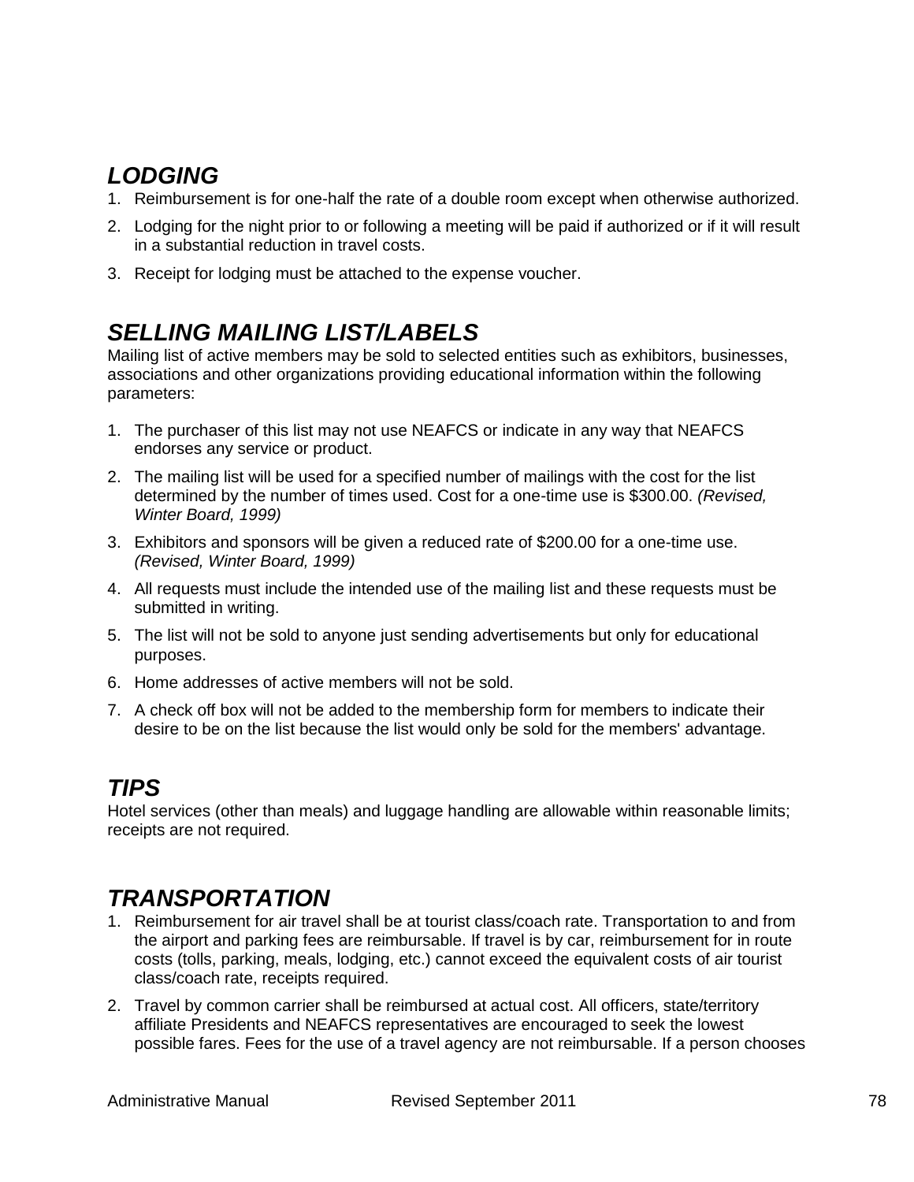## *LODGING*

- 1. Reimbursement is for one-half the rate of a double room except when otherwise authorized.
- 2. Lodging for the night prior to or following a meeting will be paid if authorized or if it will result in a substantial reduction in travel costs.
- 3. Receipt for lodging must be attached to the expense voucher.

# *SELLING MAILING LIST/LABELS*

Mailing list of active members may be sold to selected entities such as exhibitors, businesses, associations and other organizations providing educational information within the following parameters:

- 1. The purchaser of this list may not use NEAFCS or indicate in any way that NEAFCS endorses any service or product.
- 2. The mailing list will be used for a specified number of mailings with the cost for the list determined by the number of times used. Cost for a one-time use is \$300.00. *(Revised, Winter Board, 1999)*
- 3. Exhibitors and sponsors will be given a reduced rate of \$200.00 for a one-time use. *(Revised, Winter Board, 1999)*
- 4. All requests must include the intended use of the mailing list and these requests must be submitted in writing.
- 5. The list will not be sold to anyone just sending advertisements but only for educational purposes.
- 6. Home addresses of active members will not be sold.
- 7. A check off box will not be added to the membership form for members to indicate their desire to be on the list because the list would only be sold for the members' advantage.

## *TIPS*

Hotel services (other than meals) and luggage handling are allowable within reasonable limits; receipts are not required.

## *TRANSPORTATION*

- 1. Reimbursement for air travel shall be at tourist class/coach rate. Transportation to and from the airport and parking fees are reimbursable. If travel is by car, reimbursement for in route costs (tolls, parking, meals, lodging, etc.) cannot exceed the equivalent costs of air tourist class/coach rate, receipts required.
- 2. Travel by common carrier shall be reimbursed at actual cost. All officers, state/territory affiliate Presidents and NEAFCS representatives are encouraged to seek the lowest possible fares. Fees for the use of a travel agency are not reimbursable. If a person chooses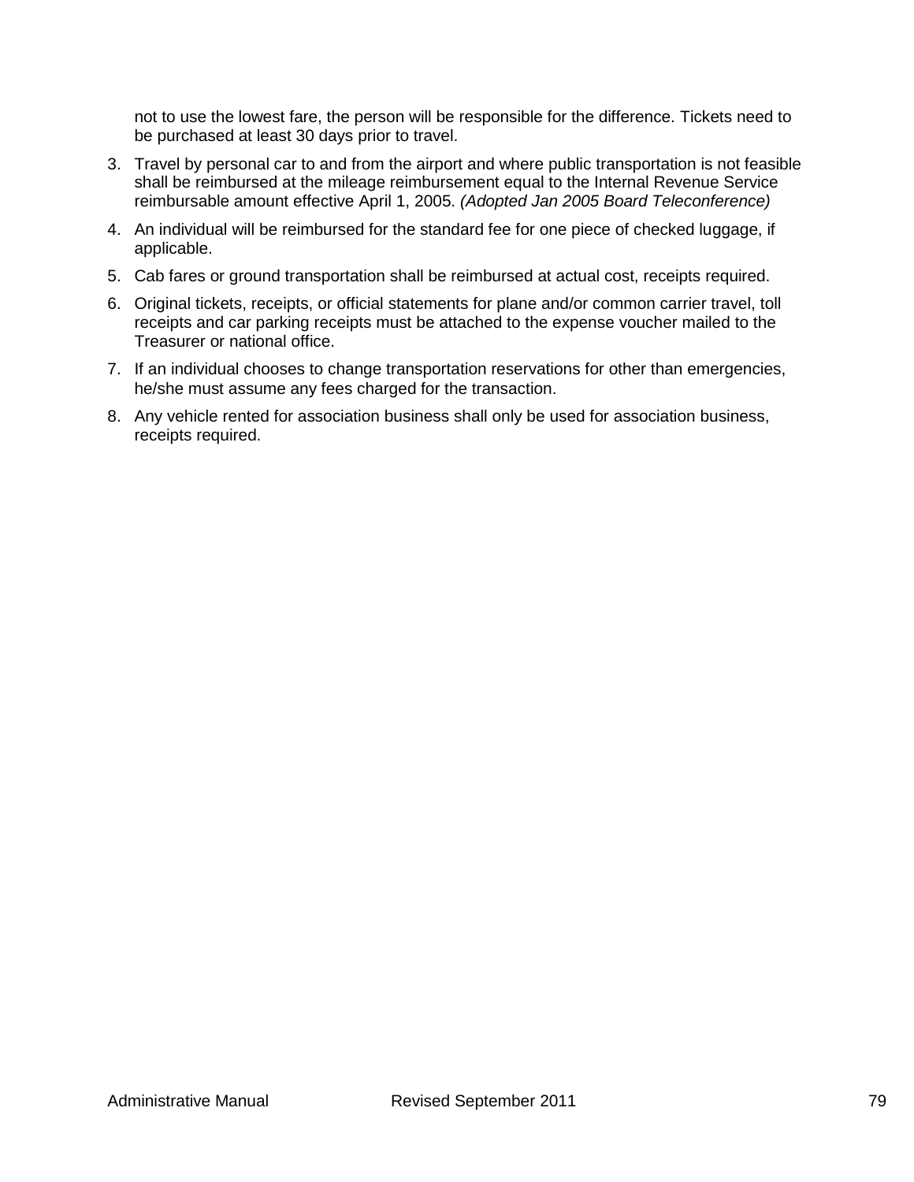not to use the lowest fare, the person will be responsible for the difference. Tickets need to be purchased at least 30 days prior to travel.

- 3. Travel by personal car to and from the airport and where public transportation is not feasible shall be reimbursed at the mileage reimbursement equal to the Internal Revenue Service reimbursable amount effective April 1, 2005. *(Adopted Jan 2005 Board Teleconference)*
- 4. An individual will be reimbursed for the standard fee for one piece of checked luggage, if applicable.
- 5. Cab fares or ground transportation shall be reimbursed at actual cost, receipts required.
- 6. Original tickets, receipts, or official statements for plane and/or common carrier travel, toll receipts and car parking receipts must be attached to the expense voucher mailed to the Treasurer or national office.
- 7. If an individual chooses to change transportation reservations for other than emergencies, he/she must assume any fees charged for the transaction.
- 8. Any vehicle rented for association business shall only be used for association business, receipts required.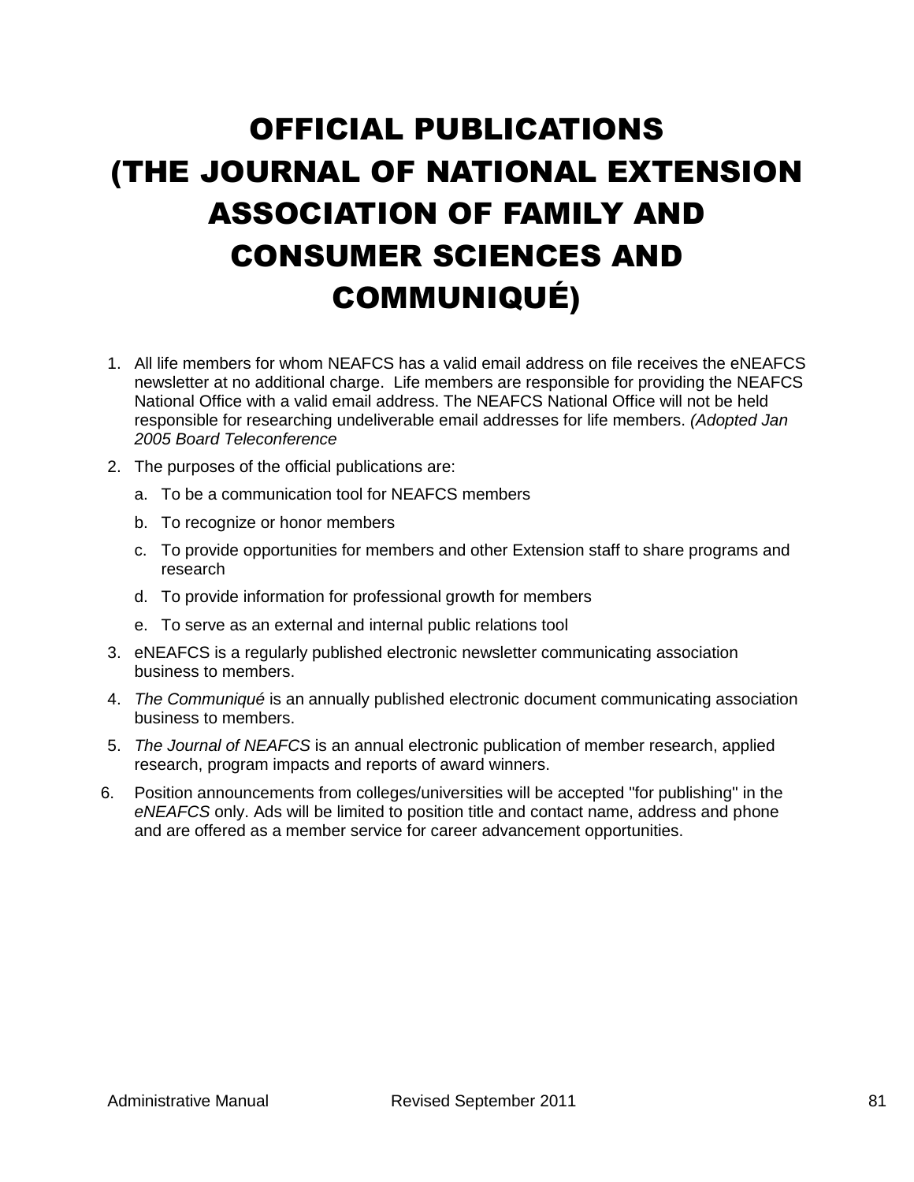# OFFICIAL PUBLICATIONS (THE JOURNAL OF NATIONAL EXTENSION ASSOCIATION OF FAMILY AND CONSUMER SCIENCES AND COMMUNIQUÉ)

- 1. All life members for whom NEAFCS has a valid email address on file receives the eNEAFCS newsletter at no additional charge. Life members are responsible for providing the NEAFCS National Office with a valid email address. The NEAFCS National Office will not be held responsible for researching undeliverable email addresses for life members. *(Adopted Jan 2005 Board Teleconference*
- 2. The purposes of the official publications are:
	- a. To be a communication tool for NEAFCS members
	- b. To recognize or honor members
	- c. To provide opportunities for members and other Extension staff to share programs and research
	- d. To provide information for professional growth for members
	- e. To serve as an external and internal public relations tool
- 3. eNEAFCS is a regularly published electronic newsletter communicating association business to members.
- 4. *The Communiqué* is an annually published electronic document communicating association business to members.
- 5. *The Journal of NEAFCS* is an annual electronic publication of member research, applied research, program impacts and reports of award winners.
- 6. Position announcements from colleges/universities will be accepted "for publishing" in the *eNEAFCS* only. Ads will be limited to position title and contact name, address and phone and are offered as a member service for career advancement opportunities.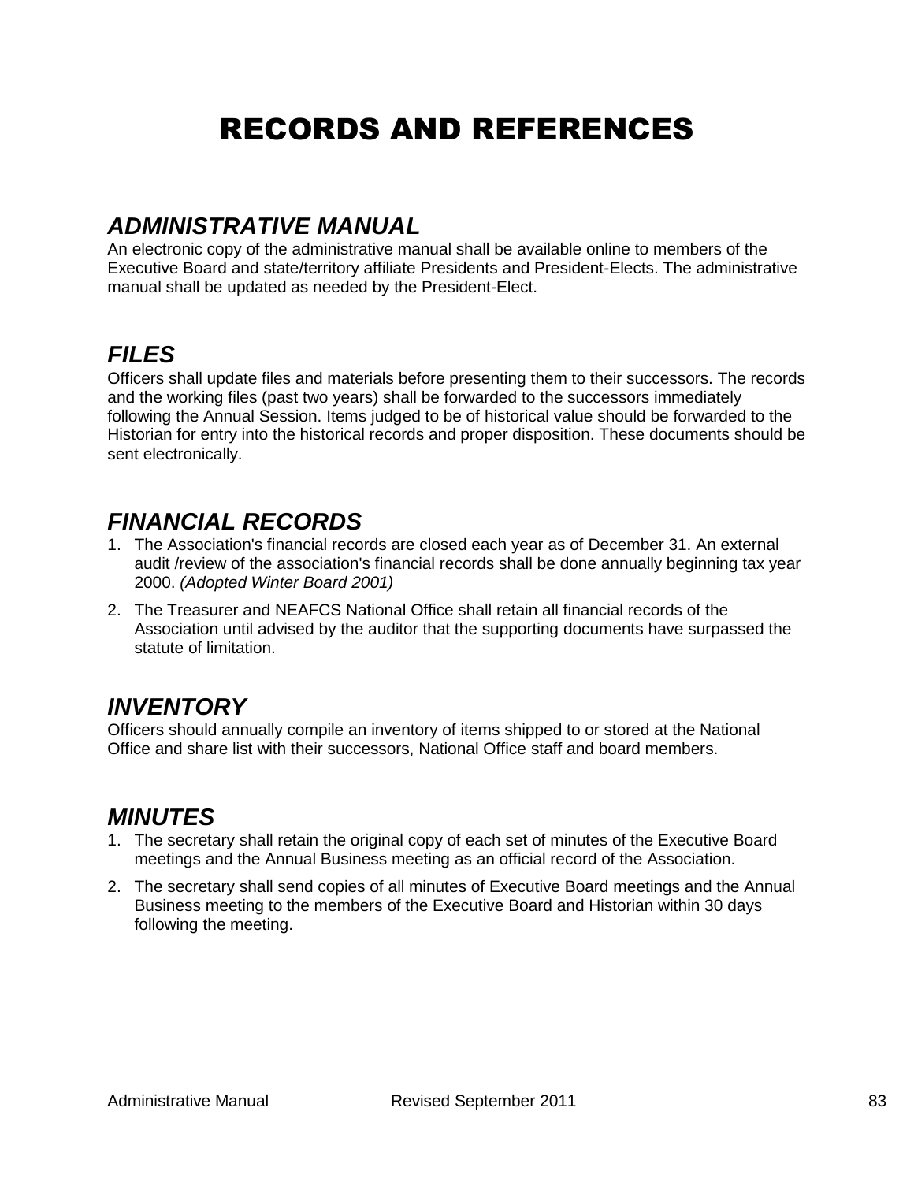# RECORDS AND REFERENCES

### *ADMINISTRATIVE MANUAL*

An electronic copy of the administrative manual shall be available online to members of the Executive Board and state/territory affiliate Presidents and President-Elects. The administrative manual shall be updated as needed by the President-Elect.

### *FILES*

Officers shall update files and materials before presenting them to their successors. The records and the working files (past two years) shall be forwarded to the successors immediately following the Annual Session. Items judged to be of historical value should be forwarded to the Historian for entry into the historical records and proper disposition. These documents should be sent electronically.

## *FINANCIAL RECORDS*

- 1. The Association's financial records are closed each year as of December 31. An external audit /review of the association's financial records shall be done annually beginning tax year 2000. *(Adopted Winter Board 2001)*
- 2. The Treasurer and NEAFCS National Office shall retain all financial records of the Association until advised by the auditor that the supporting documents have surpassed the statute of limitation.

#### *INVENTORY*

Officers should annually compile an inventory of items shipped to or stored at the National Office and share list with their successors, National Office staff and board members.

## *MINUTES*

- 1. The secretary shall retain the original copy of each set of minutes of the Executive Board meetings and the Annual Business meeting as an official record of the Association.
- 2. The secretary shall send copies of all minutes of Executive Board meetings and the Annual Business meeting to the members of the Executive Board and Historian within 30 days following the meeting.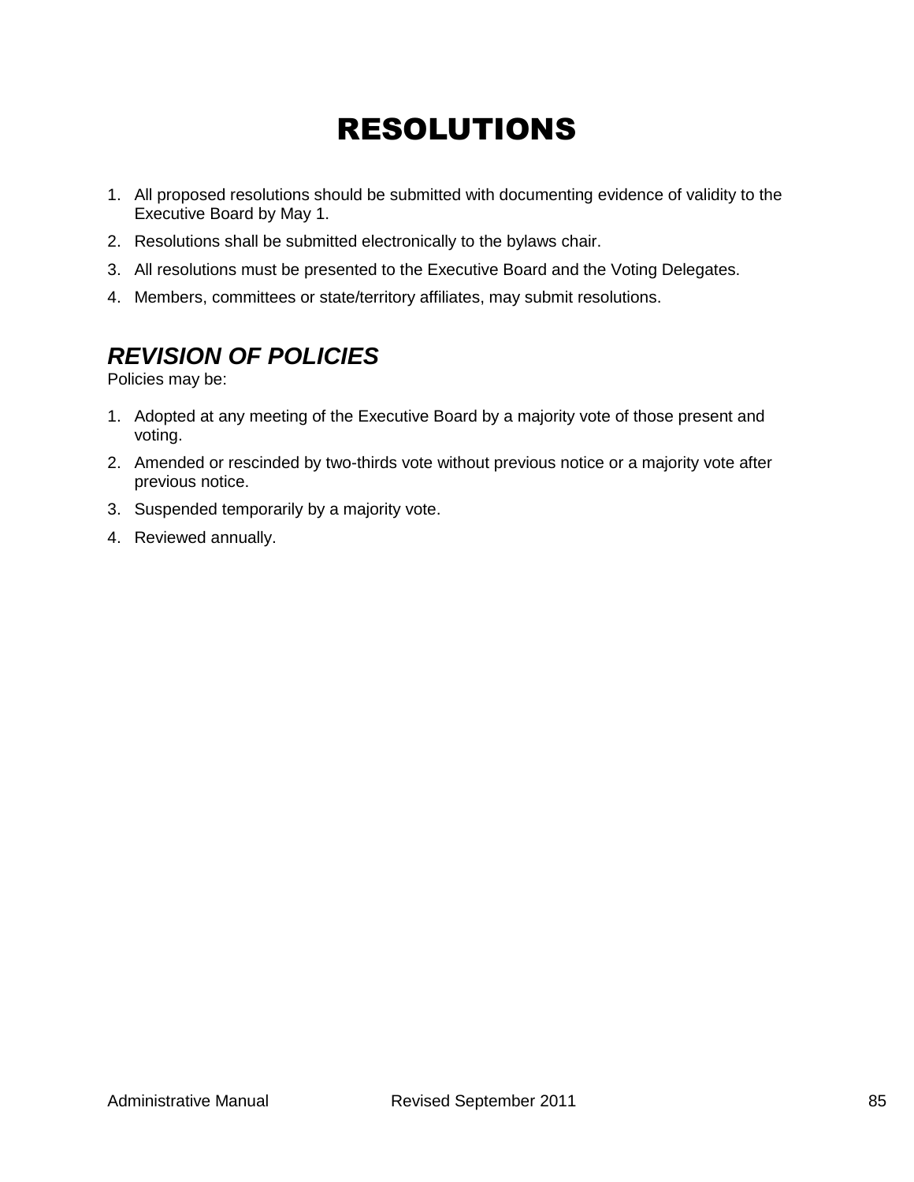# RESOLUTIONS

- 1. All proposed resolutions should be submitted with documenting evidence of validity to the Executive Board by May 1.
- 2. Resolutions shall be submitted electronically to the bylaws chair.
- 3. All resolutions must be presented to the Executive Board and the Voting Delegates.
- 4. Members, committees or state/territory affiliates, may submit resolutions.

## *REVISION OF POLICIES*

Policies may be:

- 1. Adopted at any meeting of the Executive Board by a majority vote of those present and voting.
- 2. Amended or rescinded by two-thirds vote without previous notice or a majority vote after previous notice.
- 3. Suspended temporarily by a majority vote.
- 4. Reviewed annually.